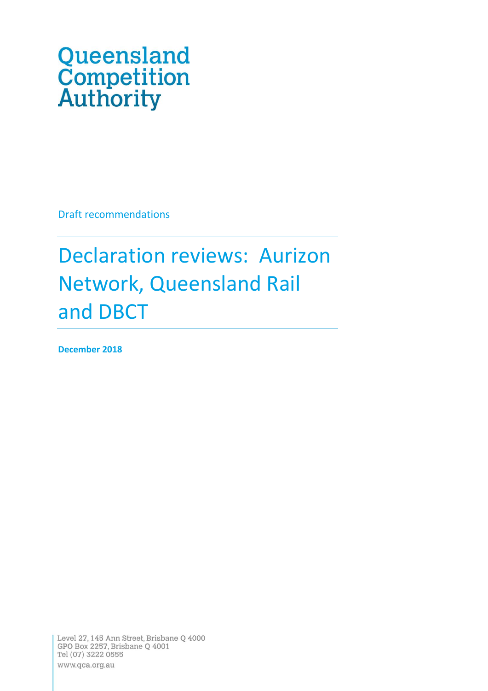# Queensland **Competition**<br>**Authority**

Draft recommendations

# Declaration reviews: Aurizon Network, Queensland Rail and DBCT

**December 2018**

Level 27, 145 Ann Street, Brisbane Q 4000 GPO Box 2257, Brisbane Q 4001 Tel (07) 3222 0555 www.qca.org.au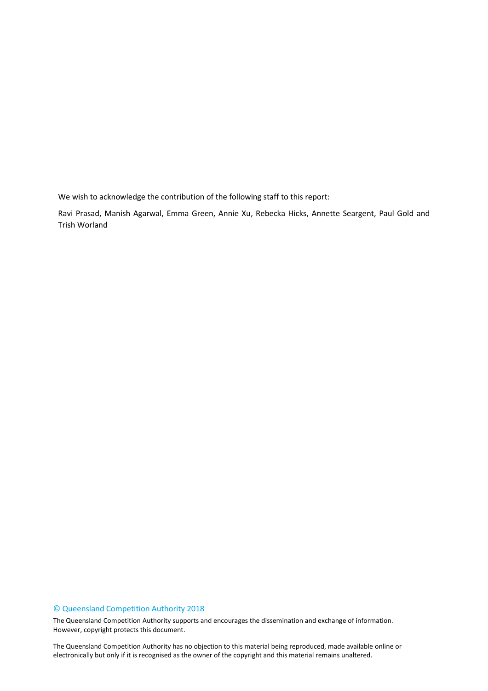We wish to acknowledge the contribution of the following staff to this report:

Ravi Prasad, Manish Agarwal, Emma Green, Annie Xu, Rebecka Hicks, Annette Seargent, Paul Gold and Trish Worland

#### © Queensland Competition Authority 2018

The Queensland Competition Authority supports and encourages the dissemination and exchange of information. However, copyright protects this document.

2 electronically but only if it is recognised as the owner of the copyright and this material remains unaltered.The Queensland Competition Authority has no objection to this material being reproduced, made available online or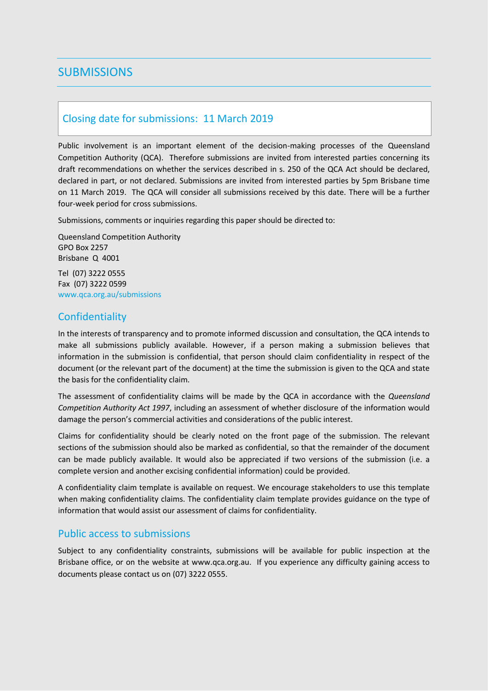## <span id="page-2-0"></span>**SUBMISSIONS**

## <span id="page-2-1"></span>Closing date for submissions: 11 March 2019

Public involvement is an important element of the decision-making processes of the Queensland Competition Authority (QCA). Therefore submissions are invited from interested parties concerning its draft recommendations on whether the services described in s. 250 of the QCA Act should be declared, declared in part, or not declared. Submissions are invited from interested parties by 5pm Brisbane time on 11 March 2019. The QCA will consider all submissions received by this date. There will be a further four-week period for cross submissions.

Submissions, comments or inquiries regarding this paper should be directed to:

Queensland Competition Authority GPO Box 2257 Brisbane Q 4001

Tel (07) 3222 0555 Fax (07) 3222 0599 www.qca.org.au/submissions

## <span id="page-2-2"></span>Confidentiality

In the interests of transparency and to promote informed discussion and consultation, the QCA intends to make all submissions publicly available. However, if a person making a submission believes that information in the submission is confidential, that person should claim confidentiality in respect of the document (or the relevant part of the document) at the time the submission is given to the QCA and state the basis for the confidentiality claim.

The assessment of confidentiality claims will be made by the QCA in accordance with the *Queensland Competition Authority Act 1997*, including an assessment of whether disclosure of the information would damage the person's commercial activities and considerations of the public interest.

Claims for confidentiality should be clearly noted on the front page of the submission. The relevant sections of the submission should also be marked as confidential, so that the remainder of the document can be made publicly available. It would also be appreciated if two versions of the submission (i.e. a complete version and another excising confidential information) could be provided.

A confidentiality claim template is available on request. We encourage stakeholders to use this template when making confidentiality claims. The confidentiality claim template provides guidance on the type of information that would assist our assessment of claims for confidentiality.

## <span id="page-2-3"></span>Public access to submissions

Subject to any confidentiality constraints, submissions will be available for public inspection at the Brisbane office, or on the website at [www.qca.org.au.](http://www.qca.org.au/) If you experience any difficulty gaining access to documents please contact us on (07) 3222 0555.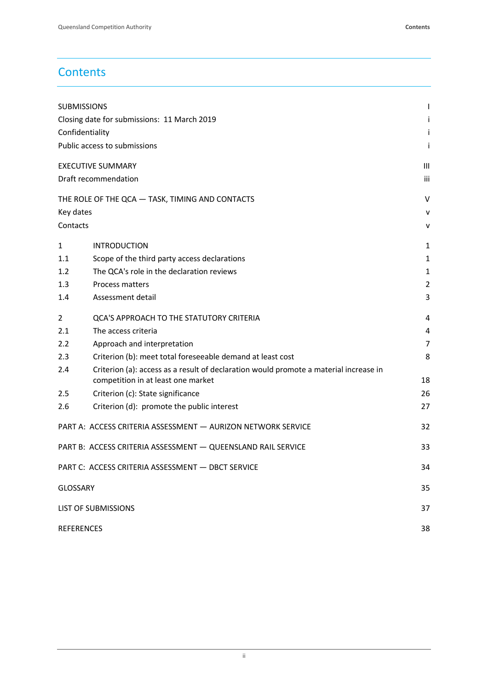# **Contents**

| <b>SUBMISSIONS</b><br>Closing date for submissions: 11 March 2019<br>Confidentiality<br>Public access to submissions |                                                                                                                             | $\mathsf{I}$<br>Ť<br>Ť<br>Ť |  |
|----------------------------------------------------------------------------------------------------------------------|-----------------------------------------------------------------------------------------------------------------------------|-----------------------------|--|
|                                                                                                                      | <b>EXECUTIVE SUMMARY</b>                                                                                                    |                             |  |
| Draft recommendation                                                                                                 |                                                                                                                             |                             |  |
|                                                                                                                      | THE ROLE OF THE QCA - TASK, TIMING AND CONTACTS                                                                             | v                           |  |
| Key dates                                                                                                            |                                                                                                                             | v                           |  |
| Contacts                                                                                                             |                                                                                                                             | v                           |  |
| 1                                                                                                                    | <b>INTRODUCTION</b>                                                                                                         | 1                           |  |
| 1.1                                                                                                                  | Scope of the third party access declarations                                                                                | 1                           |  |
| 1.2                                                                                                                  | The QCA's role in the declaration reviews                                                                                   | 1                           |  |
| 1.3                                                                                                                  | Process matters                                                                                                             | $\overline{2}$              |  |
| 1.4                                                                                                                  | Assessment detail                                                                                                           | 3                           |  |
| 2                                                                                                                    | QCA'S APPROACH TO THE STATUTORY CRITERIA                                                                                    | 4                           |  |
| 2.1                                                                                                                  | The access criteria                                                                                                         | 4                           |  |
| 2.2                                                                                                                  | Approach and interpretation                                                                                                 | 7                           |  |
| 2.3                                                                                                                  | Criterion (b): meet total foreseeable demand at least cost                                                                  | 8                           |  |
| 2.4                                                                                                                  | Criterion (a): access as a result of declaration would promote a material increase in<br>competition in at least one market | 18                          |  |
| 2.5                                                                                                                  |                                                                                                                             | 26                          |  |
|                                                                                                                      | Criterion (c): State significance                                                                                           | 27                          |  |
| 2.6                                                                                                                  | Criterion (d): promote the public interest                                                                                  |                             |  |
| PART A: ACCESS CRITERIA ASSESSMENT - AURIZON NETWORK SERVICE                                                         |                                                                                                                             |                             |  |
|                                                                                                                      | PART B: ACCESS CRITERIA ASSESSMENT - QUEENSLAND RAIL SERVICE                                                                | 33                          |  |
| PART C: ACCESS CRITERIA ASSESSMENT - DBCT SERVICE                                                                    |                                                                                                                             | 34                          |  |
| <b>GLOSSARY</b>                                                                                                      |                                                                                                                             |                             |  |
| <b>LIST OF SUBMISSIONS</b>                                                                                           |                                                                                                                             |                             |  |
| <b>REFERENCES</b>                                                                                                    |                                                                                                                             |                             |  |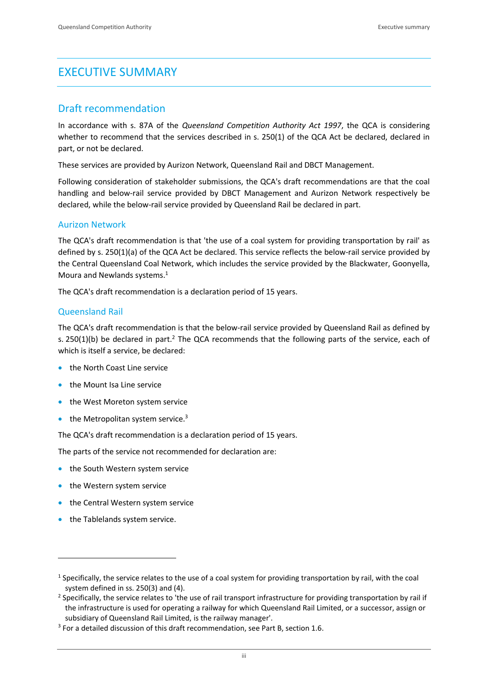## <span id="page-4-0"></span>EXECUTIVE SUMMARY

## <span id="page-4-1"></span>Draft recommendation

In accordance with s. 87A of the *Queensland Competition Authority Act 1997*, the QCA is considering whether to recommend that the services described in s. 250(1) of the QCA Act be declared, declared in part, or not be declared.

These services are provided by Aurizon Network, Queensland Rail and DBCT Management.

Following consideration of stakeholder submissions, the QCA's draft recommendations are that the coal handling and below-rail service provided by DBCT Management and Aurizon Network respectively be declared, while the below-rail service provided by Queensland Rail be declared in part.

## Aurizon Network

The QCA's draft recommendation is that 'the use of a coal system for providing transportation by rail' as defined by s. 250(1)(a) of the QCA Act be declared. This service reflects the below-rail service provided by the Central Queensland Coal Network, which includes the service provided by the Blackwater, Goonyella, Moura and Newlands systems. 1

The QCA's draft recommendation is a declaration period of 15 years.

## Queensland Rail

The QCA's draft recommendation is that the below-rail service provided by Queensland Rail as defined by s. 250(1)(b) be declared in part.<sup>2</sup> The QCA recommends that the following parts of the service, each of which is itself a service, be declared:

- **the North Coast Line service**
- the Mount Isa Line service
- the West Moreton system service
- $\bullet$  the Metropolitan system service.<sup>3</sup>

The QCA's draft recommendation is a declaration period of 15 years.

The parts of the service not recommended for declaration are:

- the South Western system service
- the Western system service
- the Central Western system service
- the Tablelands system service.

 $<sup>1</sup>$  Specifically, the service relates to the use of a coal system for providing transportation by rail, with the coal</sup> system defined in ss. 250(3) and (4).

 $^2$  Specifically, the service relates to 'the use of rail transport infrastructure for providing transportation by rail if the infrastructure is used for operating a railway for which Queensland Rail Limited, or a successor, assign or subsidiary of Queensland Rail Limited, is the railway manager'.

 $3$  For a detailed discussion of this draft recommendation, see Part B, section 1.6.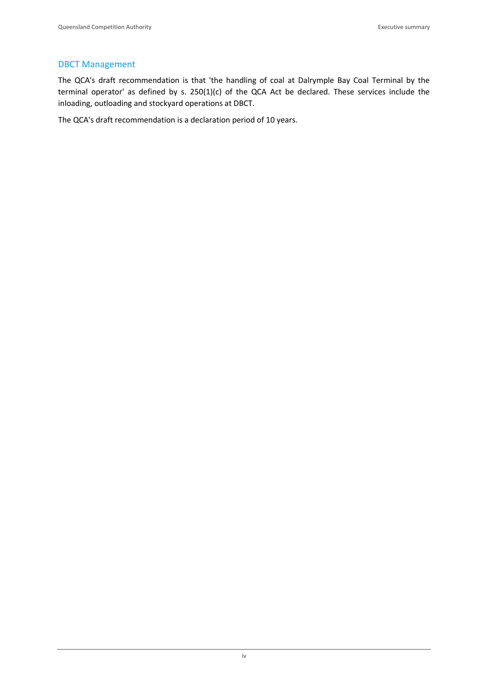## DBCT Management

The QCA's draft recommendation is that 'the handling of coal at Dalrymple Bay Coal Terminal by the terminal operator' as defined by s. 250(1)(c) of the QCA Act be declared. These services include the inloading, outloading and stockyard operations at DBCT.

The QCA's draft recommendation is a declaration period of 10 years.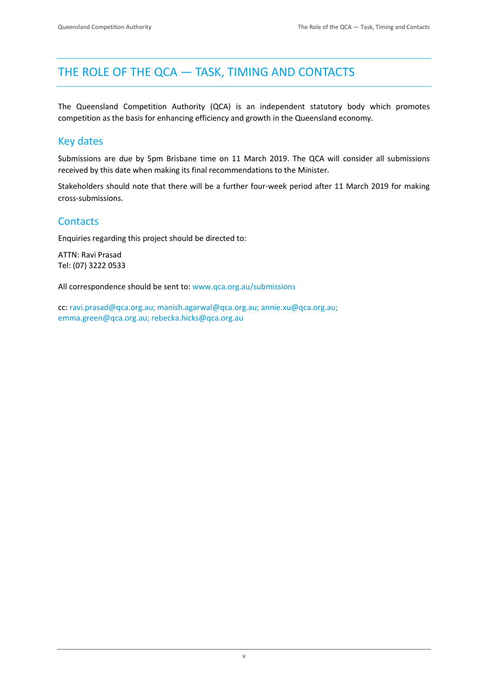# <span id="page-6-0"></span>THE ROLE OF THE QCA — TASK, TIMING AND CONTACTS

The Queensland Competition Authority (QCA) is an independent statutory body which promotes competition as the basis for enhancing efficiency and growth in the Queensland economy.

## <span id="page-6-1"></span>Key dates

Submissions are due by 5pm Brisbane time on 11 March 2019. The QCA will consider all submissions received by this date when making its final recommendations to the Minister.

Stakeholders should note that there will be a further four-week period after 11 March 2019 for making cross-submissions.

## <span id="page-6-2"></span>**Contacts**

Enquiries regarding this project should be directed to:

ATTN: Ravi Prasad Tel: (07) 3222 0533

All correspondence should be sent to[: www.qca.org.au/submissions](http://www.qca.org.au/submissions)

cc: ravi.prasad@qca.org.au; manish.agarwal@qca.org.au; annie.xu@qca.org.au; emma.green@qca.org.au; rebecka.hicks@qca.org.au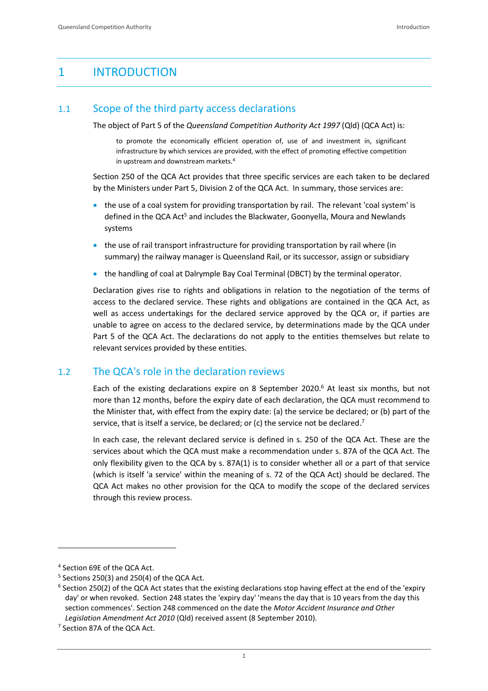## <span id="page-7-0"></span>1 INTRODUCTION

## <span id="page-7-1"></span>1.1 Scope of the third party access declarations

The object of Part 5 of the *Queensland Competition Authority Act 1997* (Qld) (QCA Act) is:

to promote the economically efficient operation of, use of and investment in, significant infrastructure by which services are provided, with the effect of promoting effective competition in upstream and downstream markets.<sup>4</sup>

Section 250 of the QCA Act provides that three specific services are each taken to be declared by the Ministers under Part 5, Division 2 of the QCA Act. In summary, those services are:

- the use of a coal system for providing transportation by rail. The relevant 'coal system' is defined in the QCA Act<sup>5</sup> and includes the Blackwater, Goonyella, Moura and Newlands systems
- the use of rail transport infrastructure for providing transportation by rail where (in summary) the railway manager is Queensland Rail, or its successor, assign or subsidiary
- the handling of coal at Dalrymple Bay Coal Terminal (DBCT) by the terminal operator.

Declaration gives rise to rights and obligations in relation to the negotiation of the terms of access to the declared service. These rights and obligations are contained in the QCA Act, as well as access undertakings for the declared service approved by the QCA or, if parties are unable to agree on access to the declared service, by determinations made by the QCA under Part 5 of the QCA Act. The declarations do not apply to the entities themselves but relate to relevant services provided by these entities.

## <span id="page-7-2"></span>1.2 The QCA's role in the declaration reviews

Each of the existing declarations expire on 8 September 2020.<sup>6</sup> At least six months, but not more than 12 months, before the expiry date of each declaration, the QCA must recommend to the Minister that, with effect from the expiry date: (a) the service be declared; or (b) part of the service, that is itself a service, be declared; or (c) the service not be declared.<sup>7</sup>

In each case, the relevant declared service is defined in s. 250 of the QCA Act. These are the services about which the QCA must make a recommendation under s. 87A of the QCA Act. The only flexibility given to the QCA by s. 87A(1) is to consider whether all or a part of that service (which is itself 'a service' within the meaning of s. 72 of the QCA Act) should be declared. The QCA Act makes no other provision for the QCA to modify the scope of the declared services through this review process.

<sup>4</sup> Section 69E of the QCA Act.

 $5$  Sections 250(3) and 250(4) of the QCA Act.

 $6$  Section 250(2) of the QCA Act states that the existing declarations stop having effect at the end of the 'expiry day' or when revoked. Section 248 states the 'expiry day' 'means the day that is 10 years from the day this section commences'. Section 248 commenced on the date the *Motor Accident Insurance and Other Legislation Amendment Act 2010* (Qld) received assent (8 September 2010).

<sup>&</sup>lt;sup>7</sup> Section 87A of the QCA Act.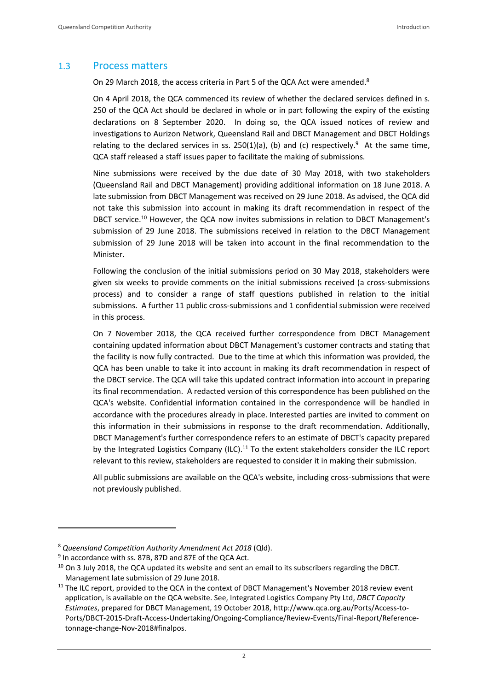## <span id="page-8-0"></span>1.3 Process matters

On 29 March 2018, the access criteria in Part 5 of the QCA Act were amended.<sup>8</sup>

On 4 April 2018, the QCA commenced its review of whether the declared services defined in s. 250 of the QCA Act should be declared in whole or in part following the expiry of the existing declarations on 8 September 2020. In doing so, the QCA issued notices of review and investigations to Aurizon Network, Queensland Rail and DBCT Management and DBCT Holdings relating to the declared services in ss. 250(1)(a), (b) and (c) respectively.<sup>9</sup> At the same time, QCA staff released a staff issues paper to facilitate the making of submissions.

Nine submissions were received by the due date of 30 May 2018, with two stakeholders (Queensland Rail and DBCT Management) providing additional information on 18 June 2018. A late submission from DBCT Management was received on 29 June 2018. As advised, the QCA did not take this submission into account in making its draft recommendation in respect of the DBCT service.<sup>10</sup> However, the QCA now invites submissions in relation to DBCT Management's submission of 29 June 2018. The submissions received in relation to the DBCT Management submission of 29 June 2018 will be taken into account in the final recommendation to the Minister.

Following the conclusion of the initial submissions period on 30 May 2018, stakeholders were given six weeks to provide comments on the initial submissions received (a cross-submissions process) and to consider a range of staff questions published in relation to the initial submissions. A further 11 public cross-submissions and 1 confidential submission were received in this process.

On 7 November 2018, the QCA received further correspondence from DBCT Management containing updated information about DBCT Management's customer contracts and stating that the facility is now fully contracted. Due to the time at which this information was provided, the QCA has been unable to take it into account in making its draft recommendation in respect of the DBCT service. The QCA will take this updated contract information into account in preparing its final recommendation. A redacted version of this correspondence has been published on the QCA's website. Confidential information contained in the correspondence will be handled in accordance with the procedures already in place. Interested parties are invited to comment on this information in their submissions in response to the draft recommendation. Additionally, DBCT Management's further correspondence refers to an estimate of DBCT's capacity prepared by the Integrated Logistics Company (ILC).<sup>11</sup> To the extent stakeholders consider the ILC report relevant to this review, stakeholders are requested to consider it in making their submission.

All public submissions are available on the QCA's website, including cross-submissions that were not previously published.

<sup>8</sup> *Queensland Competition Authority Amendment Act 2018* (Qld).

<sup>&</sup>lt;sup>9</sup> In accordance with ss. 87B, 87D and 87E of the QCA Act.

<sup>&</sup>lt;sup>10</sup> On 3 July 2018, the QCA updated its website and sent an email to its subscribers regarding the DBCT. Management late submission of 29 June 2018.

<sup>&</sup>lt;sup>11</sup> The ILC report, provided to the QCA in the context of DBCT Management's November 2018 review event application, is available on the QCA website. See, Integrated Logistics Company Pty Ltd, *DBCT Capacity Estimates*, prepared for DBCT Management, 19 October 2018, http://www.qca.org.au/Ports/Access-to-Ports/DBCT-2015-Draft-Access-Undertaking/Ongoing-Compliance/Review-Events/Final-Report/Referencetonnage-change-Nov-2018#finalpos.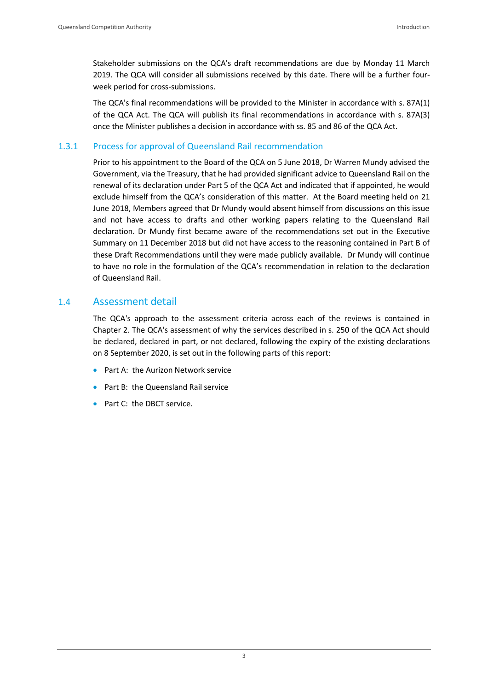Stakeholder submissions on the QCA's draft recommendations are due by Monday 11 March 2019. The QCA will consider all submissions received by this date. There will be a further fourweek period for cross-submissions.

The QCA's final recommendations will be provided to the Minister in accordance with s. 87A(1) of the QCA Act. The QCA will publish its final recommendations in accordance with s. 87A(3) once the Minister publishes a decision in accordance with ss. 85 and 86 of the QCA Act.

## 1.3.1 Process for approval of Queensland Rail recommendation

Prior to his appointment to the Board of the QCA on 5 June 2018, Dr Warren Mundy advised the Government, via the Treasury, that he had provided significant advice to Queensland Rail on the renewal of its declaration under Part 5 of the QCA Act and indicated that if appointed, he would exclude himself from the QCA's consideration of this matter. At the Board meeting held on 21 June 2018, Members agreed that Dr Mundy would absent himself from discussions on this issue and not have access to drafts and other working papers relating to the Queensland Rail declaration. Dr Mundy first became aware of the recommendations set out in the Executive Summary on 11 December 2018 but did not have access to the reasoning contained in Part B of these Draft Recommendations until they were made publicly available. Dr Mundy will continue to have no role in the formulation of the QCA's recommendation in relation to the declaration of Queensland Rail.

## <span id="page-9-0"></span>1.4 Assessment detail

The QCA's approach to the assessment criteria across each of the reviews is contained in Chapter 2. The QCA's assessment of why the services described in s. 250 of the QCA Act should be declared, declared in part, or not declared, following the expiry of the existing declarations on 8 September 2020, is set out in the following parts of this report:

- Part A: the Aurizon Network service
- Part B: the Queensland Rail service
- **Part C: the DBCT service.**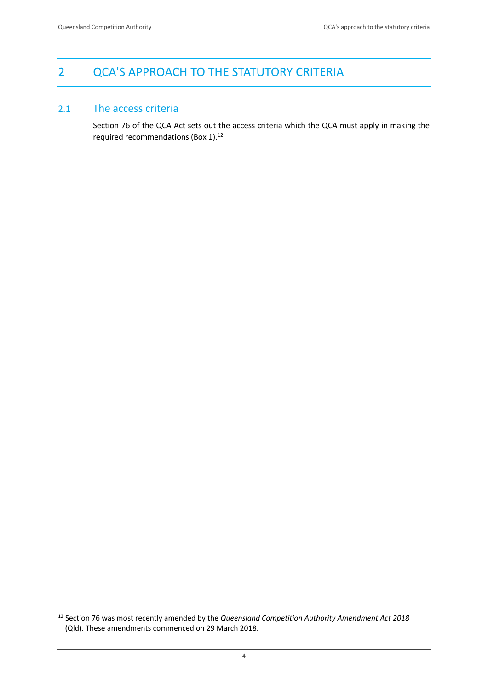## <span id="page-10-0"></span>2 QCA'S APPROACH TO THE STATUTORY CRITERIA

## <span id="page-10-1"></span>2.1 The access criteria

 $\overline{a}$ 

Section 76 of the QCA Act sets out the access criteria which the QCA must apply in making the required recommendations (Box 1).<sup>12</sup>

<sup>12</sup> Section 76 was most recently amended by the *Queensland Competition Authority Amendment Act 2018*  (Qld). These amendments commenced on 29 March 2018.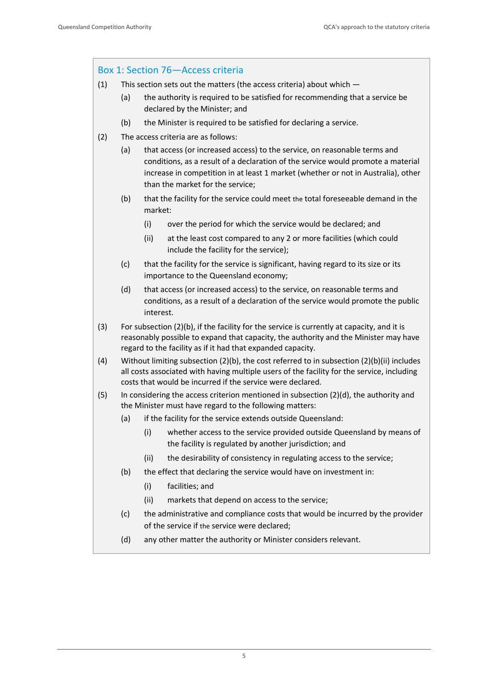## Box 1: Section 76—Access criteria

- (1) This section sets out the matters (the access criteria) about which
	- (a) the authority is required to be satisfied for recommending that a service be declared by the Minister; and
	- (b) the Minister is required to be satisfied for declaring a service.
- (2) The access criteria are as follows:
	- (a) that access (or increased access) to the service, on reasonable terms and conditions, as a result of a declaration of the service would promote a material increase in competition in at least 1 market (whether or not in Australia), other than the market for the service;
	- (b) that the facility for the service could meet the total foreseeable demand in the market:
		- (i) over the period for which the service would be declared; and
		- (ii) at the least cost compared to any 2 or more facilities (which could include the facility for the service);
	- (c) that the facility for the service is significant, having regard to its size or its importance to the Queensland economy;
	- (d) that access (or increased access) to the service, on reasonable terms and conditions, as a result of a declaration of the service would promote the public interest.
- (3) For subsection  $(2)(b)$ , if the facility for the service is currently at capacity, and it is reasonably possible to expand that capacity, the authority and the Minister may have regard to the facility as if it had that expanded capacity.
- (4) Without limiting subsection (2)(b), the cost referred to in subsection (2)(b)(ii) includes all costs associated with having multiple users of the facility for the service, including costs that would be incurred if the service were declared.
- (5) In considering the access criterion mentioned in subsection (2)(d), the authority and the Minister must have regard to the following matters:
	- (a) if the facility for the service extends outside Queensland:
		- (i) whether access to the service provided outside Queensland by means of the facility is regulated by another jurisdiction; and
		- (ii) the desirability of consistency in regulating access to the service;
	- (b) the effect that declaring the service would have on investment in:
		- (i) facilities; and
		- (ii) markets that depend on access to the service;
	- (c) the administrative and compliance costs that would be incurred by the provider of the service if the service were declared;
	- (d) any other matter the authority or Minister considers relevant.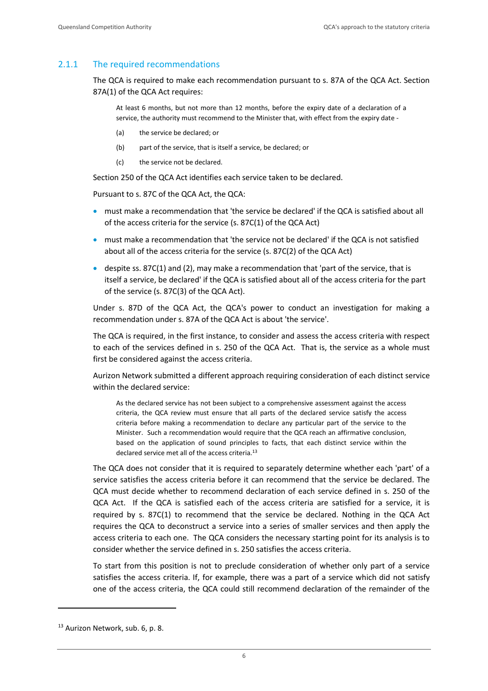## 2.1.1 The required recommendations

The QCA is required to make each recommendation pursuant to s. 87A of the QCA Act. Section 87A(1) of the QCA Act requires:

At least 6 months, but not more than 12 months, before the expiry date of a declaration of a service, the authority must recommend to the Minister that, with effect from the expiry date -

- (a) the service be declared; or
- (b) part of the service, that is itself a service, be declared; or
- (c) the service not be declared.

Section 250 of the QCA Act identifies each service taken to be declared.

Pursuant to s. 87C of the QCA Act, the QCA:

- must make a recommendation that 'the service be declared' if the QCA is satisfied about all of the access criteria for the service (s. 87C(1) of the QCA Act)
- must make a recommendation that 'the service not be declared' if the QCA is not satisfied about all of the access criteria for the service (s. 87C(2) of the QCA Act)
- despite ss. 87C(1) and (2), may make a recommendation that 'part of the service, that is itself a service, be declared' if the QCA is satisfied about all of the access criteria for the part of the service (s. 87C(3) of the QCA Act).

Under s. 87D of the QCA Act, the QCA's power to conduct an investigation for making a recommendation under s. 87A of the QCA Act is about 'the service'.

The QCA is required, in the first instance, to consider and assess the access criteria with respect to each of the services defined in s. 250 of the QCA Act. That is, the service as a whole must first be considered against the access criteria.

Aurizon Network submitted a different approach requiring consideration of each distinct service within the declared service:

As the declared service has not been subject to a comprehensive assessment against the access criteria, the QCA review must ensure that all parts of the declared service satisfy the access criteria before making a recommendation to declare any particular part of the service to the Minister. Such a recommendation would require that the QCA reach an affirmative conclusion, based on the application of sound principles to facts, that each distinct service within the declared service met all of the access criteria.<sup>13</sup>

The QCA does not consider that it is required to separately determine whether each 'part' of a service satisfies the access criteria before it can recommend that the service be declared. The QCA must decide whether to recommend declaration of each service defined in s. 250 of the QCA Act. If the QCA is satisfied each of the access criteria are satisfied for a service, it is required by s. 87C(1) to recommend that the service be declared. Nothing in the QCA Act requires the QCA to deconstruct a service into a series of smaller services and then apply the access criteria to each one. The QCA considers the necessary starting point for its analysis is to consider whether the service defined in s. 250 satisfies the access criteria.

To start from this position is not to preclude consideration of whether only part of a service satisfies the access criteria. If, for example, there was a part of a service which did not satisfy one of the access criteria, the QCA could still recommend declaration of the remainder of the

<sup>13</sup> Aurizon Network, sub. 6, p. 8.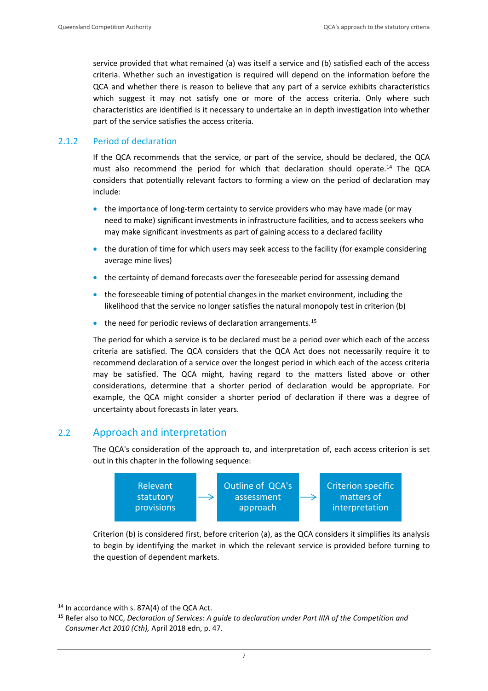service provided that what remained (a) was itself a service and (b) satisfied each of the access criteria. Whether such an investigation is required will depend on the information before the QCA and whether there is reason to believe that any part of a service exhibits characteristics which suggest it may not satisfy one or more of the access criteria. Only where such characteristics are identified is it necessary to undertake an in depth investigation into whether part of the service satisfies the access criteria.

## 2.1.2 Period of declaration

If the QCA recommends that the service, or part of the service, should be declared, the QCA must also recommend the period for which that declaration should operate.<sup>14</sup> The QCA considers that potentially relevant factors to forming a view on the period of declaration may include:

- the importance of long-term certainty to service providers who may have made (or may need to make) significant investments in infrastructure facilities, and to access seekers who may make significant investments as part of gaining access to a declared facility
- $\bullet$  the duration of time for which users may seek access to the facility (for example considering average mine lives)
- the certainty of demand forecasts over the foreseeable period for assessing demand
- $\bullet$  the foreseeable timing of potential changes in the market environment, including the likelihood that the service no longer satisfies the natural monopoly test in criterion (b)
- $\bullet$  the need for periodic reviews of declaration arrangements.<sup>15</sup>

The period for which a service is to be declared must be a period over which each of the access criteria are satisfied. The QCA considers that the QCA Act does not necessarily require it to recommend declaration of a service over the longest period in which each of the access criteria may be satisfied. The QCA might, having regard to the matters listed above or other considerations, determine that a shorter period of declaration would be appropriate. For example, the QCA might consider a shorter period of declaration if there was a degree of uncertainty about forecasts in later years.

## <span id="page-13-0"></span>2.2 Approach and interpretation

The QCA's consideration of the approach to, and interpretation of, each access criterion is set out in this chapter in the following sequence:



Criterion (b) is considered first, before criterion (a), as the QCA considers it simplifies its analysis to begin by identifying the market in which the relevant service is provided before turning to the question of dependent markets.

 $14$  In accordance with s. 87A(4) of the QCA Act.

<sup>15</sup> Refer also to NCC, *Declaration of Services*: *A guide to declaration under Part IIIA of the Competition and Consumer Act 2010 (Cth),* April 2018 edn, p. 47.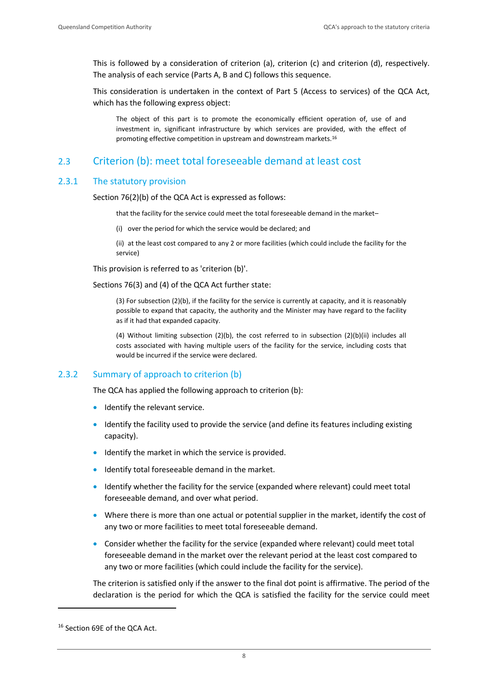This is followed by a consideration of criterion (a), criterion (c) and criterion (d), respectively. The analysis of each service (Parts A, B and C) follows this sequence.

This consideration is undertaken in the context of Part 5 (Access to services) of the QCA Act, which has the following express object:

The object of this part is to promote the economically efficient operation of, use of and investment in, significant infrastructure by which services are provided, with the effect of promoting effective competition in upstream and downstream markets.<sup>16</sup>

## <span id="page-14-0"></span>2.3 Criterion (b): meet total foreseeable demand at least cost

#### 2.3.1 The statutory provision

Section 76(2)(b) of the QCA Act is expressed as follows:

that the facility for the service could meet the total foreseeable demand in the market–

(i) over the period for which the service would be declared; and

(ii) at the least cost compared to any 2 or more facilities (which could include the facility for the service)

This provision is referred to as 'criterion (b)'.

Sections 76(3) and (4) of the QCA Act further state:

(3) For subsection (2)(b), if the facility for the service is currently at capacity, and it is reasonably possible to expand that capacity, the authority and the Minister may have regard to the facility as if it had that expanded capacity.

(4) Without limiting subsection (2)(b), the cost referred to in subsection (2)(b)(ii) includes all costs associated with having multiple users of the facility for the service, including costs that would be incurred if the service were declared.

#### 2.3.2 Summary of approach to criterion (b)

The QCA has applied the following approach to criterion (b):

- Identify the relevant service.
- Identify the facility used to provide the service (and define its features including existing capacity).
- Identify the market in which the service is provided.
- **Identify total foreseeable demand in the market.**
- Identify whether the facility for the service (expanded where relevant) could meet total foreseeable demand, and over what period.
- Where there is more than one actual or potential supplier in the market, identify the cost of any two or more facilities to meet total foreseeable demand.
- Consider whether the facility for the service (expanded where relevant) could meet total foreseeable demand in the market over the relevant period at the least cost compared to any two or more facilities (which could include the facility for the service).

The criterion is satisfied only if the answer to the final dot point is affirmative. The period of the declaration is the period for which the QCA is satisfied the facility for the service could meet

<sup>&</sup>lt;sup>16</sup> Section 69E of the QCA Act.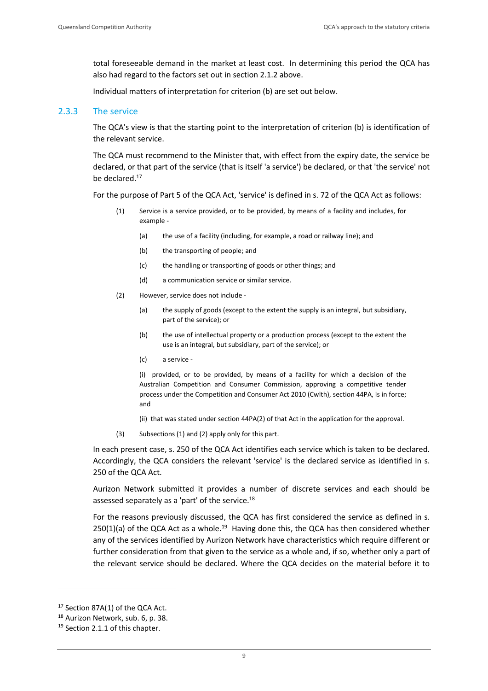total foreseeable demand in the market at least cost. In determining this period the QCA has also had regard to the factors set out in section 2.1.2 above.

Individual matters of interpretation for criterion (b) are set out below.

#### 2.3.3 The service

The QCA's view is that the starting point to the interpretation of criterion (b) is identification of the relevant service.

The QCA must recommend to the Minister that, with effect from the expiry date, the service be declared, or that part of the service (that is itself 'a service') be declared, or that 'the service' not be declared.<sup>17</sup>

For the purpose of Part 5 of the QCA Act, 'service' is defined in s. 72 of the QCA Act as follows:

- (1) Service is a service provided, or to be provided, by means of a facility and includes, for example -
	- (a) the use of a facility (including, for example, a road or railway line); and
	- (b) the transporting of people; and
	- (c) the handling or transporting of goods or other things; and
	- (d) a communication service or similar service.
- (2) However, service does not include
	- (a) the supply of goods (except to the extent the supply is an integral, but subsidiary, part of the service); or
	- (b) the use of intellectual property or a production process (except to the extent the use is an integral, but subsidiary, part of the service); or
	- (c) a service -

(i) provided, or to be provided, by means of a facility for which a decision of the Australian Competition and Consumer Commission, approving a competitive tender process under the Competition and Consumer Act 2010 (Cwlth), section 44PA, is in force; and

(ii) that was stated under section 44PA(2) of that Act in the application for the approval.

(3) Subsections (1) and (2) apply only for this part.

In each present case, s. 250 of the QCA Act identifies each service which is taken to be declared. Accordingly, the QCA considers the relevant 'service' is the declared service as identified in s. 250 of the QCA Act.

Aurizon Network submitted it provides a number of discrete services and each should be assessed separately as a 'part' of the service.<sup>18</sup>

For the reasons previously discussed, the QCA has first considered the service as defined in s.  $250(1)(a)$  of the QCA Act as a whole.<sup>19</sup> Having done this, the QCA has then considered whether any of the services identified by Aurizon Network have characteristics which require different or further consideration from that given to the service as a whole and, if so, whether only a part of the relevant service should be declared. Where the QCA decides on the material before it to

<sup>&</sup>lt;sup>17</sup> Section 87A(1) of the QCA Act.

<sup>18</sup> Aurizon Network, sub. 6, p. 38.

<sup>&</sup>lt;sup>19</sup> Section 2.1.1 of this chapter.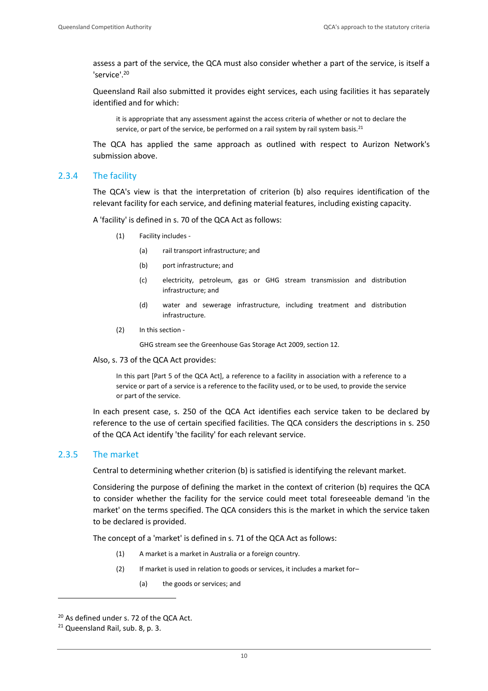assess a part of the service, the QCA must also consider whether a part of the service, is itself a 'service'.<sup>20</sup>

Queensland Rail also submitted it provides eight services, each using facilities it has separately identified and for which:

it is appropriate that any assessment against the access criteria of whether or not to declare the service, or part of the service, be performed on a rail system by rail system basis. $21$ 

The QCA has applied the same approach as outlined with respect to Aurizon Network's submission above.

#### 2.3.4 The facility

The QCA's view is that the interpretation of criterion (b) also requires identification of the relevant facility for each service, and defining material features, including existing capacity.

A 'facility' is defined in s. 70 of the QCA Act as follows:

- (1) Facility includes
	- (a) rail transport infrastructure; and
	- (b) port infrastructure; and
	- (c) electricity, petroleum, gas or GHG stream transmission and distribution infrastructure; and
	- (d) water and sewerage infrastructure, including treatment and distribution infrastructure.
- (2) In this section -

GHG stream see the Greenhouse Gas Storage Act 2009, section 12.

Also, s. 73 of the QCA Act provides:

In this part [Part 5 of the QCA Act], a reference to a facility in association with a reference to a service or part of a service is a reference to the facility used, or to be used, to provide the service or part of the service.

In each present case, s. 250 of the QCA Act identifies each service taken to be declared by reference to the use of certain specified facilities. The QCA considers the descriptions in s. 250 of the QCA Act identify 'the facility' for each relevant service.

## 2.3.5 The market

Central to determining whether criterion (b) is satisfied is identifying the relevant market.

Considering the purpose of defining the market in the context of criterion (b) requires the QCA to consider whether the facility for the service could meet total foreseeable demand 'in the market' on the terms specified. The QCA considers this is the market in which the service taken to be declared is provided.

The concept of a 'market' is defined in s. 71 of the QCA Act as follows:

- (1) A market is a market in Australia or a foreign country.
- (2) If market is used in relation to goods or services, it includes a market for–
	- (a) the goods or services; and

<sup>&</sup>lt;sup>20</sup> As defined under s. 72 of the QCA Act.

<sup>21</sup> Queensland Rail, sub. 8, p. 3.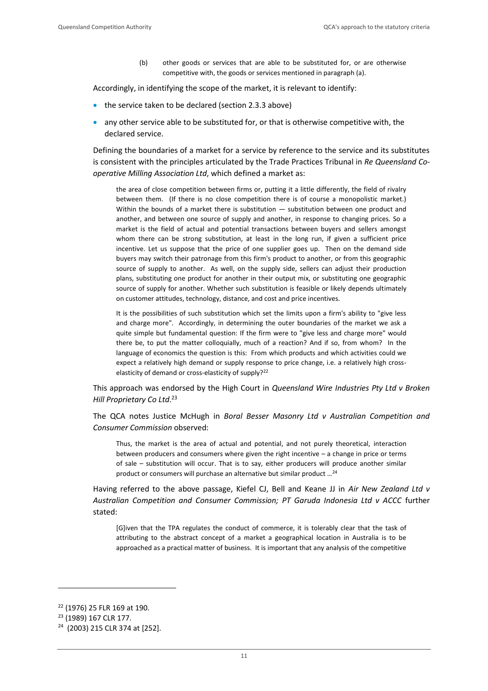(b) other goods or services that are able to be substituted for, or are otherwise competitive with, the goods or services mentioned in paragraph (a).

Accordingly, in identifying the scope of the market, it is relevant to identify:

- the service taken to be declared (section 2.3.3 above)
- any other service able to be substituted for, or that is otherwise competitive with, the declared service.

Defining the boundaries of a market for a service by reference to the service and its substitutes is consistent with the principles articulated by the Trade Practices Tribunal in *Re Queensland Cooperative Milling Association Ltd*, which defined a market as:

the area of close competition between firms or, putting it a little differently, the field of rivalry between them. (If there is no close competition there is of course a monopolistic market.) Within the bounds of a market there is substitution — substitution between one product and another, and between one source of supply and another, in response to changing prices. So a market is the field of actual and potential transactions between buyers and sellers amongst whom there can be strong substitution, at least in the long run, if given a sufficient price incentive. Let us suppose that the price of one supplier goes up. Then on the demand side buyers may switch their patronage from this firm's product to another, or from this geographic source of supply to another. As well, on the supply side, sellers can adjust their production plans, substituting one product for another in their output mix, or substituting one geographic source of supply for another. Whether such substitution is feasible or likely depends ultimately on customer attitudes, technology, distance, and cost and price incentives.

It is the possibilities of such substitution which set the limits upon a firm's ability to "give less and charge more". Accordingly, in determining the outer boundaries of the market we ask a quite simple but fundamental question: If the firm were to "give less and charge more" would there be, to put the matter colloquially, much of a reaction? And if so, from whom? In the language of economics the question is this: From which products and which activities could we expect a relatively high demand or supply response to price change, i.e. a relatively high crosselasticity of demand or cross-elasticity of supply?<sup>22</sup>

This approach was endorsed by the High Court in *Queensland Wire Industries Pty Ltd v Broken Hill Proprietary Co Ltd*. 23

The QCA notes Justice McHugh in *Boral Besser Masonry Ltd v Australian Competition and Consumer Commission* observed:

Thus, the market is the area of actual and potential, and not purely theoretical, interaction between producers and consumers where given the right incentive – a change in price or terms of sale – substitution will occur. That is to say, either producers will produce another similar product or consumers will purchase an alternative but similar product …<sup>24</sup>

Having referred to the above passage, Kiefel CJ, Bell and Keane JJ in *Air New Zealand Ltd v Australian Competition and Consumer Commission; PT Garuda Indonesia Ltd v ACCC* further stated:

[G]iven that the TPA regulates the conduct of commerce, it is tolerably clear that the task of attributing to the abstract concept of a market a geographical location in Australia is to be approached as a practical matter of business. It is important that any analysis of the competitive

<sup>22</sup> (1976) 25 FLR 169 at 190.

<sup>23</sup> (1989) 167 CLR 177.

<sup>24</sup> (2003) 215 CLR 374 at [252].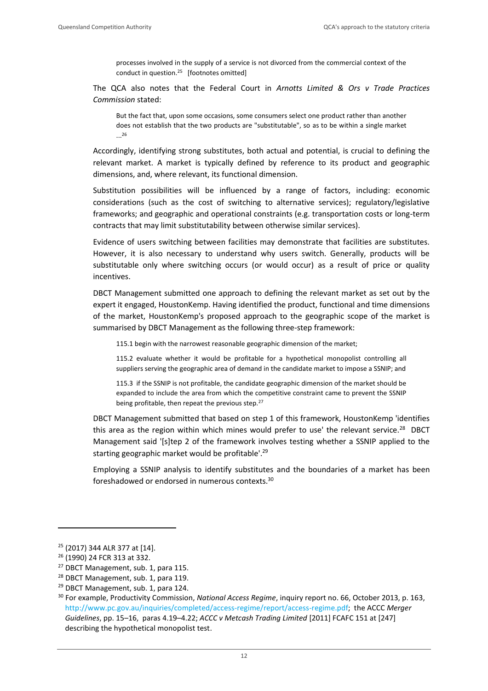processes involved in the supply of a service is not divorced from the commercial context of the conduct in question.<sup>25</sup> [footnotes omitted]

The QCA also notes that the Federal Court in *Arnotts Limited & Ors v Trade Practices Commission* stated:

But the fact that, upon some occasions, some consumers select one product rather than another does not establish that the two products are "substitutable", so as to be within a single market ... 26

Accordingly, identifying strong substitutes, both actual and potential, is crucial to defining the relevant market. A market is typically defined by reference to its product and geographic dimensions, and, where relevant, its functional dimension.

Substitution possibilities will be influenced by a range of factors, including: economic considerations (such as the cost of switching to alternative services); regulatory/legislative frameworks; and geographic and operational constraints (e.g. transportation costs or long-term contracts that may limit substitutability between otherwise similar services).

Evidence of users switching between facilities may demonstrate that facilities are substitutes. However, it is also necessary to understand why users switch. Generally, products will be substitutable only where switching occurs (or would occur) as a result of price or quality incentives.

DBCT Management submitted one approach to defining the relevant market as set out by the expert it engaged, HoustonKemp. Having identified the product, functional and time dimensions of the market, HoustonKemp's proposed approach to the geographic scope of the market is summarised by DBCT Management as the following three-step framework:

115.1 begin with the narrowest reasonable geographic dimension of the market;

115.2 evaluate whether it would be profitable for a hypothetical monopolist controlling all suppliers serving the geographic area of demand in the candidate market to impose a SSNIP; and

115.3 if the SSNIP is not profitable, the candidate geographic dimension of the market should be expanded to include the area from which the competitive constraint came to prevent the SSNIP being profitable, then repeat the previous step.<sup>27</sup>

DBCT Management submitted that based on step 1 of this framework, HoustonKemp 'identifies this area as the region within which mines would prefer to use' the relevant service.<sup>28</sup> DBCT Management said '[s]tep 2 of the framework involves testing whether a SSNIP applied to the starting geographic market would be profitable'.<sup>29</sup>

Employing a SSNIP analysis to identify substitutes and the boundaries of a market has been foreshadowed or endorsed in numerous contexts.<sup>30</sup>

<sup>25</sup> (2017) 344 ALR 377 at [14].

<sup>26</sup> (1990) 24 FCR 313 at 332.

<sup>&</sup>lt;sup>27</sup> DBCT Management, sub. 1, para 115.

<sup>28</sup> DBCT Management, sub. 1, para 119.

<sup>&</sup>lt;sup>29</sup> DBCT Management, sub. 1, para 124.

<sup>30</sup> For example, Productivity Commission, *National Access Regime*, inquiry report no. 66, October 2013, p. 163, http://www.pc.gov.au/inquiries/completed/access-regime/report/access-regime.pdf; the ACCC *Merger Guidelines*, pp. 15–16, paras 4.19–4.22; *ACCC v Metcash Trading Limited* [2011] FCAFC 151 at [247] describing the hypothetical monopolist test.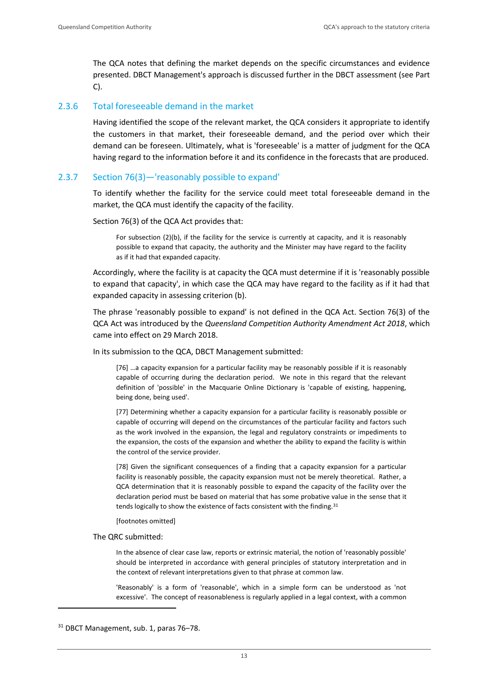The QCA notes that defining the market depends on the specific circumstances and evidence presented. DBCT Management's approach is discussed further in the DBCT assessment (see Part C).

## 2.3.6 Total foreseeable demand in the market

Having identified the scope of the relevant market, the QCA considers it appropriate to identify the customers in that market, their foreseeable demand, and the period over which their demand can be foreseen. Ultimately, what is 'foreseeable' is a matter of judgment for the QCA having regard to the information before it and its confidence in the forecasts that are produced.

#### 2.3.7 Section 76(3)—'reasonably possible to expand'

To identify whether the facility for the service could meet total foreseeable demand in the market, the QCA must identify the capacity of the facility.

Section 76(3) of the QCA Act provides that:

For subsection (2)(b), if the facility for the service is currently at capacity, and it is reasonably possible to expand that capacity, the authority and the Minister may have regard to the facility as if it had that expanded capacity.

Accordingly, where the facility is at capacity the QCA must determine if it is 'reasonably possible to expand that capacity', in which case the QCA may have regard to the facility as if it had that expanded capacity in assessing criterion (b).

The phrase 'reasonably possible to expand' is not defined in the QCA Act. Section 76(3) of the QCA Act was introduced by the *Queensland Competition Authority Amendment Act 2018*, which came into effect on 29 March 2018.

In its submission to the QCA, DBCT Management submitted:

[76] …a capacity expansion for a particular facility may be reasonably possible if it is reasonably capable of occurring during the declaration period. We note in this regard that the relevant definition of 'possible' in the Macquarie Online Dictionary is 'capable of existing, happening, being done, being used'.

[77] Determining whether a capacity expansion for a particular facility is reasonably possible or capable of occurring will depend on the circumstances of the particular facility and factors such as the work involved in the expansion, the legal and regulatory constraints or impediments to the expansion, the costs of the expansion and whether the ability to expand the facility is within the control of the service provider.

[78] Given the significant consequences of a finding that a capacity expansion for a particular facility is reasonably possible, the capacity expansion must not be merely theoretical. Rather, a QCA determination that it is reasonably possible to expand the capacity of the facility over the declaration period must be based on material that has some probative value in the sense that it tends logically to show the existence of facts consistent with the finding.<sup>31</sup>

[footnotes omitted]

#### The QRC submitted:

In the absence of clear case law, reports or extrinsic material, the notion of 'reasonably possible' should be interpreted in accordance with general principles of statutory interpretation and in the context of relevant interpretations given to that phrase at common law.

'Reasonably' is a form of 'reasonable', which in a simple form can be understood as 'not excessive'. The concept of reasonableness is regularly applied in a legal context, with a common

<sup>31</sup> DBCT Management, sub. 1, paras 76–78.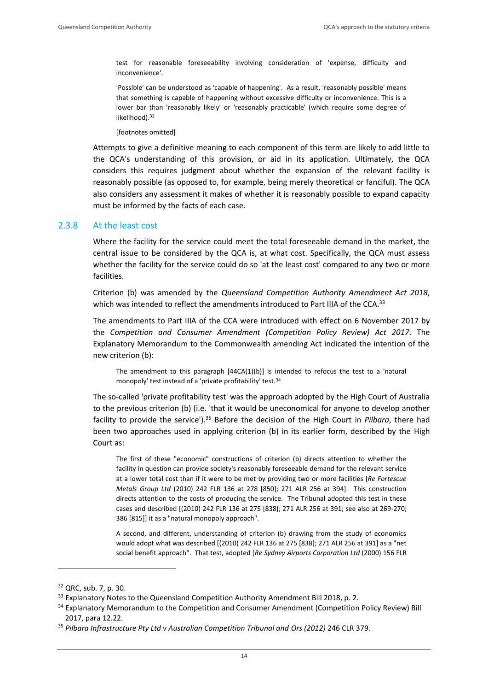test for reasonable foreseeability involving consideration of 'expense, difficulty and inconvenience'.

'Possible' can be understood as 'capable of happening'. As a result, 'reasonably possible' means that something is capable of happening without excessive difficulty or inconvenience. This is a lower bar than 'reasonably likely' or 'reasonably practicable' (which require some degree of likelihood).<sup>32</sup>

[footnotes omitted]

Attempts to give a definitive meaning to each component of this term are likely to add little to the QCA's understanding of this provision, or aid in its application. Ultimately, the QCA considers this requires judgment about whether the expansion of the relevant facility is reasonably possible (as opposed to, for example, being merely theoretical or fanciful). The QCA also considers any assessment it makes of whether it is reasonably possible to expand capacity must be informed by the facts of each case.

#### 2.3.8 At the least cost

Where the facility for the service could meet the total foreseeable demand in the market, the central issue to be considered by the QCA is, at what cost. Specifically, the QCA must assess whether the facility for the service could do so 'at the least cost' compared to any two or more facilities.

Criterion (b) was amended by the *Queensland Competition Authority Amendment Act 2018*, which was intended to reflect the amendments introduced to Part IIIA of the CCA. $33$ 

The amendments to Part IIIA of the CCA were introduced with effect on 6 November 2017 by the *Competition and Consumer Amendment (Competition Policy Review) Act 2017*. The Explanatory Memorandum to the Commonwealth amending Act indicated the intention of the new criterion (b):

The amendment to this paragraph  $[44CA(1)(b)]$  is intended to refocus the test to a 'natural monopoly' test instead of a 'private profitability' test.<sup>34</sup>

The so-called 'private profitability test' was the approach adopted by the High Court of Australia to the previous criterion (b) (i.e. 'that it would be uneconomical for anyone to develop another facility to provide the service').<sup>35</sup> Before the decision of the High Court in *Pilbara*, there had been two approaches used in applying criterion (b) in its earlier form, described by the High Court as:

The first of these "economic" constructions of criterion (b) directs attention to whether the facility in question can provide society's reasonably foreseeable demand for the relevant service at a lower total cost than if it were to be met by providing two or more facilities [*Re Fortescue Metals Group Ltd* (2010) 242 FLR 136 at 278 [850]; 271 ALR 256 at 394]. This construction directs attention to the costs of producing the service. The Tribunal adopted this test in these cases and described [(2010) 242 FLR 136 at 275 [838]; 271 ALR 256 at 391; see also at 269-270; 386 [815]] it as a "natural monopoly approach".

A second, and different, understanding of criterion (b) drawing from the study of economics would adopt what was described [(2010) 242 FLR 136 at 275 [838]; 271 ALR 256 at 391] as a "net social benefit approach". That test, adopted [*Re Sydney Airports Corporation Ltd* (2000) 156 FLR

<sup>32</sup> QRC, sub. 7, p. 30.

<sup>&</sup>lt;sup>33</sup> Explanatory Notes to the Queensland Competition Authority Amendment Bill 2018, p. 2.

<sup>&</sup>lt;sup>34</sup> Explanatory Memorandum to the Competition and Consumer Amendment (Competition Policy Review) Bill 2017, para 12.22.

<sup>35</sup> *Pilbara Infrastructure Pty Ltd v Australian Competition Tribunal and Ors (2012)* 246 CLR 379.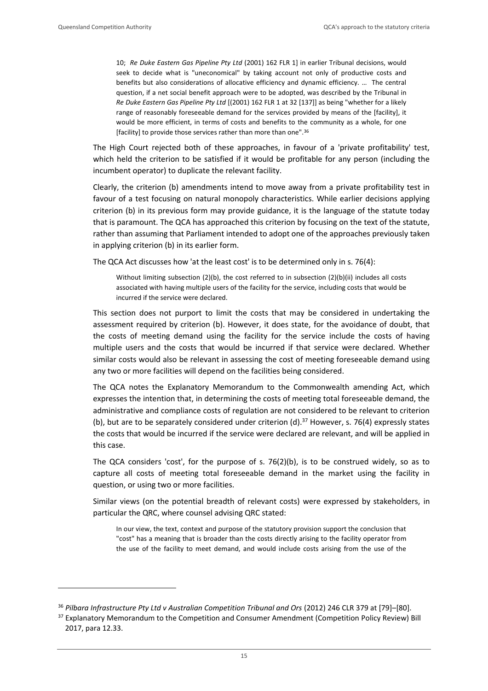$\overline{a}$ 

10; *Re Duke Eastern Gas Pipeline Pty Ltd* (2001) 162 FLR 1] in earlier Tribunal decisions, would seek to decide what is "uneconomical" by taking account not only of productive costs and benefits but also considerations of allocative efficiency and dynamic efficiency. … The central question, if a net social benefit approach were to be adopted, was described by the Tribunal in *Re Duke Eastern Gas Pipeline Pty Ltd* [(2001) 162 FLR 1 at 32 [137]] as being "whether for a likely range of reasonably foreseeable demand for the services provided by means of the [facility], it would be more efficient, in terms of costs and benefits to the community as a whole, for one [facility] to provide those services rather than more than one".<sup>36</sup>

The High Court rejected both of these approaches, in favour of a 'private profitability' test, which held the criterion to be satisfied if it would be profitable for any person (including the incumbent operator) to duplicate the relevant facility.

Clearly, the criterion (b) amendments intend to move away from a private profitability test in favour of a test focusing on natural monopoly characteristics. While earlier decisions applying criterion (b) in its previous form may provide guidance, it is the language of the statute today that is paramount. The QCA has approached this criterion by focusing on the text of the statute, rather than assuming that Parliament intended to adopt one of the approaches previously taken in applying criterion (b) in its earlier form.

The QCA Act discusses how 'at the least cost' is to be determined only in s. 76(4):

Without limiting subsection (2)(b), the cost referred to in subsection (2)(b)(ii) includes all costs associated with having multiple users of the facility for the service, including costs that would be incurred if the service were declared.

This section does not purport to limit the costs that may be considered in undertaking the assessment required by criterion (b). However, it does state, for the avoidance of doubt, that the costs of meeting demand using the facility for the service include the costs of having multiple users and the costs that would be incurred if that service were declared. Whether similar costs would also be relevant in assessing the cost of meeting foreseeable demand using any two or more facilities will depend on the facilities being considered.

The QCA notes the Explanatory Memorandum to the Commonwealth amending Act, which expresses the intention that, in determining the costs of meeting total foreseeable demand, the administrative and compliance costs of regulation are not considered to be relevant to criterion (b), but are to be separately considered under criterion  $(d)$ .<sup>37</sup> However, s. 76(4) expressly states the costs that would be incurred if the service were declared are relevant, and will be applied in this case.

The QCA considers 'cost', for the purpose of s.  $76(2)(b)$ , is to be construed widely, so as to capture all costs of meeting total foreseeable demand in the market using the facility in question, or using two or more facilities.

Similar views (on the potential breadth of relevant costs) were expressed by stakeholders, in particular the QRC, where counsel advising QRC stated:

In our view, the text, context and purpose of the statutory provision support the conclusion that "cost" has a meaning that is broader than the costs directly arising to the facility operator from the use of the facility to meet demand, and would include costs arising from the use of the

<sup>&</sup>lt;sup>36</sup> Pilbara Infrastructure Pty Ltd v Australian Competition Tribunal and Ors (2012) 246 CLR 379 at [79]-[80].

<sup>&</sup>lt;sup>37</sup> Explanatory Memorandum to the Competition and Consumer Amendment (Competition Policy Review) Bill 2017, para 12.33.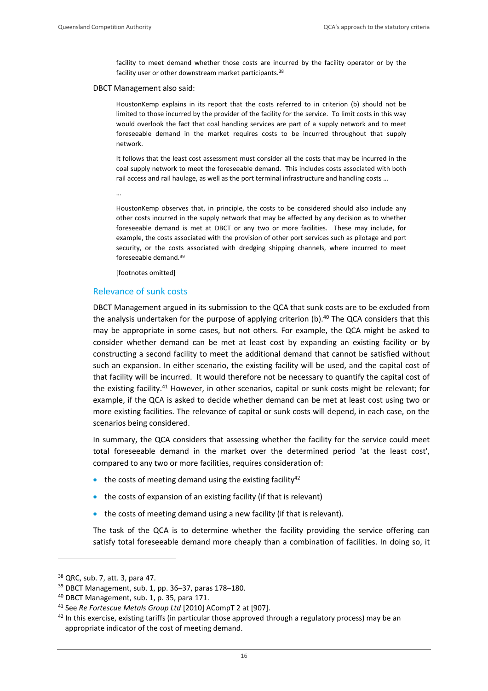facility to meet demand whether those costs are incurred by the facility operator or by the facility user or other downstream market participants.<sup>38</sup>

#### DBCT Management also said:

HoustonKemp explains in its report that the costs referred to in criterion (b) should not be limited to those incurred by the provider of the facility for the service. To limit costs in this way would overlook the fact that coal handling services are part of a supply network and to meet foreseeable demand in the market requires costs to be incurred throughout that supply network.

It follows that the least cost assessment must consider all the costs that may be incurred in the coal supply network to meet the foreseeable demand. This includes costs associated with both rail access and rail haulage, as well as the port terminal infrastructure and handling costs …

…

HoustonKemp observes that, in principle, the costs to be considered should also include any other costs incurred in the supply network that may be affected by any decision as to whether foreseeable demand is met at DBCT or any two or more facilities. These may include, for example, the costs associated with the provision of other port services such as pilotage and port security, or the costs associated with dredging shipping channels, where incurred to meet foreseeable demand.<sup>39</sup>

[footnotes omitted]

#### Relevance of sunk costs

DBCT Management argued in its submission to the QCA that sunk costs are to be excluded from the analysis undertaken for the purpose of applying criterion (b).<sup>40</sup> The QCA considers that this may be appropriate in some cases, but not others. For example, the QCA might be asked to consider whether demand can be met at least cost by expanding an existing facility or by constructing a second facility to meet the additional demand that cannot be satisfied without such an expansion. In either scenario, the existing facility will be used, and the capital cost of that facility will be incurred. It would therefore not be necessary to quantify the capital cost of the existing facility.<sup>41</sup> However, in other scenarios, capital or sunk costs might be relevant; for example, if the QCA is asked to decide whether demand can be met at least cost using two or more existing facilities. The relevance of capital or sunk costs will depend, in each case, on the scenarios being considered.

In summary, the QCA considers that assessing whether the facility for the service could meet total foreseeable demand in the market over the determined period 'at the least cost', compared to any two or more facilities, requires consideration of:

- $\bullet$  the costs of meeting demand using the existing facility<sup>42</sup>
- the costs of expansion of an existing facility (if that is relevant)
- the costs of meeting demand using a new facility (if that is relevant).

The task of the QCA is to determine whether the facility providing the service offering can satisfy total foreseeable demand more cheaply than a combination of facilities. In doing so, it

<sup>38</sup> QRC, sub. 7, att. 3, para 47.

<sup>39</sup> DBCT Management, sub. 1, pp. 36–37, paras 178–180.

<sup>40</sup> DBCT Management, sub. 1, p. 35, para 171.

<sup>41</sup> See *Re Fortescue Metals Group Ltd* [2010] ACompT 2 at [907].

<sup>&</sup>lt;sup>42</sup> In this exercise, existing tariffs (in particular those approved through a regulatory process) may be an appropriate indicator of the cost of meeting demand.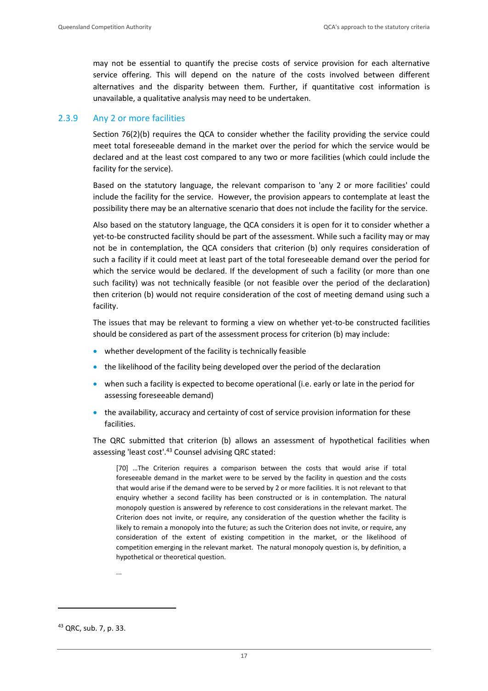may not be essential to quantify the precise costs of service provision for each alternative service offering. This will depend on the nature of the costs involved between different alternatives and the disparity between them. Further, if quantitative cost information is unavailable, a qualitative analysis may need to be undertaken.

## 2.3.9 Any 2 or more facilities

Section 76(2)(b) requires the QCA to consider whether the facility providing the service could meet total foreseeable demand in the market over the period for which the service would be declared and at the least cost compared to any two or more facilities (which could include the facility for the service).

Based on the statutory language, the relevant comparison to 'any 2 or more facilities' could include the facility for the service. However, the provision appears to contemplate at least the possibility there may be an alternative scenario that does not include the facility for the service.

Also based on the statutory language, the QCA considers it is open for it to consider whether a yet-to-be constructed facility should be part of the assessment. While such a facility may or may not be in contemplation, the QCA considers that criterion (b) only requires consideration of such a facility if it could meet at least part of the total foreseeable demand over the period for which the service would be declared. If the development of such a facility (or more than one such facility) was not technically feasible (or not feasible over the period of the declaration) then criterion (b) would not require consideration of the cost of meeting demand using such a facility.

The issues that may be relevant to forming a view on whether yet-to-be constructed facilities should be considered as part of the assessment process for criterion (b) may include:

- whether development of the facility is technically feasible
- the likelihood of the facility being developed over the period of the declaration
- when such a facility is expected to become operational (i.e. early or late in the period for assessing foreseeable demand)
- the availability, accuracy and certainty of cost of service provision information for these facilities.

The QRC submitted that criterion (b) allows an assessment of hypothetical facilities when assessing 'least cost'.<sup>43</sup> Counsel advising QRC stated:

[70] …The Criterion requires a comparison between the costs that would arise if total foreseeable demand in the market were to be served by the facility in question and the costs that would arise if the demand were to be served by 2 or more facilities. It is not relevant to that enquiry whether a second facility has been constructed or is in contemplation. The natural monopoly question is answered by reference to cost considerations in the relevant market. The Criterion does not invite, or require, any consideration of the question whether the facility is likely to remain a monopoly into the future; as such the Criterion does not invite, or require, any consideration of the extent of existing competition in the market, or the likelihood of competition emerging in the relevant market. The natural monopoly question is, by definition, a hypothetical or theoretical question.

...

<sup>43</sup> QRC, sub. 7, p. 33.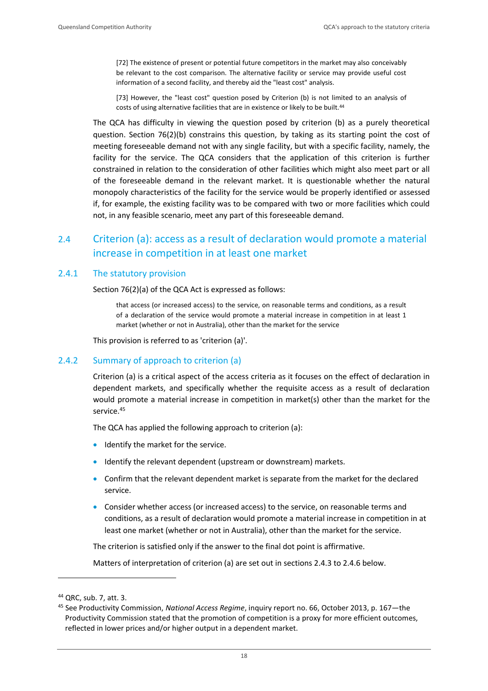[72] The existence of present or potential future competitors in the market may also conceivably be relevant to the cost comparison. The alternative facility or service may provide useful cost information of a second facility, and thereby aid the "least cost" analysis.

[73] However, the "least cost" question posed by Criterion (b) is not limited to an analysis of costs of using alternative facilities that are in existence or likely to be built.<sup>44</sup>

The QCA has difficulty in viewing the question posed by criterion (b) as a purely theoretical question. Section 76(2)(b) constrains this question, by taking as its starting point the cost of meeting foreseeable demand not with any single facility, but with a specific facility, namely, the facility for the service. The QCA considers that the application of this criterion is further constrained in relation to the consideration of other facilities which might also meet part or all of the foreseeable demand in the relevant market. It is questionable whether the natural monopoly characteristics of the facility for the service would be properly identified or assessed if, for example, the existing facility was to be compared with two or more facilities which could not, in any feasible scenario, meet any part of this foreseeable demand.

## <span id="page-24-0"></span>2.4 Criterion (a): access as a result of declaration would promote a material increase in competition in at least one market

## 2.4.1 The statutory provision

Section 76(2)(a) of the QCA Act is expressed as follows:

that access (or increased access) to the service, on reasonable terms and conditions, as a result of a declaration of the service would promote a material increase in competition in at least 1 market (whether or not in Australia), other than the market for the service

This provision is referred to as 'criterion (a)'.

## 2.4.2 Summary of approach to criterion (a)

Criterion (a) is a critical aspect of the access criteria as it focuses on the effect of declaration in dependent markets, and specifically whether the requisite access as a result of declaration would promote a material increase in competition in market(s) other than the market for the service.<sup>45</sup>

The QCA has applied the following approach to criterion (a):

- Identify the market for the service.
- Identify the relevant dependent (upstream or downstream) markets.
- Confirm that the relevant dependent market is separate from the market for the declared service.
- Consider whether access (or increased access) to the service, on reasonable terms and conditions, as a result of declaration would promote a material increase in competition in at least one market (whether or not in Australia), other than the market for the service.

The criterion is satisfied only if the answer to the final dot point is affirmative.

Matters of interpretation of criterion (a) are set out in sections 2.4.3 to 2.4.6 below.

l

<sup>44</sup> QRC, sub. 7, att. 3.

<sup>45</sup> See Productivity Commission, *National Access Regime*, inquiry report no. 66, October 2013, p. 167—the Productivity Commission stated that the promotion of competition is a proxy for more efficient outcomes, reflected in lower prices and/or higher output in a dependent market.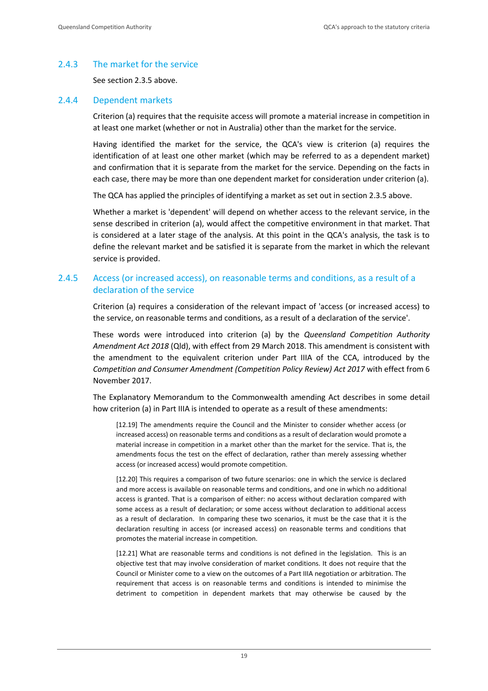## 2.4.3 The market for the service

See section 2.3.5 above.

#### 2.4.4 Dependent markets

Criterion (a) requires that the requisite access will promote a material increase in competition in at least one market (whether or not in Australia) other than the market for the service.

Having identified the market for the service, the QCA's view is criterion (a) requires the identification of at least one other market (which may be referred to as a dependent market) and confirmation that it is separate from the market for the service. Depending on the facts in each case, there may be more than one dependent market for consideration under criterion (a).

The QCA has applied the principles of identifying a market as set out in section 2.3.5 above.

Whether a market is 'dependent' will depend on whether access to the relevant service, in the sense described in criterion (a), would affect the competitive environment in that market. That is considered at a later stage of the analysis. At this point in the QCA's analysis, the task is to define the relevant market and be satisfied it is separate from the market in which the relevant service is provided.

## 2.4.5 Access (or increased access), on reasonable terms and conditions, as a result of a declaration of the service

Criterion (a) requires a consideration of the relevant impact of 'access (or increased access) to the service, on reasonable terms and conditions, as a result of a declaration of the service'.

These words were introduced into criterion (a) by the *Queensland Competition Authority Amendment Act 2018* (Qld), with effect from 29 March 2018. This amendment is consistent with the amendment to the equivalent criterion under Part IIIA of the CCA, introduced by the *Competition and Consumer Amendment (Competition Policy Review) Act 2017* with effect from 6 November 2017.

The Explanatory Memorandum to the Commonwealth amending Act describes in some detail how criterion (a) in Part IIIA is intended to operate as a result of these amendments:

[12.19] The amendments require the Council and the Minister to consider whether access (or increased access) on reasonable terms and conditions as a result of declaration would promote a material increase in competition in a market other than the market for the service. That is, the amendments focus the test on the effect of declaration, rather than merely assessing whether access (or increased access) would promote competition.

[12.20] This requires a comparison of two future scenarios: one in which the service is declared and more access is available on reasonable terms and conditions, and one in which no additional access is granted. That is a comparison of either: no access without declaration compared with some access as a result of declaration; or some access without declaration to additional access as a result of declaration. In comparing these two scenarios, it must be the case that it is the declaration resulting in access (or increased access) on reasonable terms and conditions that promotes the material increase in competition.

[12.21] What are reasonable terms and conditions is not defined in the legislation. This is an objective test that may involve consideration of market conditions. It does not require that the Council or Minister come to a view on the outcomes of a Part IIIA negotiation or arbitration. The requirement that access is on reasonable terms and conditions is intended to minimise the detriment to competition in dependent markets that may otherwise be caused by the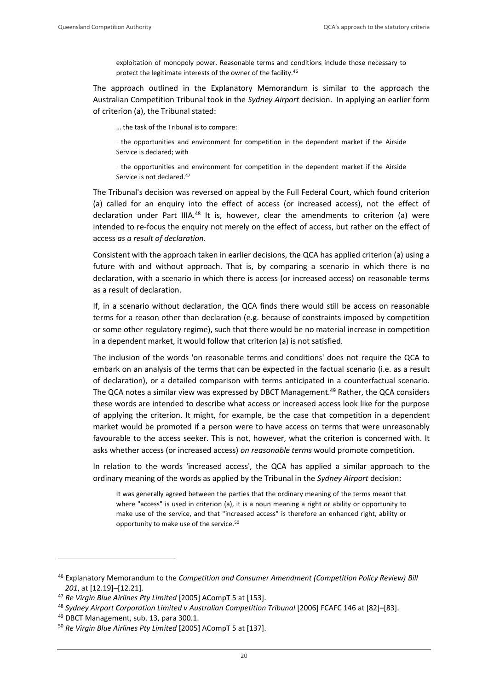exploitation of monopoly power. Reasonable terms and conditions include those necessary to protect the legitimate interests of the owner of the facility.<sup>46</sup>

The approach outlined in the Explanatory Memorandum is similar to the approach the Australian Competition Tribunal took in the *Sydney Airport* decision. In applying an earlier form of criterion (a), the Tribunal stated:

… the task of the Tribunal is to compare:

· the opportunities and environment for competition in the dependent market if the Airside Service is declared; with

· the opportunities and environment for competition in the dependent market if the Airside Service is not declared.<sup>47</sup>

The Tribunal's decision was reversed on appeal by the Full Federal Court, which found criterion (a) called for an enquiry into the effect of access (or increased access), not the effect of declaration under Part IIIA. $48$  It is, however, clear the amendments to criterion (a) were intended to re-focus the enquiry not merely on the effect of access, but rather on the effect of access *as a result of declaration*.

Consistent with the approach taken in earlier decisions, the QCA has applied criterion (a) using a future with and without approach. That is, by comparing a scenario in which there is no declaration, with a scenario in which there is access (or increased access) on reasonable terms as a result of declaration.

If, in a scenario without declaration, the QCA finds there would still be access on reasonable terms for a reason other than declaration (e.g. because of constraints imposed by competition or some other regulatory regime), such that there would be no material increase in competition in a dependent market, it would follow that criterion (a) is not satisfied.

The inclusion of the words 'on reasonable terms and conditions' does not require the QCA to embark on an analysis of the terms that can be expected in the factual scenario (i.e. as a result of declaration), or a detailed comparison with terms anticipated in a counterfactual scenario. The QCA notes a similar view was expressed by DBCT Management.<sup>49</sup> Rather, the QCA considers these words are intended to describe what access or increased access look like for the purpose of applying the criterion. It might, for example, be the case that competition in a dependent market would be promoted if a person were to have access on terms that were unreasonably favourable to the access seeker. This is not, however, what the criterion is concerned with. It asks whether access (or increased access) *on reasonable terms* would promote competition.

In relation to the words 'increased access', the QCA has applied a similar approach to the ordinary meaning of the words as applied by the Tribunal in the *Sydney Airport* decision:

It was generally agreed between the parties that the ordinary meaning of the terms meant that where "access" is used in criterion (a), it is a noun meaning a right or ability or opportunity to make use of the service, and that "increased access" is therefore an enhanced right, ability or opportunity to make use of the service.<sup>50</sup>

l

<sup>46</sup> Explanatory Memorandum to the *Competition and Consumer Amendment (Competition Policy Review) Bill 201*, at [12.19]–[12.21].

<sup>47</sup> *Re Virgin Blue Airlines Pty Limited* [2005] ACompT 5 at [153].

<sup>48</sup> *Sydney Airport Corporation Limited v Australian Competition Tribunal* [2006] FCAFC 146 at [82]–[83].

<sup>49</sup> DBCT Management, sub. 13, para 300.1.

<sup>50</sup> *Re Virgin Blue Airlines Pty Limited* [2005] ACompT 5 at [137].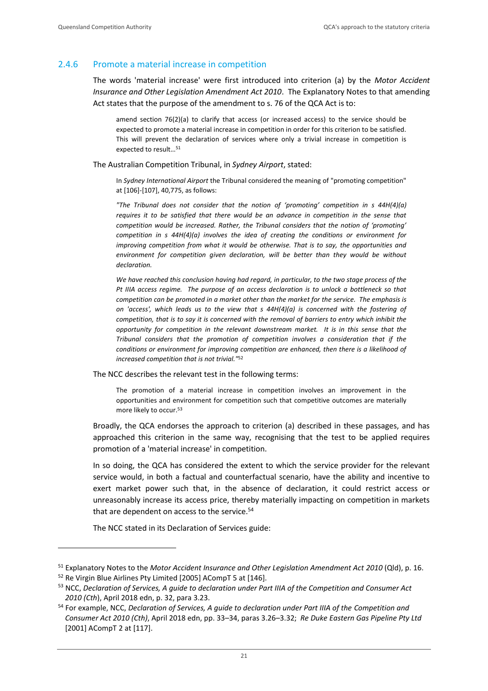## 2.4.6 Promote a material increase in competition

The words 'material increase' were first introduced into criterion (a) by the *Motor Accident Insurance and Other Legislation Amendment Act 2010*. The Explanatory Notes to that amending Act states that the purpose of the amendment to s. 76 of the QCA Act is to:

amend section  $76(2)(a)$  to clarify that access (or increased access) to the service should be expected to promote a material increase in competition in order for this criterion to be satisfied. This will prevent the declaration of services where only a trivial increase in competition is expected to result…<sup>51</sup>

The Australian Competition Tribunal, in *Sydney Airport*, stated:

In *Sydney International Airport* the Tribunal considered the meaning of "promoting competition" at [106]-[107], 40,775, as follows:

*"The Tribunal does not consider that the notion of 'promoting' competition in s 44H(4)(a) requires it to be satisfied that there would be an advance in competition in the sense that competition would be increased. Rather, the Tribunal considers that the notion of 'promoting' competition in s 44H(4)(a) involves the idea of creating the conditions or environment for improving competition from what it would be otherwise. That is to say, the opportunities and environment for competition given declaration, will be better than they would be without declaration.*

*We have reached this conclusion having had regard, in particular, to the two stage process of the Pt IIIA access regime. The purpose of an access declaration is to unlock a bottleneck so that competition can be promoted in a market other than the market for the service. The emphasis is on 'access', which leads us to the view that s 44H(4)(a) is concerned with the fostering of competition, that is to say it is concerned with the removal of barriers to entry which inhibit the opportunity for competition in the relevant downstream market. It is in this sense that the Tribunal considers that the promotion of competition involves a consideration that if the conditions or environment for improving competition are enhanced, then there is a likelihood of increased competition that is not trivial."*<sup>52</sup>

The NCC describes the relevant test in the following terms:

The promotion of a material increase in competition involves an improvement in the opportunities and environment for competition such that competitive outcomes are materially more likely to occur.<sup>53</sup>

Broadly, the QCA endorses the approach to criterion (a) described in these passages, and has approached this criterion in the same way, recognising that the test to be applied requires promotion of a 'material increase' in competition.

In so doing, the QCA has considered the extent to which the service provider for the relevant service would, in both a factual and counterfactual scenario, have the ability and incentive to exert market power such that, in the absence of declaration, it could restrict access or unreasonably increase its access price, thereby materially impacting on competition in markets that are dependent on access to the service.<sup>54</sup>

The NCC stated in its Declaration of Services guide:

<sup>51</sup> Explanatory Notes to the *Motor Accident Insurance and Other Legislation Amendment Act 2010* (Qld), p. 16.

<sup>52</sup> Re Virgin Blue Airlines Pty Limited [2005] ACompT 5 at [146].

<sup>53</sup> NCC, *Declaration of Services, A guide to declaration under Part IIIA of the Competition and Consumer Act 2010 (Cth*), April 2018 edn, p. 32, para 3.23.

<sup>54</sup> For example, NCC, *Declaration of Services, A guide to declaration under Part IIIA of the Competition and Consumer Act 2010 (Cth)*, April 2018 edn, pp. 33–34, paras 3.26–3.32; *Re Duke Eastern Gas Pipeline Pty Ltd* [2001] ACompT 2 at [117].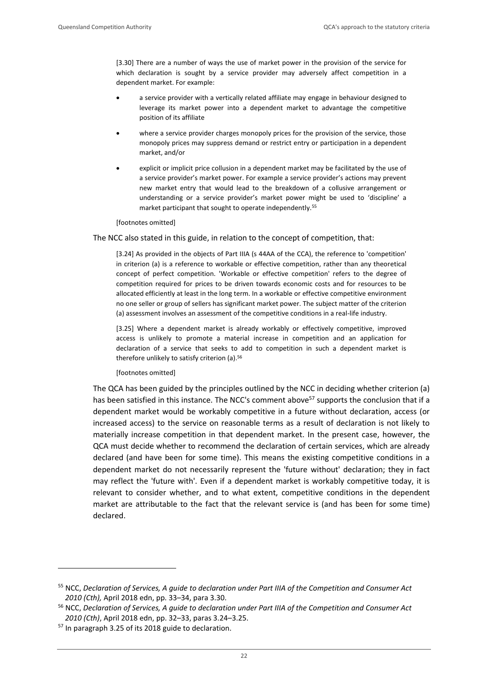[3.30] There are a number of ways the use of market power in the provision of the service for which declaration is sought by a service provider may adversely affect competition in a dependent market. For example:

- a service provider with a vertically related affiliate may engage in behaviour designed to leverage its market power into a dependent market to advantage the competitive position of its affiliate
- where a service provider charges monopoly prices for the provision of the service, those monopoly prices may suppress demand or restrict entry or participation in a dependent market, and/or
- explicit or implicit price collusion in a dependent market may be facilitated by the use of a service provider's market power. For example a service provider's actions may prevent new market entry that would lead to the breakdown of a collusive arrangement or understanding or a service provider's market power might be used to 'discipline' a market participant that sought to operate independently.<sup>55</sup>

#### [footnotes omitted]

The NCC also stated in this guide, in relation to the concept of competition, that:

[3.24] As provided in the objects of Part IIIA (s 44AA of the CCA), the reference to 'competition' in criterion (a) is a reference to workable or effective competition, rather than any theoretical concept of perfect competition. 'Workable or effective competition' refers to the degree of competition required for prices to be driven towards economic costs and for resources to be allocated efficiently at least in the long term. In a workable or effective competitive environment no one seller or group of sellers has significant market power. The subject matter of the criterion (a) assessment involves an assessment of the competitive conditions in a real-life industry.

[3.25] Where a dependent market is already workably or effectively competitive, improved access is unlikely to promote a material increase in competition and an application for declaration of a service that seeks to add to competition in such a dependent market is therefore unlikely to satisfy criterion (a).<sup>56</sup>

[footnotes omitted]

The QCA has been guided by the principles outlined by the NCC in deciding whether criterion (a) has been satisfied in this instance. The NCC's comment above<sup>57</sup> supports the conclusion that if a dependent market would be workably competitive in a future without declaration, access (or increased access) to the service on reasonable terms as a result of declaration is not likely to materially increase competition in that dependent market. In the present case, however, the QCA must decide whether to recommend the declaration of certain services, which are already declared (and have been for some time). This means the existing competitive conditions in a dependent market do not necessarily represent the 'future without' declaration; they in fact may reflect the 'future with'. Even if a dependent market is workably competitive today, it is relevant to consider whether, and to what extent, competitive conditions in the dependent market are attributable to the fact that the relevant service is (and has been for some time) declared.

<sup>55</sup> NCC, *Declaration of Services, A guide to declaration under Part IIIA of the Competition and Consumer Act 2010 (Cth),* April 2018 edn, pp. 33–34, para 3.30.

<sup>56</sup> NCC, *Declaration of Services, A guide to declaration under Part IIIA of the Competition and Consumer Act 2010 (Cth)*, April 2018 edn, pp. 32–33, paras 3.24–3.25.

<sup>57</sup> In paragraph 3.25 of its 2018 guide to declaration.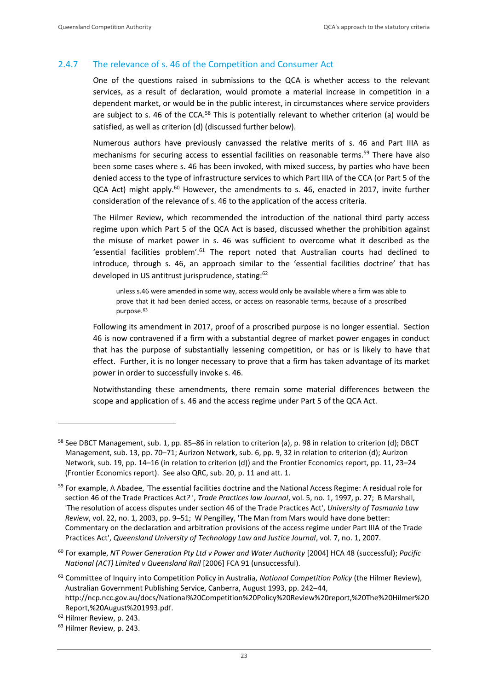## 2.4.7 The relevance of s. 46 of the Competition and Consumer Act

One of the questions raised in submissions to the QCA is whether access to the relevant services, as a result of declaration, would promote a material increase in competition in a dependent market, or would be in the public interest, in circumstances where service providers are subject to s. 46 of the CCA.<sup>58</sup> This is potentially relevant to whether criterion (a) would be satisfied, as well as criterion (d) (discussed further below).

Numerous authors have previously canvassed the relative merits of s. 46 and Part IIIA as mechanisms for securing access to essential facilities on reasonable terms.<sup>59</sup> There have also been some cases where s. 46 has been invoked, with mixed success, by parties who have been denied access to the type of infrastructure services to which Part IIIA of the CCA (or Part 5 of the QCA Act) might apply.<sup>60</sup> However, the amendments to s. 46, enacted in 2017, invite further consideration of the relevance of s. 46 to the application of the access criteria.

The Hilmer Review, which recommended the introduction of the national third party access regime upon which Part 5 of the QCA Act is based, discussed whether the prohibition against the misuse of market power in s. 46 was sufficient to overcome what it described as the 'essential facilities problem'. $61$  The report noted that Australian courts had declined to introduce, through s. 46, an approach similar to the 'essential facilities doctrine' that has developed in US antitrust jurisprudence, stating:<sup>62</sup>

unless s.46 were amended in some way, access would only be available where a firm was able to prove that it had been denied access, or access on reasonable terms, because of a proscribed purpose.<sup>63</sup>

Following its amendment in 2017, proof of a proscribed purpose is no longer essential. Section 46 is now contravened if a firm with a substantial degree of market power engages in conduct that has the purpose of substantially lessening competition, or has or is likely to have that effect. Further, it is no longer necessary to prove that a firm has taken advantage of its market power in order to successfully invoke s. 46.

Notwithstanding these amendments, there remain some material differences between the scope and application of s. 46 and the access regime under Part 5 of the QCA Act.

 $\overline{\phantom{a}}$ 

<sup>&</sup>lt;sup>58</sup> See DBCT Management, sub. 1, pp. 85–86 in relation to criterion (a), p. 98 in relation to criterion (d); DBCT Management, sub. 13, pp. 70–71; Aurizon Network, sub. 6, pp. 9, 32 in relation to criterion (d); Aurizon Network, sub. 19, pp. 14–16 (in relation to criterion (d)) and the Frontier Economics report, pp. 11, 23–24 (Frontier Economics report). See also QRC, sub. 20, p. 11 and att. 1.

<sup>&</sup>lt;sup>59</sup> For example, A Abadee, 'The essential facilities doctrine and the National Access Regime: A residual role for section 46 of the Trade Practices Act*?* ', *Trade Practices law Journal*, vol. 5, no. 1, 1997, p. 27; B Marshall, 'The resolution of access disputes under section 46 of the Trade Practices Act', *University of Tasmania Law Review*, vol. 22, no. 1, 2003, pp. 9–51; W Pengilley, 'The Man from Mars would have done better: Commentary on the declaration and arbitration provisions of the access regime under Part IIIA of the Trade Practices Act', *Queensland University of Technology Law and Justice Journal*, vol. 7, no. 1, 2007.

<sup>60</sup> For example, *NT Power Generation Pty Ltd v Power and Water Authority* [2004] HCA 48 (successful); *Pacific National (ACT) Limited v Queensland Rail* [2006] FCA 91 (unsuccessful).

<sup>61</sup> Committee of Inquiry into Competition Policy in Australia, *National Competition Policy* (the Hilmer Review), Australian Government Publishing Service, Canberra, August 1993, pp. 242–44, http://ncp.ncc.gov.au/docs/National%20Competition%20Policy%20Review%20report,%20The%20Hilmer%20 Report,%20August%201993.pdf.

<sup>62</sup> Hilmer Review, p. 243.

<sup>63</sup> Hilmer Review, p. 243.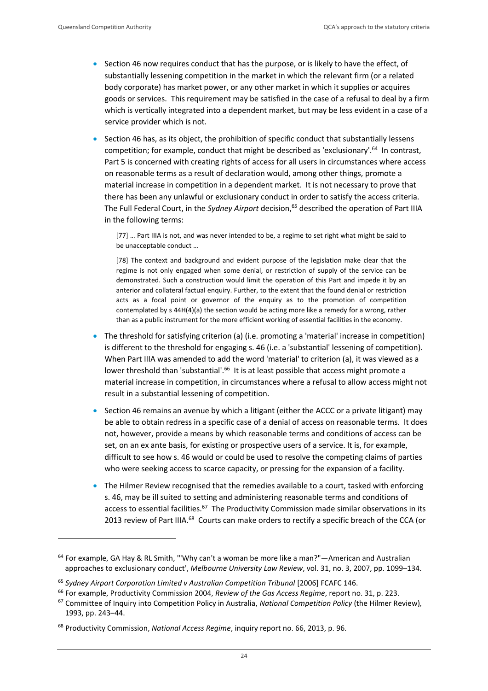$\overline{a}$ 

- Section 46 now requires conduct that has the purpose, or is likely to have the effect, of substantially lessening competition in the market in which the relevant firm (or a related body corporate) has market power, or any other market in which it supplies or acquires goods or services. This requirement may be satisfied in the case of a refusal to deal by a firm which is vertically integrated into a dependent market, but may be less evident in a case of a service provider which is not.
- Section 46 has, as its object, the prohibition of specific conduct that substantially lessens competition; for example, conduct that might be described as 'exclusionary'.<sup>64</sup> In contrast, Part 5 is concerned with creating rights of access for all users in circumstances where access on reasonable terms as a result of declaration would, among other things, promote a material increase in competition in a dependent market. It is not necessary to prove that there has been any unlawful or exclusionary conduct in order to satisfy the access criteria. The Full Federal Court, in the *Sydney Airport* decision,<sup>65</sup> described the operation of Part IIIA in the following terms:

[77] … Part IIIA is not, and was never intended to be, a regime to set right what might be said to be unacceptable conduct …

[78] The context and background and evident purpose of the legislation make clear that the regime is not only engaged when some denial, or restriction of supply of the service can be demonstrated. Such a construction would limit the operation of this Part and impede it by an anterior and collateral factual enquiry. Further, to the extent that the found denial or restriction acts as a focal point or governor of the enquiry as to the promotion of competition contemplated by s 44H(4)(a) the section would be acting more like a remedy for a wrong, rather than as a public instrument for the more efficient working of essential facilities in the economy.

- The threshold for satisfying criterion (a) (i.e. promoting a 'material' increase in competition) is different to the threshold for engaging s. 46 (i.e. a 'substantial' lessening of competition). When Part IIIA was amended to add the word 'material' to criterion (a), it was viewed as a lower threshold than 'substantial'.<sup>66</sup> It is at least possible that access might promote a material increase in competition, in circumstances where a refusal to allow access might not result in a substantial lessening of competition.
- Section 46 remains an avenue by which a litigant (either the ACCC or a private litigant) may be able to obtain redress in a specific case of a denial of access on reasonable terms. It does not, however, provide a means by which reasonable terms and conditions of access can be set, on an ex ante basis, for existing or prospective users of a service. It is, for example, difficult to see how s. 46 would or could be used to resolve the competing claims of parties who were seeking access to scarce capacity, or pressing for the expansion of a facility.
- The Hilmer Review recognised that the remedies available to a court, tasked with enforcing s. 46, may be ill suited to setting and administering reasonable terms and conditions of access to essential facilities.<sup>67</sup> The Productivity Commission made similar observations in its 2013 review of Part IIIA.<sup>68</sup> Courts can make orders to rectify a specific breach of the CCA (or

<sup>&</sup>lt;sup>64</sup> For example, GA Hay & RL Smith, "'Why can't a woman be more like a man?"—American and Australian approaches to exclusionary conduct', *Melbourne University Law Review*, vol. 31, no. 3, 2007, pp. 1099–134.

<sup>65</sup> *Sydney Airport Corporation Limited v Australian Competition Tribunal* [2006] FCAFC 146.

<sup>66</sup> For example, Productivity Commission 2004, *Review of the Gas Access Regime*, report no. 31, p. 223.

<sup>67</sup> Committee of Inquiry into Competition Policy in Australia, *National Competition Policy* (the Hilmer Review)*,*  1993, pp. 243–44.

<sup>68</sup> Productivity Commission, *National Access Regime*, inquiry report no. 66, 2013, p. 96.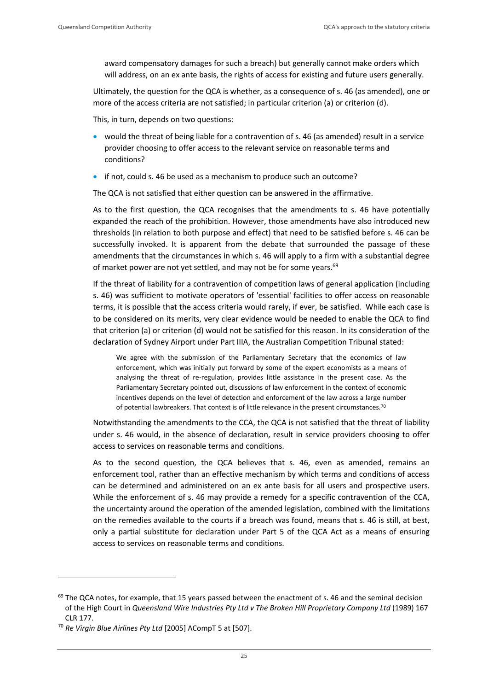award compensatory damages for such a breach) but generally cannot make orders which will address, on an ex ante basis, the rights of access for existing and future users generally.

Ultimately, the question for the QCA is whether, as a consequence of s. 46 (as amended), one or more of the access criteria are not satisfied; in particular criterion (a) or criterion (d).

This, in turn, depends on two questions:

- would the threat of being liable for a contravention of s. 46 (as amended) result in a service provider choosing to offer access to the relevant service on reasonable terms and conditions?
- if not, could s. 46 be used as a mechanism to produce such an outcome?

The QCA is not satisfied that either question can be answered in the affirmative.

As to the first question, the QCA recognises that the amendments to s. 46 have potentially expanded the reach of the prohibition. However, those amendments have also introduced new thresholds (in relation to both purpose and effect) that need to be satisfied before s. 46 can be successfully invoked. It is apparent from the debate that surrounded the passage of these amendments that the circumstances in which s. 46 will apply to a firm with a substantial degree of market power are not yet settled, and may not be for some years.<sup>69</sup>

If the threat of liability for a contravention of competition laws of general application (including s. 46) was sufficient to motivate operators of 'essential' facilities to offer access on reasonable terms, it is possible that the access criteria would rarely, if ever, be satisfied. While each case is to be considered on its merits, very clear evidence would be needed to enable the QCA to find that criterion (a) or criterion (d) would not be satisfied for this reason. In its consideration of the declaration of Sydney Airport under Part IIIA, the Australian Competition Tribunal stated:

We agree with the submission of the Parliamentary Secretary that the economics of law enforcement, which was initially put forward by some of the expert economists as a means of analysing the threat of re-regulation, provides little assistance in the present case. As the Parliamentary Secretary pointed out, discussions of law enforcement in the context of economic incentives depends on the level of detection and enforcement of the law across a large number of potential lawbreakers. That context is of little relevance in the present circumstances.<sup>70</sup>

Notwithstanding the amendments to the CCA, the QCA is not satisfied that the threat of liability under s. 46 would, in the absence of declaration, result in service providers choosing to offer access to services on reasonable terms and conditions.

As to the second question, the QCA believes that s. 46, even as amended, remains an enforcement tool, rather than an effective mechanism by which terms and conditions of access can be determined and administered on an ex ante basis for all users and prospective users. While the enforcement of s. 46 may provide a remedy for a specific contravention of the CCA, the uncertainty around the operation of the amended legislation, combined with the limitations on the remedies available to the courts if a breach was found, means that s. 46 is still, at best, only a partial substitute for declaration under Part 5 of the QCA Act as a means of ensuring access to services on reasonable terms and conditions.

l

 $69$  The QCA notes, for example, that 15 years passed between the enactment of s. 46 and the seminal decision of the High Court in *Queensland Wire Industries Pty Ltd v The Broken Hill Proprietary Company Ltd* (1989) 167 CLR 177.

<sup>70</sup> *Re Virgin Blue Airlines Pty Ltd* [2005] ACompT 5 at [507].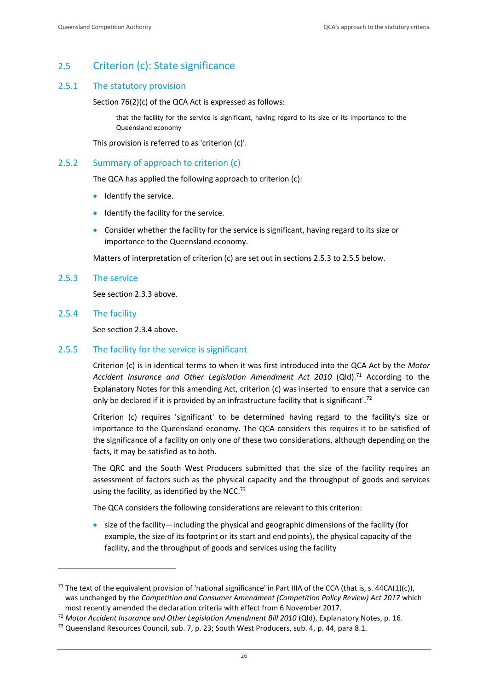## <span id="page-32-0"></span>2.5 Criterion (c): State significance

## 2.5.1 The statutory provision

Section 76(2)(c) of the QCA Act is expressed as follows:

that the facility for the service is significant, having regard to its size or its importance to the Queensland economy

This provision is referred to as 'criterion (c)'.

## 2.5.2 Summary of approach to criterion (c)

The QCA has applied the following approach to criterion (c):

- **Identify the service.**
- **IDENTIFY THE facility for the service.**
- Consider whether the facility for the service is significant, having regard to its size or importance to the Queensland economy.

Matters of interpretation of criterion (c) are set out in sections 2.5.3 to 2.5.5 below.

## 2.5.3 The service

See section 2.3.3 above.

## 2.5.4 The facility

 $\overline{a}$ 

See section 2.3.4 above.

## 2.5.5 The facility for the service is significant

Criterion (c) is in identical terms to when it was first introduced into the QCA Act by the *Motor*  Accident Insurance and Other Legislation Amendment Act 2010 (Qld).<sup>71</sup> According to the Explanatory Notes for this amending Act, criterion (c) was inserted 'to ensure that a service can only be declared if it is provided by an infrastructure facility that is significant'.<sup>72</sup>

Criterion (c) requires 'significant' to be determined having regard to the facility's size or importance to the Queensland economy. The QCA considers this requires it to be satisfied of the significance of a facility on only one of these two considerations, although depending on the facts, it may be satisfied as to both.

The QRC and the South West Producers submitted that the size of the facility requires an assessment of factors such as the physical capacity and the throughput of goods and services using the facility, as identified by the NCC. $73$ 

The QCA considers the following considerations are relevant to this criterion:

 size of the facility—including the physical and geographic dimensions of the facility (for example, the size of its footprint or its start and end points), the physical capacity of the facility, and the throughput of goods and services using the facility

<sup>&</sup>lt;sup>71</sup> The text of the equivalent provision of 'national significance' in Part IIIA of the CCA (that is, s. 44CA(1)(c)), was unchanged by the *Competition and Consumer Amendment (Competition Policy Review) Act 2017* which most recently amended the declaration criteria with effect from 6 November 2017.

<sup>72</sup> *Motor Accident Insurance and Other Legislation Amendment Bill 2010* (Qld), Explanatory Notes, p. 16.

<sup>73</sup> Queensland Resources Council, sub. 7, p. 23; South West Producers, sub. 4, p. 44, para 8.1.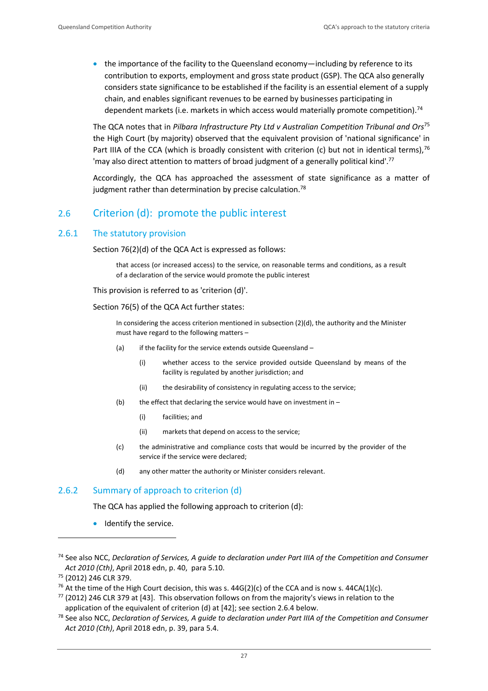• the importance of the facility to the Queensland economy—including by reference to its contribution to exports, employment and gross state product (GSP). The QCA also generally considers state significance to be established if the facility is an essential element of a supply chain, and enables significant revenues to be earned by businesses participating in dependent markets (i.e. markets in which access would materially promote competition).<sup>74</sup>

The QCA notes that in *Pilbara Infrastructure Pty Ltd v Australian Competition Tribunal and Ors*<sup>75</sup> the High Court (by majority) observed that the equivalent provision of 'national significance' in Part IIIA of the CCA (which is broadly consistent with criterion (c) but not in identical terms),<sup>76</sup> 'may also direct attention to matters of broad judgment of a generally political kind'.<sup>77</sup>

Accordingly, the QCA has approached the assessment of state significance as a matter of judgment rather than determination by precise calculation.<sup>78</sup>

## <span id="page-33-0"></span>2.6 Criterion (d): promote the public interest

#### 2.6.1 The statutory provision

Section 76(2)(d) of the QCA Act is expressed as follows:

that access (or increased access) to the service, on reasonable terms and conditions, as a result of a declaration of the service would promote the public interest

This provision is referred to as 'criterion (d)'.

#### Section 76(5) of the QCA Act further states:

In considering the access criterion mentioned in subsection (2)(d), the authority and the Minister must have regard to the following matters –

- (a) if the facility for the service extends outside Queensland
	- (i) whether access to the service provided outside Queensland by means of the facility is regulated by another jurisdiction; and
	- (ii) the desirability of consistency in regulating access to the service:
- (b) the effect that declaring the service would have on investment in  $-$ 
	- (i) facilities; and
	- (ii) markets that depend on access to the service;
- (c) the administrative and compliance costs that would be incurred by the provider of the service if the service were declared;
- (d) any other matter the authority or Minister considers relevant.

## 2.6.2 Summary of approach to criterion (d)

The QCA has applied the following approach to criterion (d):

**Identify the service.** 

<sup>74</sup> See also NCC, *Declaration of Services, A guide to declaration under Part IIIA of the Competition and Consumer Act 2010 (Cth)*, April 2018 edn, p. 40, para 5.10.

<sup>75</sup> (2012) 246 CLR 379.

<sup>&</sup>lt;sup>76</sup> At the time of the High Court decision, this was s.  $44G(2)(c)$  of the CCA and is now s.  $44C(A(1)(c)$ .

<sup>77</sup> (2012) 246 CLR 379 at [43]. This observation follows on from the majority's views in relation to the application of the equivalent of criterion (d) at [42]; see section 2.6.4 below.

<sup>78</sup> See also NCC, *Declaration of Services, A guide to declaration under Part IIIA of the Competition and Consumer Act 2010 (Cth)*, April 2018 edn, p. 39, para 5.4.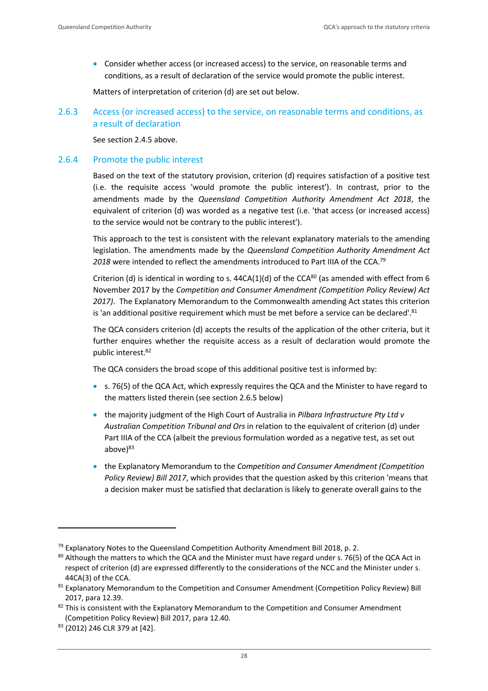Consider whether access (or increased access) to the service, on reasonable terms and conditions, as a result of declaration of the service would promote the public interest.

Matters of interpretation of criterion (d) are set out below.

2.6.3 Access (or increased access) to the service, on reasonable terms and conditions, as a result of declaration

See section 2.4.5 above.

## 2.6.4 Promote the public interest

Based on the text of the statutory provision, criterion (d) requires satisfaction of a positive test (i.e. the requisite access 'would promote the public interest'). In contrast, prior to the amendments made by the *Queensland Competition Authority Amendment Act 2018*, the equivalent of criterion (d) was worded as a negative test (i.e. 'that access (or increased access) to the service would not be contrary to the public interest').

This approach to the test is consistent with the relevant explanatory materials to the amending legislation. The amendments made by the *Queensland Competition Authority Amendment Act 2018* were intended to reflect the amendments introduced to Part IIIA of the CCA.<sup>79</sup>

Criterion (d) is identical in wording to s.  $44CA(1)(d)$  of the CCA<sup>80</sup> (as amended with effect from 6 November 2017 by the *Competition and Consumer Amendment (Competition Policy Review) Act 2017)*. The Explanatory Memorandum to the Commonwealth amending Act states this criterion is 'an additional positive requirement which must be met before a service can be declared'.<sup>81</sup>

The QCA considers criterion (d) accepts the results of the application of the other criteria, but it further enquires whether the requisite access as a result of declaration would promote the public interest.<sup>82</sup>

The QCA considers the broad scope of this additional positive test is informed by:

- s. 76(5) of the QCA Act, which expressly requires the QCA and the Minister to have regard to the matters listed therein (see section 2.6.5 below)
- the majority judgment of the High Court of Australia in *Pilbara Infrastructure Pty Ltd v Australian Competition Tribunal and Ors* in relation to the equivalent of criterion (d) under Part IIIA of the CCA (albeit the previous formulation worded as a negative test, as set out above $)^{83}$
- the Explanatory Memorandum to the *Competition and Consumer Amendment (Competition Policy Review) Bill 2017*, which provides that the question asked by this criterion 'means that a decision maker must be satisfied that declaration is likely to generate overall gains to the

 $79$  Explanatory Notes to the Queensland Competition Authority Amendment Bill 2018, p. 2.

<sup>80</sup> Although the matters to which the QCA and the Minister must have regard under s. 76(5) of the QCA Act in respect of criterion (d) are expressed differently to the considerations of the NCC and the Minister under s. 44CA(3) of the CCA.

<sup>81</sup> Explanatory Memorandum to the Competition and Consumer Amendment (Competition Policy Review) Bill 2017, para 12.39.

<sup>82</sup> This is consistent with the Explanatory Memorandum to the Competition and Consumer Amendment (Competition Policy Review) Bill 2017, para 12.40.

<sup>83</sup> (2012) 246 CLR 379 at [42].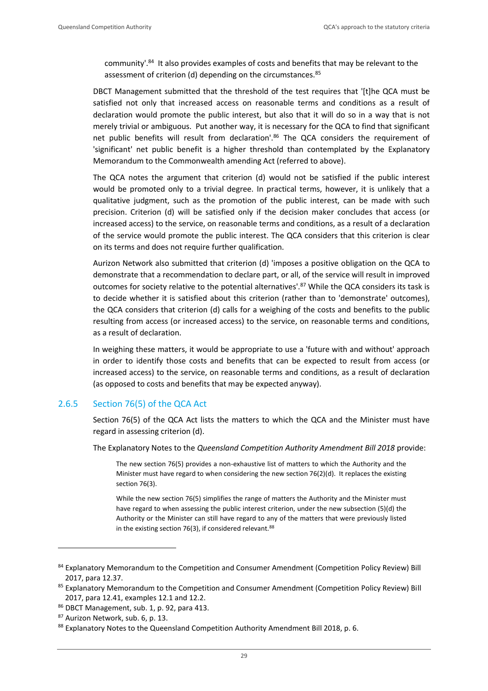community<sup>'.84</sup> It also provides examples of costs and benefits that may be relevant to the assessment of criterion (d) depending on the circumstances.<sup>85</sup>

DBCT Management submitted that the threshold of the test requires that '[t]he QCA must be satisfied not only that increased access on reasonable terms and conditions as a result of declaration would promote the public interest, but also that it will do so in a way that is not merely trivial or ambiguous. Put another way, it is necessary for the QCA to find that significant net public benefits will result from declaration'.<sup>86</sup> The QCA considers the requirement of 'significant' net public benefit is a higher threshold than contemplated by the Explanatory Memorandum to the Commonwealth amending Act (referred to above).

The QCA notes the argument that criterion (d) would not be satisfied if the public interest would be promoted only to a trivial degree. In practical terms, however, it is unlikely that a qualitative judgment, such as the promotion of the public interest, can be made with such precision. Criterion (d) will be satisfied only if the decision maker concludes that access (or increased access) to the service, on reasonable terms and conditions, as a result of a declaration of the service would promote the public interest. The QCA considers that this criterion is clear on its terms and does not require further qualification.

Aurizon Network also submitted that criterion (d) 'imposes a positive obligation on the QCA to demonstrate that a recommendation to declare part, or all, of the service will result in improved outcomes for society relative to the potential alternatives'.<sup>87</sup> While the QCA considers its task is to decide whether it is satisfied about this criterion (rather than to 'demonstrate' outcomes), the QCA considers that criterion (d) calls for a weighing of the costs and benefits to the public resulting from access (or increased access) to the service, on reasonable terms and conditions, as a result of declaration.

In weighing these matters, it would be appropriate to use a 'future with and without' approach in order to identify those costs and benefits that can be expected to result from access (or increased access) to the service, on reasonable terms and conditions, as a result of declaration (as opposed to costs and benefits that may be expected anyway).

## 2.6.5 Section 76(5) of the QCA Act

Section 76(5) of the QCA Act lists the matters to which the QCA and the Minister must have regard in assessing criterion (d).

The Explanatory Notes to the *Queensland Competition Authority Amendment Bill 2018* provide:

The new section 76(5) provides a non-exhaustive list of matters to which the Authority and the Minister must have regard to when considering the new section 76(2)(d). It replaces the existing section 76(3).

While the new section 76(5) simplifies the range of matters the Authority and the Minister must have regard to when assessing the public interest criterion, under the new subsection (5)(d) the Authority or the Minister can still have regard to any of the matters that were previously listed in the existing section 76(3), if considered relevant.<sup>88</sup>

<sup>84</sup> Explanatory Memorandum to the Competition and Consumer Amendment (Competition Policy Review) Bill 2017, para 12.37.

<sup>&</sup>lt;sup>85</sup> Explanatory Memorandum to the Competition and Consumer Amendment (Competition Policy Review) Bill 2017, para 12.41, examples 12.1 and 12.2.

<sup>86</sup> DBCT Management, sub. 1, p. 92, para 413.

<sup>87</sup> Aurizon Network, sub. 6, p. 13.

<sup>88</sup> Explanatory Notes to the Queensland Competition Authority Amendment Bill 2018, p. 6.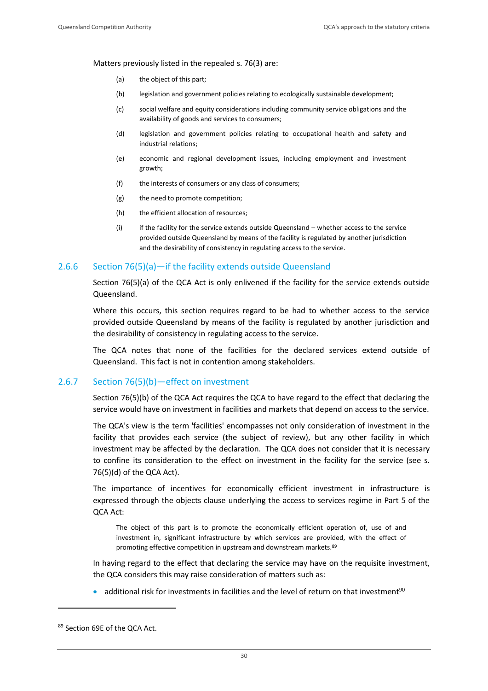Matters previously listed in the repealed s. 76(3) are:

- (a) the object of this part;
- (b) legislation and government policies relating to ecologically sustainable development;
- (c) social welfare and equity considerations including community service obligations and the availability of goods and services to consumers;
- (d) legislation and government policies relating to occupational health and safety and industrial relations;
- (e) economic and regional development issues, including employment and investment growth;
- (f) the interests of consumers or any class of consumers;
- (g) the need to promote competition;
- (h) the efficient allocation of resources;
- (i) if the facility for the service extends outside Queensland whether access to the service provided outside Queensland by means of the facility is regulated by another jurisdiction and the desirability of consistency in regulating access to the service.

#### 2.6.6 Section 76(5)(a)—if the facility extends outside Queensland

Section 76(5)(a) of the QCA Act is only enlivened if the facility for the service extends outside Queensland.

Where this occurs, this section requires regard to be had to whether access to the service provided outside Queensland by means of the facility is regulated by another jurisdiction and the desirability of consistency in regulating access to the service.

The QCA notes that none of the facilities for the declared services extend outside of Queensland. This fact is not in contention among stakeholders.

#### 2.6.7 Section 76(5)(b)—effect on investment

Section 76(5)(b) of the QCA Act requires the QCA to have regard to the effect that declaring the service would have on investment in facilities and markets that depend on access to the service.

The QCA's view is the term 'facilities' encompasses not only consideration of investment in the facility that provides each service (the subject of review), but any other facility in which investment may be affected by the declaration. The QCA does not consider that it is necessary to confine its consideration to the effect on investment in the facility for the service (see s. 76(5)(d) of the QCA Act).

The importance of incentives for economically efficient investment in infrastructure is expressed through the objects clause underlying the access to services regime in Part 5 of the QCA Act:

The object of this part is to promote the economically efficient operation of, use of and investment in, significant infrastructure by which services are provided, with the effect of promoting effective competition in upstream and downstream markets.<sup>89</sup>

In having regard to the effect that declaring the service may have on the requisite investment, the QCA considers this may raise consideration of matters such as:

• additional risk for investments in facilities and the level of return on that investment<sup>90</sup>

<sup>89</sup> Section 69E of the QCA Act.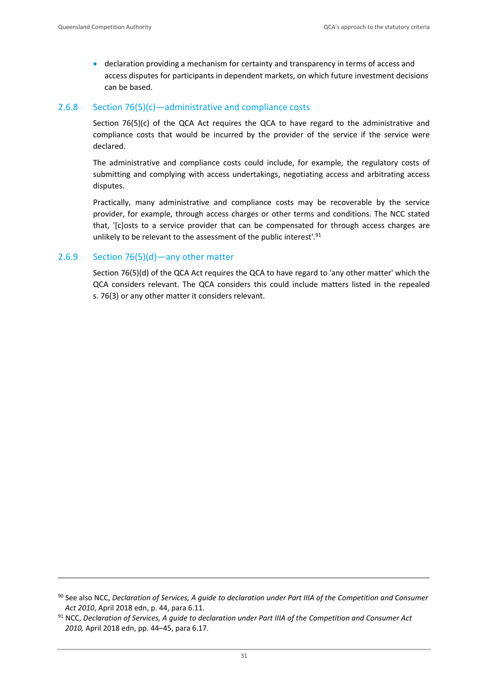declaration providing a mechanism for certainty and transparency in terms of access and access disputes for participants in dependent markets, on which future investment decisions can be based.

## 2.6.8 Section 76(5)(c)—administrative and compliance costs

Section 76(5)(c) of the QCA Act requires the QCA to have regard to the administrative and compliance costs that would be incurred by the provider of the service if the service were declared.

The administrative and compliance costs could include, for example, the regulatory costs of submitting and complying with access undertakings, negotiating access and arbitrating access disputes.

Practically, many administrative and compliance costs may be recoverable by the service provider, for example, through access charges or other terms and conditions. The NCC stated that, '[c]osts to a service provider that can be compensated for through access charges are unlikely to be relevant to the assessment of the public interest'.<sup>91</sup>

## 2.6.9 Section 76(5)(d)—any other matter

l

Section 76(5)(d) of the QCA Act requires the QCA to have regard to 'any other matter' which the QCA considers relevant. The QCA considers this could include matters listed in the repealed s. 76(3) or any other matter it considers relevant.

<sup>90</sup> See also NCC, *Declaration of Services, A guide to declaration under Part IIIA of the Competition and Consumer Act 2010*, April 2018 edn, p. 44, para 6.11.

<sup>91</sup> NCC, *Declaration of Services, A guide to declaration under Part IIIA of the Competition and Consumer Act 2010,* April 2018 edn, pp. 44–45, para 6.17.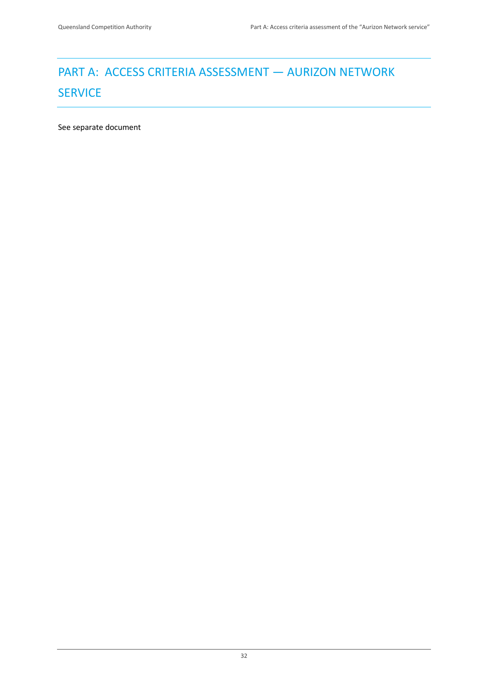# <span id="page-38-0"></span>PART A: ACCESS CRITERIA ASSESSMENT — AURIZON NETWORK **SERVICE**

See separate document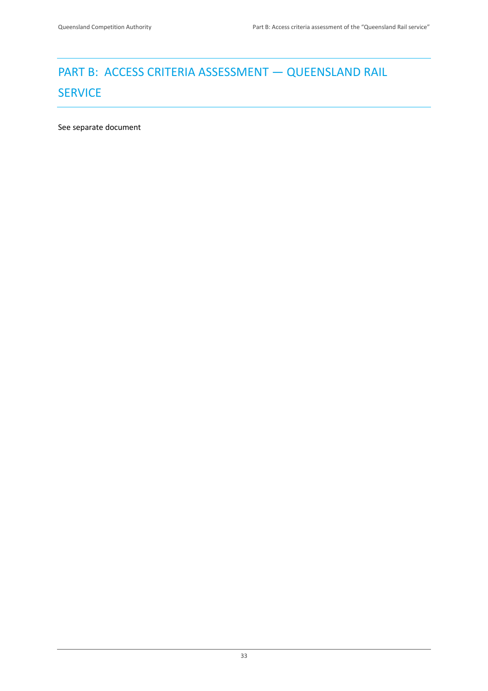# <span id="page-39-0"></span>PART B: ACCESS CRITERIA ASSESSMENT — QUEENSLAND RAIL **SERVICE**

See separate document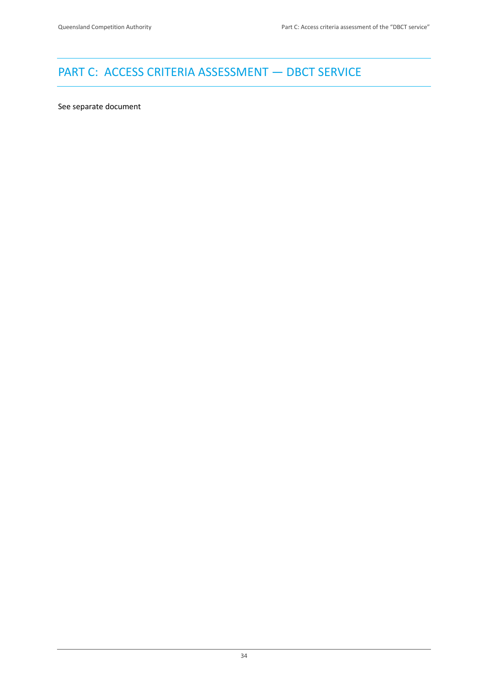# <span id="page-40-0"></span>PART C: ACCESS CRITERIA ASSESSMENT — DBCT SERVICE

See separate document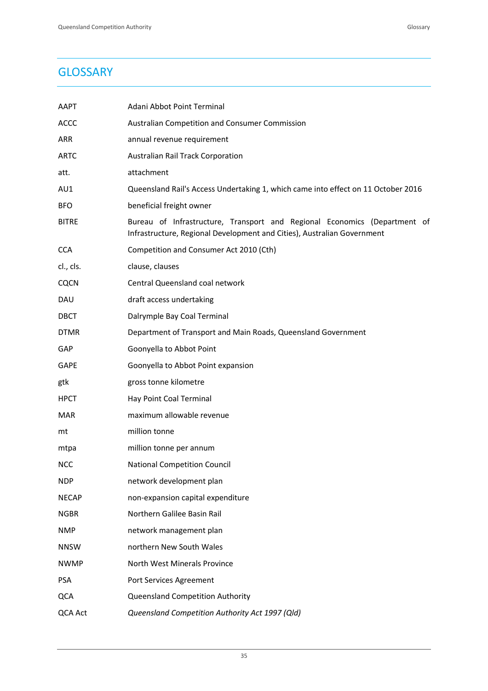# <span id="page-41-0"></span>**GLOSSARY**

| AAPT         | Adani Abbot Point Terminal                                                                                                                           |
|--------------|------------------------------------------------------------------------------------------------------------------------------------------------------|
| <b>ACCC</b>  | Australian Competition and Consumer Commission                                                                                                       |
| <b>ARR</b>   | annual revenue requirement                                                                                                                           |
| <b>ARTC</b>  | Australian Rail Track Corporation                                                                                                                    |
| att.         | attachment                                                                                                                                           |
| AU1          | Queensland Rail's Access Undertaking 1, which came into effect on 11 October 2016                                                                    |
| <b>BFO</b>   | beneficial freight owner                                                                                                                             |
| <b>BITRE</b> | Bureau of Infrastructure, Transport and Regional Economics (Department of<br>Infrastructure, Regional Development and Cities), Australian Government |
| <b>CCA</b>   | Competition and Consumer Act 2010 (Cth)                                                                                                              |
| cl., cls.    | clause, clauses                                                                                                                                      |
| <b>CQCN</b>  | Central Queensland coal network                                                                                                                      |
| DAU          | draft access undertaking                                                                                                                             |
| <b>DBCT</b>  | Dalrymple Bay Coal Terminal                                                                                                                          |
| <b>DTMR</b>  | Department of Transport and Main Roads, Queensland Government                                                                                        |
| GAP          | Goonyella to Abbot Point                                                                                                                             |
| <b>GAPE</b>  | Goonyella to Abbot Point expansion                                                                                                                   |
| gtk          | gross tonne kilometre                                                                                                                                |
| <b>HPCT</b>  | Hay Point Coal Terminal                                                                                                                              |
| MAR          | maximum allowable revenue                                                                                                                            |
| mt           | million tonne                                                                                                                                        |
| mtpa         | million tonne per annum                                                                                                                              |
| <b>NCC</b>   | <b>National Competition Council</b>                                                                                                                  |
| <b>NDP</b>   | network development plan                                                                                                                             |
| <b>NECAP</b> | non-expansion capital expenditure                                                                                                                    |
| <b>NGBR</b>  | Northern Galilee Basin Rail                                                                                                                          |
| <b>NMP</b>   | network management plan                                                                                                                              |
| <b>NNSW</b>  | northern New South Wales                                                                                                                             |
| <b>NWMP</b>  | North West Minerals Province                                                                                                                         |
| <b>PSA</b>   | Port Services Agreement                                                                                                                              |
| QCA          | Queensland Competition Authority                                                                                                                     |
| QCA Act      | Queensland Competition Authority Act 1997 (Qld)                                                                                                      |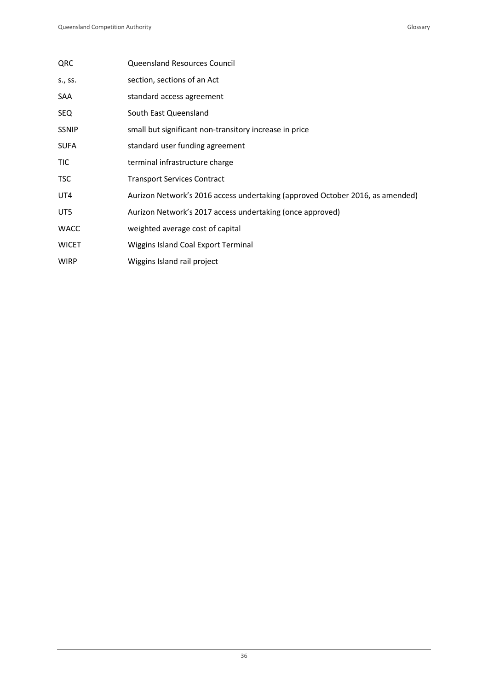| QRC          | Queensland Resources Council                                                  |
|--------------|-------------------------------------------------------------------------------|
| S., SS.      | section, sections of an Act                                                   |
| <b>SAA</b>   | standard access agreement                                                     |
| SEQ          | South East Queensland                                                         |
| <b>SSNIP</b> | small but significant non-transitory increase in price                        |
| <b>SUFA</b>  | standard user funding agreement                                               |
| TIC          | terminal infrastructure charge                                                |
| TSC.         | <b>Transport Services Contract</b>                                            |
| UT4          | Aurizon Network's 2016 access undertaking (approved October 2016, as amended) |
| UT5          | Aurizon Network's 2017 access undertaking (once approved)                     |
| WACC         | weighted average cost of capital                                              |
| <b>WICET</b> | Wiggins Island Coal Export Terminal                                           |
| <b>WIRP</b>  | Wiggins Island rail project                                                   |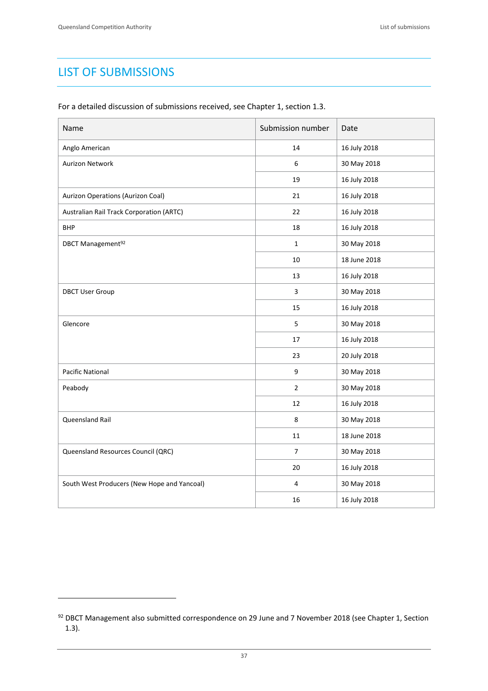$\overline{a}$ 

# <span id="page-43-0"></span>LIST OF SUBMISSIONS

## For a detailed discussion of submissions received, see Chapter 1, section 1.3.

| Name                                        | Submission number | Date         |
|---------------------------------------------|-------------------|--------------|
| Anglo American                              | 14                | 16 July 2018 |
| <b>Aurizon Network</b>                      | 6                 | 30 May 2018  |
|                                             | 19                | 16 July 2018 |
| Aurizon Operations (Aurizon Coal)           | 21                | 16 July 2018 |
| Australian Rail Track Corporation (ARTC)    | 22                | 16 July 2018 |
| <b>BHP</b>                                  | 18                | 16 July 2018 |
| DBCT Management <sup>92</sup>               | $\mathbf{1}$      | 30 May 2018  |
|                                             | 10                | 18 June 2018 |
|                                             | 13                | 16 July 2018 |
| <b>DBCT User Group</b>                      | 3                 | 30 May 2018  |
|                                             | 15                | 16 July 2018 |
| Glencore                                    | 5                 | 30 May 2018  |
|                                             | 17                | 16 July 2018 |
|                                             | 23                | 20 July 2018 |
| <b>Pacific National</b>                     | 9                 | 30 May 2018  |
| Peabody                                     | $\overline{2}$    | 30 May 2018  |
|                                             | 12                | 16 July 2018 |
| Queensland Rail                             | 8                 | 30 May 2018  |
|                                             | 11                | 18 June 2018 |
| Queensland Resources Council (QRC)          | $\overline{7}$    | 30 May 2018  |
|                                             | 20                | 16 July 2018 |
| South West Producers (New Hope and Yancoal) | 4                 | 30 May 2018  |
|                                             | 16                | 16 July 2018 |

<sup>92</sup> DBCT Management also submitted correspondence on 29 June and 7 November 2018 (see Chapter 1, Section 1.3).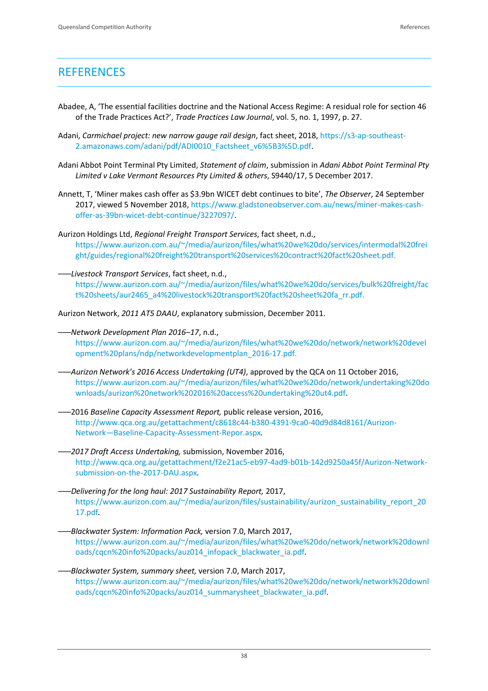## <span id="page-44-0"></span>**REFERENCES**

- Abadee, A, 'The essential facilities doctrine and the National Access Regime: A residual role for section 46 of the Trade Practices Act?', *Trade Practices Law Journal*, vol. 5, no. 1, 1997, p. 27.
- Adani, *Carmichael project: new narrow gauge rail design*, fact sheet, 2018[, https://s3-ap-southeast-](https://s3-ap-southeast-2.amazonaws.com/adani/pdf/ADI0010_Factsheet_v6%5B3%5D.pdf)[2.amazonaws.com/adani/pdf/ADI0010\\_Factsheet\\_v6%5B3%5D.pdf.](https://s3-ap-southeast-2.amazonaws.com/adani/pdf/ADI0010_Factsheet_v6%5B3%5D.pdf)
- Adani Abbot Point Terminal Pty Limited, *Statement of claim*, submission in *Adani Abbot Point Terminal Pty Limited v Lake Vermont Resources Pty Limited & others*, S9440/17, 5 December 2017.
- Annett, T, 'Miner makes cash offer as \$3.9bn WICET debt continues to bite', *The Observer*, 24 September 2017, viewed 5 November 2018, [https://www.gladstoneobserver.com.au/news/miner-makes-cash](https://www.gladstoneobserver.com.au/news/miner-makes-cash-offer-as-39bn-wicet-debt-continue/3227097/)[offer-as-39bn-wicet-debt-continue/3227097/.](https://www.gladstoneobserver.com.au/news/miner-makes-cash-offer-as-39bn-wicet-debt-continue/3227097/)
- Aurizon Holdings Ltd, *Regional Freight Transport Services*, fact sheet, n.d., [https://www.aurizon.com.au/~/media/aurizon/files/what%20we%20do/services/intermodal%20frei](https://www.aurizon.com.au/~/media/aurizon/files/what%20we%20do/services/intermodal%20freight/guides/regional%20freight%20transport%20services%20contract%20fact%20sheet.pdf) [ght/guides/regional%20freight%20transport%20services%20contract%20fact%20sheet.pdf.](https://www.aurizon.com.au/~/media/aurizon/files/what%20we%20do/services/intermodal%20freight/guides/regional%20freight%20transport%20services%20contract%20fact%20sheet.pdf)
- –––*Livestock Transport Services*, fact sheet, n.d., [https://www.aurizon.com.au/~/media/aurizon/files/what%20we%20do/services/bulk%20freight/fac](https://www.aurizon.com.au/~/media/aurizon/files/what%20we%20do/services/bulk%20freight/fact%20sheets/aur2465_a4%20livestock%20transport%20fact%20sheet%20fa_rr.pdf) [t%20sheets/aur2465\\_a4%20livestock%20transport%20fact%20sheet%20fa\\_rr.pdf.](https://www.aurizon.com.au/~/media/aurizon/files/what%20we%20do/services/bulk%20freight/fact%20sheets/aur2465_a4%20livestock%20transport%20fact%20sheet%20fa_rr.pdf)

Aurizon Network, *2011 AT5 DAAU*, explanatory submission, December 2011.

- –––*Network Development Plan 2016–17*, n.d., [https://www.aurizon.com.au/~/media/aurizon/files/what%20we%20do/network/network%20devel](https://www.aurizon.com.au/~/media/aurizon/files/what%20we%20do/network/network%20development%20plans/ndp/networkdevelopmentplan_2016-17.pdf) [opment%20plans/ndp/networkdevelopmentplan\\_2016-17.pdf.](https://www.aurizon.com.au/~/media/aurizon/files/what%20we%20do/network/network%20development%20plans/ndp/networkdevelopmentplan_2016-17.pdf)
- –––*Aurizon Network's 2016 Access Undertaking (UT4)*, approved by the QCA on 11 October 2016, [https://www.aurizon.com.au/~/media/aurizon/files/what%20we%20do/network/undertaking%20do](https://www.aurizon.com.au/~/media/aurizon/files/what%20we%20do/network/undertaking%20downloads/aurizon%20network%202016%20access%20undertaking%20ut4.pdf) [wnloads/aurizon%20network%202016%20access%20undertaking%20ut4.pdf.](https://www.aurizon.com.au/~/media/aurizon/files/what%20we%20do/network/undertaking%20downloads/aurizon%20network%202016%20access%20undertaking%20ut4.pdf)
- –––2016 *Baseline Capacity Assessment Report,* public release version, 2016, [http://www.qca.org.au/getattachment/c8618c44-b380-4391-9ca0-40d9d84d8161/Aurizon-](http://www.qca.org.au/getattachment/c8618c44-b380-4391-9ca0-40d9d84d8161/Aurizon-Network—Baseline-Capacity-Assessment-Repor.aspx)Network—[Baseline-Capacity-Assessment-Repor.aspx](http://www.qca.org.au/getattachment/c8618c44-b380-4391-9ca0-40d9d84d8161/Aurizon-Network—Baseline-Capacity-Assessment-Repor.aspx)*.*
- *–––2017 Draft Access Undertaking,* submission, November 2016, [http://www.qca.org.au/getattachment/f2e21ac5-eb97-4ad9-b01b-142d9250a45f/Aurizon-Network](http://www.qca.org.au/getattachment/f2e21ac5-eb97-4ad9-b01b-142d9250a45f/Aurizon-Network-submission-on-the-2017-DAU.aspx)[submission-on-the-2017-DAU.aspx](http://www.qca.org.au/getattachment/f2e21ac5-eb97-4ad9-b01b-142d9250a45f/Aurizon-Network-submission-on-the-2017-DAU.aspx)*.*
- *–––Delivering for the long haul: 2017 Sustainability Report,* 2017, [https://www.aurizon.com.au/~/media/aurizon/files/sustainability/aurizon\\_sustainability\\_report\\_20](https://www.aurizon.com.au/~/media/aurizon/files/sustainability/aurizon_sustainability_report_2017.pdf) [17.pdf](https://www.aurizon.com.au/~/media/aurizon/files/sustainability/aurizon_sustainability_report_2017.pdf)*.*
- *–––Blackwater System: Information Pack,* version 7.0, March 2017, [https://www.aurizon.com.au/~/media/aurizon/files/what%20we%20do/network/network%20downl](https://www.aurizon.com.au/~/media/aurizon/files/what%20we%20do/network/network%20downloads/cqcn%20info%20packs/auz014_infopack_blackwater_ia.pdf) [oads/cqcn%20info%20packs/auz014\\_infopack\\_blackwater\\_ia.pdf](https://www.aurizon.com.au/~/media/aurizon/files/what%20we%20do/network/network%20downloads/cqcn%20info%20packs/auz014_infopack_blackwater_ia.pdf)*.*
- *–––Blackwater System, summary sheet,* version 7.0, March 2017, [https://www.aurizon.com.au/~/media/aurizon/files/what%20we%20do/network/network%20downl](https://www.aurizon.com.au/~/media/aurizon/files/what%20we%20do/network/network%20downloads/cqcn%20info%20packs/auz014_summarysheet_blackwater_ia.pdf) [oads/cqcn%20info%20packs/auz014\\_summarysheet\\_blackwater\\_ia.pdf](https://www.aurizon.com.au/~/media/aurizon/files/what%20we%20do/network/network%20downloads/cqcn%20info%20packs/auz014_summarysheet_blackwater_ia.pdf)*.*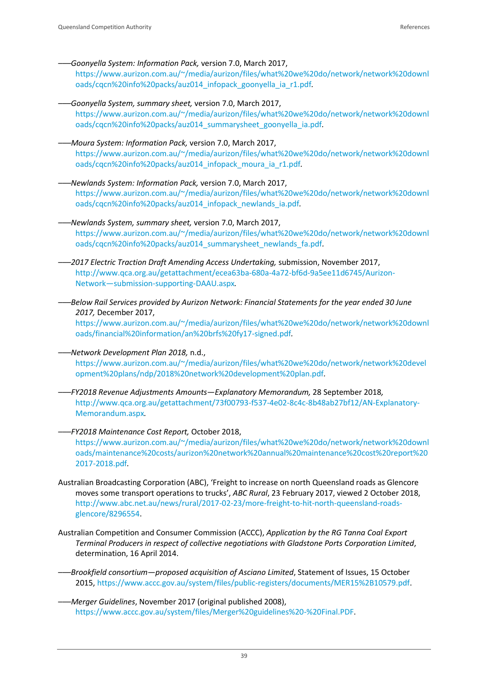*–––Goonyella System: Information Pack,* version 7.0, March 2017, [https://www.aurizon.com.au/~/media/aurizon/files/what%20we%20do/network/network%20downl](https://www.aurizon.com.au/~/media/aurizon/files/what%20we%20do/network/network%20downloads/cqcn%20info%20packs/auz014_infopack_goonyella_ia_r1.pdf) [oads/cqcn%20info%20packs/auz014\\_infopack\\_goonyella\\_ia\\_r1.pdf](https://www.aurizon.com.au/~/media/aurizon/files/what%20we%20do/network/network%20downloads/cqcn%20info%20packs/auz014_infopack_goonyella_ia_r1.pdf)*.*

- *–––Goonyella System, summary sheet,* version 7.0, March 2017, [https://www.aurizon.com.au/~/media/aurizon/files/what%20we%20do/network/network%20downl](https://www.aurizon.com.au/~/media/aurizon/files/what%20we%20do/network/network%20downloads/cqcn%20info%20packs/auz014_summarysheet_goonyella_ia.pdf) [oads/cqcn%20info%20packs/auz014\\_summarysheet\\_goonyella\\_ia.pdf](https://www.aurizon.com.au/~/media/aurizon/files/what%20we%20do/network/network%20downloads/cqcn%20info%20packs/auz014_summarysheet_goonyella_ia.pdf)*.*
- *–––Moura System: Information Pack,* version 7.0, March 2017, [https://www.aurizon.com.au/~/media/aurizon/files/what%20we%20do/network/network%20downl](https://www.aurizon.com.au/~/media/aurizon/files/what%20we%20do/network/network%20downloads/cqcn%20info%20packs/auz014_infopack_moura_ia_r1.pdf) [oads/cqcn%20info%20packs/auz014\\_infopack\\_moura\\_ia\\_r1.pdf](https://www.aurizon.com.au/~/media/aurizon/files/what%20we%20do/network/network%20downloads/cqcn%20info%20packs/auz014_infopack_moura_ia_r1.pdf)*.*
- *–––Newlands System: Information Pack,* version 7.0, March 2017, [https://www.aurizon.com.au/~/media/aurizon/files/what%20we%20do/network/network%20downl](https://www.aurizon.com.au/~/media/aurizon/files/what%20we%20do/network/network%20downloads/cqcn%20info%20packs/auz014_infopack_newlands_ia.pdf) [oads/cqcn%20info%20packs/auz014\\_infopack\\_newlands\\_ia.pdf](https://www.aurizon.com.au/~/media/aurizon/files/what%20we%20do/network/network%20downloads/cqcn%20info%20packs/auz014_infopack_newlands_ia.pdf)*.*
- *–––Newlands System, summary sheet,* version 7.0, March 2017, [https://www.aurizon.com.au/~/media/aurizon/files/what%20we%20do/network/network%20downl](https://www.aurizon.com.au/~/media/aurizon/files/what%20we%20do/network/network%20downloads/cqcn%20info%20packs/auz014_summarysheet_newlands_fa.pdf) [oads/cqcn%20info%20packs/auz014\\_summarysheet\\_newlands\\_fa.pdf](https://www.aurizon.com.au/~/media/aurizon/files/what%20we%20do/network/network%20downloads/cqcn%20info%20packs/auz014_summarysheet_newlands_fa.pdf)*.*
- *–––2017 Electric Traction Draft Amending Access Undertaking,* submission, November 2017, [http://www.qca.org.au/getattachment/ecea63ba-680a-4a72-bf6d-9a5ee11d6745/Aurizon-](http://www.qca.org.au/getattachment/ecea63ba-680a-4a72-bf6d-9a5ee11d6745/Aurizon-Network—submission-supporting-DAAU.aspx)Network—[submission-supporting-DAAU.aspx](http://www.qca.org.au/getattachment/ecea63ba-680a-4a72-bf6d-9a5ee11d6745/Aurizon-Network—submission-supporting-DAAU.aspx)*.*
- *–––Below Rail Services provided by Aurizon Network: Financial Statements for the year ended 30 June 2017,* December 2017, [https://www.aurizon.com.au/~/media/aurizon/files/what%20we%20do/network/network%20downl](https://www.aurizon.com.au/~/media/aurizon/files/what%20we%20do/network/network%20downloads/financial%20information/an%20brfs%20fy17-signed.pdf) [oads/financial%20information/an%20brfs%20fy17-signed.pdf](https://www.aurizon.com.au/~/media/aurizon/files/what%20we%20do/network/network%20downloads/financial%20information/an%20brfs%20fy17-signed.pdf)*.*
- *–––Network Development Plan 2018,* n.d., [https://www.aurizon.com.au/~/media/aurizon/files/what%20we%20do/network/network%20devel](https://www.aurizon.com.au/~/media/aurizon/files/what%20we%20do/network/network%20development%20plans/ndp/2018%20network%20development%20plan.pdf) [opment%20plans/ndp/2018%20network%20development%20plan.pdf](https://www.aurizon.com.au/~/media/aurizon/files/what%20we%20do/network/network%20development%20plans/ndp/2018%20network%20development%20plan.pdf)*.*
- *–––FY2018 Revenue Adjustments Amounts—Explanatory Memorandum,* 28 September 2018*,*  [http://www.qca.org.au/getattachment/73f00793-f537-4e02-8c4c-8b48ab27bf12/AN-Explanatory-](http://www.qca.org.au/getattachment/73f00793-f537-4e02-8c4c-8b48ab27bf12/AN-Explanatory-Memorandum.aspx)[Memorandum.aspx](http://www.qca.org.au/getattachment/73f00793-f537-4e02-8c4c-8b48ab27bf12/AN-Explanatory-Memorandum.aspx)*.*
- *–––FY2018 Maintenance Cost Report,* October 2018, [https://www.aurizon.com.au/~/media/aurizon/files/what%20we%20do/network/network%20downl](https://www.aurizon.com.au/~/media/aurizon/files/what%20we%20do/network/network%20downloads/maintenance%20costs/aurizon%20network%20annual%20maintenance%20cost%20report%202017-2018.pdf) [oads/maintenance%20costs/aurizon%20network%20annual%20maintenance%20cost%20report%20](https://www.aurizon.com.au/~/media/aurizon/files/what%20we%20do/network/network%20downloads/maintenance%20costs/aurizon%20network%20annual%20maintenance%20cost%20report%202017-2018.pdf) [2017-2018.pdf](https://www.aurizon.com.au/~/media/aurizon/files/what%20we%20do/network/network%20downloads/maintenance%20costs/aurizon%20network%20annual%20maintenance%20cost%20report%202017-2018.pdf)*.*
- Australian Broadcasting Corporation (ABC), 'Freight to increase on north Queensland roads as Glencore moves some transport operations to trucks', *ABC Rural*, 23 February 2017, viewed 2 October 2018, [http://www.abc.net.au/news/rural/2017-02-23/more-freight-to-hit-north-queensland-roads](http://www.abc.net.au/news/rural/2017-02-23/more-freight-to-hit-north-queensland-roads-glencore/8296554)[glencore/8296554.](http://www.abc.net.au/news/rural/2017-02-23/more-freight-to-hit-north-queensland-roads-glencore/8296554)
- Australian Competition and Consumer Commission (ACCC), *Application by the RG Tanna Coal Export Terminal Producers in respect of collective negotiations with Gladstone Ports Corporation Limited*, determination, 16 April 2014.
- –––*Brookfield consortium—proposed acquisition of Asciano Limited*, Statement of Issues, 15 October 2015[, https://www.accc.gov.au/system/files/public-registers/documents/MER15%2B10579.pdf.](https://www.accc.gov.au/system/files/public-registers/documents/MER15%2B10579.pdf)
- –––*Merger Guidelines*, November 2017 (original published 2008), [https://www.accc.gov.au/system/files/Merger%20guidelines%20-%20Final.PDF.](https://www.accc.gov.au/system/files/Merger%20guidelines%20-%20Final.PDF)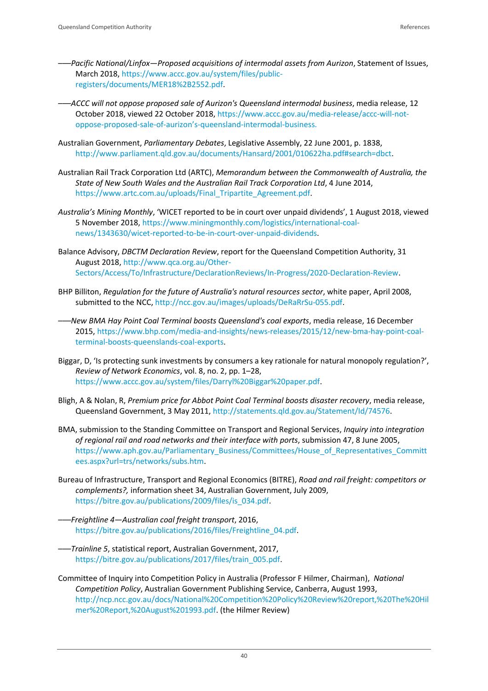- –––*Pacific National/Linfox—Proposed acquisitions of intermodal assets from Aurizon*, Statement of Issues, March 2018[, https://www.accc.gov.au/system/files/public](https://www.accc.gov.au/system/files/public-registers/documents/MER18%2B2552.pdf)[registers/documents/MER18%2B2552.pdf.](https://www.accc.gov.au/system/files/public-registers/documents/MER18%2B2552.pdf)
- –––*ACCC will not oppose proposed sale of Aurizon's Queensland intermodal business*, media release, 12 October 2018, viewed 22 October 2018, https://www.accc.gov.au/media-release/accc-will-notoppose-proposed-sale-of-aurizon's-queensland-intermodal-business.
- Australian Government, *Parliamentary Debates*, Legislative Assembly, 22 June 2001, p. 1838, [http://www.parliament.qld.gov.au/documents/Hansard/2001/010622ha.pdf#search=dbct.](http://www.parliament.qld.gov.au/documents/Hansard/2001/010622ha.pdf#search=dbct)
- Australian Rail Track Corporation Ltd (ARTC), *Memorandum between the Commonwealth of Australia, the State of New South Wales and the Australian Rail Track Corporation Ltd*, 4 June 2014, [https://www.artc.com.au/uploads/Final\\_Tripartite\\_Agreement.pdf.](https://www.artc.com.au/uploads/Final_Tripartite_Agreement.pdf)
- *Australia's Mining Monthly*, 'WICET reported to be in court over unpaid dividends', 1 August 2018, viewed 5 November 2018[, https://www.miningmonthly.com/logistics/international-coal](https://www.miningmonthly.com/logistics/international-coal-news/1343630/wicet-reported-to-be-in-court-over-unpaid-dividends)[news/1343630/wicet-reported-to-be-in-court-over-unpaid-dividends.](https://www.miningmonthly.com/logistics/international-coal-news/1343630/wicet-reported-to-be-in-court-over-unpaid-dividends)
- Balance Advisory, *DBCTM Declaration Review*, report for the Queensland Competition Authority, 31 August 2018[, http://www.qca.org.au/Other-](http://www.qca.org.au/Other-Sectors/Access/To/Infrastructure/DeclarationReviews/In-Progress/2020-Declaration-Review)[Sectors/Access/To/Infrastructure/DeclarationReviews/In-Progress/2020-Declaration-Review.](http://www.qca.org.au/Other-Sectors/Access/To/Infrastructure/DeclarationReviews/In-Progress/2020-Declaration-Review)
- BHP Billiton, *Regulation for the future of Australia's natural resources sector*, white paper, April 2008, submitted to the NCC[, http://ncc.gov.au/images/uploads/DeRaRrSu-055.pdf.](http://ncc.gov.au/images/uploads/DeRaRrSu-055.pdf)
- –––*New BMA Hay Point Coal Terminal boosts Queensland's coal exports*, media release, 16 December 2015[, https://www.bhp.com/media-and-insights/news-releases/2015/12/new-bma-hay-point-coal](https://www.bhp.com/media-and-insights/news-releases/2015/12/new-bma-hay-point-coal-terminal-boosts-queenslands-coal-exports)[terminal-boosts-queenslands-coal-exports.](https://www.bhp.com/media-and-insights/news-releases/2015/12/new-bma-hay-point-coal-terminal-boosts-queenslands-coal-exports)
- Biggar, D, 'Is protecting sunk investments by consumers a key rationale for natural monopoly regulation?', *Review of Network Economics*, vol. 8, no. 2, pp. 1–28, [https://www.accc.gov.au/system/files/Darryl%20Biggar%20paper.pdf.](https://www.accc.gov.au/system/files/Darryl%20Biggar%20paper.pdf)
- Bligh, A & Nolan, R, *Premium price for Abbot Point Coal Terminal boosts disaster recovery*, media release, Queensland Government, 3 May 2011[, http://statements.qld.gov.au/Statement/Id/74576.](http://statements.qld.gov.au/Statement/Id/74576)
- BMA, submission to the Standing Committee on Transport and Regional Services, *Inquiry into integration of regional rail and road networks and their interface with ports*, submission 47, 8 June 2005, [https://www.aph.gov.au/Parliamentary\\_Business/Committees/House\\_of\\_Representatives\\_Committ](https://www.aph.gov.au/Parliamentary_Business/Committees/House_of_Representatives_Committees.aspx?url=trs/networks/subs.htm) [ees.aspx?url=trs/networks/subs.htm.](https://www.aph.gov.au/Parliamentary_Business/Committees/House_of_Representatives_Committees.aspx?url=trs/networks/subs.htm)
- Bureau of Infrastructure, Transport and Regional Economics (BITRE), *Road and rail freight: competitors or complements?,* information sheet 34, Australian Government, July 2009, [https://bitre.gov.au/publications/2009/files/is\\_034.pdf.](https://bitre.gov.au/publications/2009/files/is_034.pdf)
- –––*Freightline 4—Australian coal freight transport*, 2016, [https://bitre.gov.au/publications/2016/files/Freightline\\_04.pdf.](https://bitre.gov.au/publications/2016/files/Freightline_04.pdf)
- –––*Trainline 5*, statistical report, Australian Government, 2017, [https://bitre.gov.au/publications/2017/files/train\\_005.pdf.](https://bitre.gov.au/publications/2017/files/train_005.pdf)
- Committee of Inquiry into Competition Policy in Australia (Professor F Hilmer, Chairman), *National Competition Policy*, Australian Government Publishing Service, Canberra, August 1993, [http://ncp.ncc.gov.au/docs/National%20Competition%20Policy%20Review%20report,%20The%20Hil](http://ncp.ncc.gov.au/docs/National%20Competition%20Policy%20Review%20report,%20The%20Hilmer%20Report,%20August%201993.pdf) [mer%20Report,%20August%201993.pdf.](http://ncp.ncc.gov.au/docs/National%20Competition%20Policy%20Review%20report,%20The%20Hilmer%20Report,%20August%201993.pdf) (the Hilmer Review)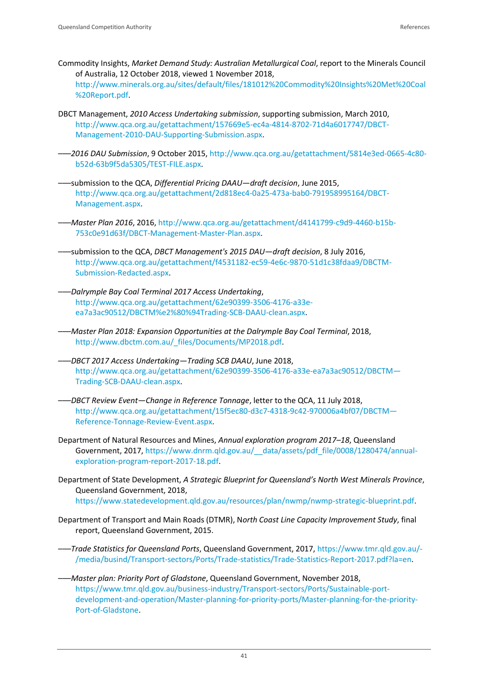- Commodity Insights, *Market Demand Study: Australian Metallurgical Coal*, report to the Minerals Council of Australia, 12 October 2018, viewed 1 November 2018, [http://www.minerals.org.au/sites/default/files/181012%20Commodity%20Insights%20Met%20Coal](http://www.minerals.org.au/sites/default/files/181012%20Commodity%20Insights%20Met%20Coal%20Report.pdf) [%20Report.pdf.](http://www.minerals.org.au/sites/default/files/181012%20Commodity%20Insights%20Met%20Coal%20Report.pdf)
- DBCT Management, *2010 Access Undertaking submission*, supporting submission, March 2010, [http://www.qca.org.au/getattachment/157669e5-ec4a-4814-8702-71d4a6017747/DBCT-](http://www.qca.org.au/getattachment/157669e5-ec4a-4814-8702-71d4a6017747/DBCT-Management-2010-DAU-Supporting-Submission.aspx)[Management-2010-DAU-Supporting-Submission.aspx.](http://www.qca.org.au/getattachment/157669e5-ec4a-4814-8702-71d4a6017747/DBCT-Management-2010-DAU-Supporting-Submission.aspx)
- –––*2016 DAU Submission*, 9 October 2015[, http://www.qca.org.au/getattachment/5814e3ed-0665-4c80](http://www.qca.org.au/getattachment/5814e3ed-0665-4c80-b52d-63b9f5da5305/TEST-FILE.aspx) [b52d-63b9f5da5305/TEST-FILE.aspx.](http://www.qca.org.au/getattachment/5814e3ed-0665-4c80-b52d-63b9f5da5305/TEST-FILE.aspx)
- –––submission to the QCA, *Differential Pricing DAAU—draft decision*, June 2015, [http://www.qca.org.au/getattachment/2d818ec4-0a25-473a-bab0-791958995164/DBCT-](http://www.qca.org.au/getattachment/2d818ec4-0a25-473a-bab0-791958995164/DBCT-Management.aspx)[Management.aspx.](http://www.qca.org.au/getattachment/2d818ec4-0a25-473a-bab0-791958995164/DBCT-Management.aspx)
- –––*Master Plan 2016*, 2016, http://www.qca.org.au/getattachment/d4141799-c9d9-4460-b15b-753c0e91d63f/DBCT-Management-Master-Plan.aspx.
- –––submission to the QCA, *DBCT Management's 2015 DAU—draft decision*, 8 July 2016, [http://www.qca.org.au/getattachment/f4531182-ec59-4e6c-9870-51d1c38fdaa9/DBCTM-](http://www.qca.org.au/getattachment/f4531182-ec59-4e6c-9870-51d1c38fdaa9/DBCTM-Submission-Redacted.aspx)[Submission-Redacted.aspx.](http://www.qca.org.au/getattachment/f4531182-ec59-4e6c-9870-51d1c38fdaa9/DBCTM-Submission-Redacted.aspx)
- –––*Dalrymple Bay Coal Terminal 2017 Access Undertaking*, [http://www.qca.org.au/getattachment/62e90399-3506-4176-a33e](http://www.qca.org.au/getattachment/62e90399-3506-4176-a33e-ea7a3ac90512/DBCTM%e2%80%94Trading-SCB-DAAU-clean.aspx)[ea7a3ac90512/DBCTM%e2%80%94Trading-SCB-DAAU-clean.aspx.](http://www.qca.org.au/getattachment/62e90399-3506-4176-a33e-ea7a3ac90512/DBCTM%e2%80%94Trading-SCB-DAAU-clean.aspx)
- –––*Master Plan 2018: Expansion Opportunities at the Dalrymple Bay Coal Terminal*, 2018, [http://www.dbctm.com.au/\\_files/Documents/MP2018.pdf.](http://www.dbctm.com.au/_files/Documents/MP2018.pdf)
- –––*DBCT 2017 Access Undertaking—Trading SCB DAAU*, June 2018, [http://www.qca.org.au/getattachment/62e90399-3506-4176-a33e-ea7a3ac90512/DBCTM](http://www.qca.org.au/getattachment/62e90399-3506-4176-a33e-ea7a3ac90512/DBCTM—Trading-SCB-DAAU-clean.aspx)— [Trading-SCB-DAAU-clean.aspx.](http://www.qca.org.au/getattachment/62e90399-3506-4176-a33e-ea7a3ac90512/DBCTM—Trading-SCB-DAAU-clean.aspx)
- –––*DBCT Review Event—Change in Reference Tonnage*, letter to the QCA, 11 July 2018, [http://www.qca.org.au/getattachment/15f5ec80-d3c7-4318-9c42-970006a4bf07/DBCTM](http://www.qca.org.au/getattachment/15f5ec80-d3c7-4318-9c42-970006a4bf07/DBCTM—Reference-Tonnage-Review-Event.aspx)— [Reference-Tonnage-Review-Event.aspx.](http://www.qca.org.au/getattachment/15f5ec80-d3c7-4318-9c42-970006a4bf07/DBCTM—Reference-Tonnage-Review-Event.aspx)
- Department of Natural Resources and Mines, *Annual exploration program 2017–18*, Queensland Government, 2017[, https://www.dnrm.qld.gov.au/\\_\\_data/assets/pdf\\_file/0008/1280474/annual](https://www.dnrm.qld.gov.au/__data/assets/pdf_file/0008/1280474/annual-exploration-program-report-2017-18.pdf)[exploration-program-report-2017-18.pdf.](https://www.dnrm.qld.gov.au/__data/assets/pdf_file/0008/1280474/annual-exploration-program-report-2017-18.pdf)
- Department of State Development, *A Strategic Blueprint for Queensland's North West Minerals Province*, Queensland Government, 2018, [https://www.statedevelopment.qld.gov.au/resources/plan/nwmp/nwmp-strategic-blueprint.pdf.](https://www.statedevelopment.qld.gov.au/resources/plan/nwmp/nwmp-strategic-blueprint.pdf)
- Department of Transport and Main Roads (DTMR), N*orth Coast Line Capacity Improvement Study*, final report, Queensland Government, 2015.
- –––*Trade Statistics for Queensland Ports*, Queensland Government, 2017, [https://www.tmr.qld.gov.au/-](https://www.tmr.qld.gov.au/-/media/busind/Transport-sectors/Ports/Trade-statistics/Trade-Statistics-Report-2017.pdf?la=en) [/media/busind/Transport-sectors/Ports/Trade-statistics/Trade-Statistics-Report-2017.pdf?la=en.](https://www.tmr.qld.gov.au/-/media/busind/Transport-sectors/Ports/Trade-statistics/Trade-Statistics-Report-2017.pdf?la=en)
- –––*Master plan: Priority Port of Gladstone*, Queensland Government, November 2018, [https://www.tmr.qld.gov.au/business-industry/Transport-sectors/Ports/Sustainable-port](https://www.tmr.qld.gov.au/business-industry/Transport-sectors/Ports/Sustainable-port-development-and-operation/Master-planning-for-priority-ports/Master-planning-for-the-priority-Port-of-Gladstone)[development-and-operation/Master-planning-for-priority-ports/Master-planning-for-the-priority-](https://www.tmr.qld.gov.au/business-industry/Transport-sectors/Ports/Sustainable-port-development-and-operation/Master-planning-for-priority-ports/Master-planning-for-the-priority-Port-of-Gladstone)[Port-of-Gladstone.](https://www.tmr.qld.gov.au/business-industry/Transport-sectors/Ports/Sustainable-port-development-and-operation/Master-planning-for-priority-ports/Master-planning-for-the-priority-Port-of-Gladstone)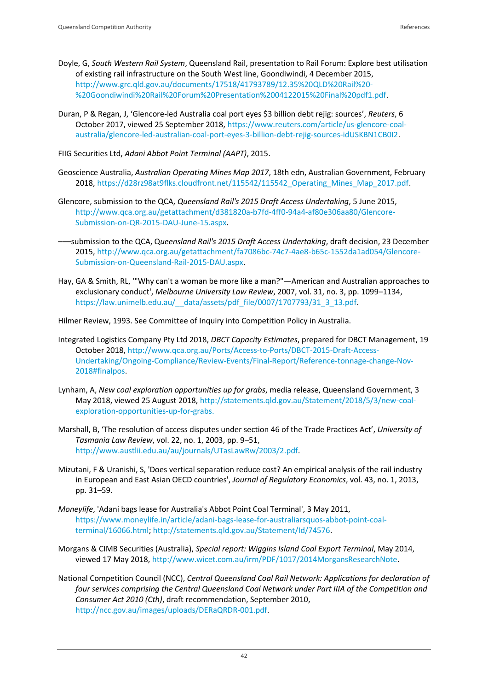- Doyle, G, *South Western Rail System*, Queensland Rail, presentation to Rail Forum: Explore best utilisation of existing rail infrastructure on the South West line, Goondiwindi, 4 December 2015, [http://www.grc.qld.gov.au/documents/17518/41793789/12.35%20QLD%20Rail%20-](http://www.grc.qld.gov.au/documents/17518/41793789/12.35%20QLD%20Rail%20-%20Goondiwindi%20Rail%20Forum%20Presentation%2004122015%20Final%20pdf1.pdf) [%20Goondiwindi%20Rail%20Forum%20Presentation%2004122015%20Final%20pdf1.pdf.](http://www.grc.qld.gov.au/documents/17518/41793789/12.35%20QLD%20Rail%20-%20Goondiwindi%20Rail%20Forum%20Presentation%2004122015%20Final%20pdf1.pdf)
- Duran, P & Regan, J, 'Glencore-led Australia coal port eyes \$3 billion debt rejig: sources', *Reuters*, 6 October 2017, viewed 25 September 2018[, https://www.reuters.com/article/us-glencore-coal](https://www.reuters.com/article/us-glencore-coal-australia/glencore-led-australian-coal-port-eyes-3-billion-debt-rejig-sources-idUSKBN1CB0I2)[australia/glencore-led-australian-coal-port-eyes-3-billion-debt-rejig-sources-idUSKBN1CB0I2.](https://www.reuters.com/article/us-glencore-coal-australia/glencore-led-australian-coal-port-eyes-3-billion-debt-rejig-sources-idUSKBN1CB0I2)

FIIG Securities Ltd, *Adani Abbot Point Terminal (AAPT)*, 2015.

- Geoscience Australia, *Australian Operating Mines Map 2017*, 18th edn, Australian Government, February 2018[, https://d28rz98at9flks.cloudfront.net/115542/115542\\_Operating\\_Mines\\_Map\\_2017.pdf.](https://d28rz98at9flks.cloudfront.net/115542/115542_Operating_Mines_Map_2017.pdf)
- Glencore, submission to the QCA, *Queensland Rail's 2015 Draft Access Undertaking*, 5 June 2015, [http://www.qca.org.au/getattachment/d381820a-b7fd-4ff0-94a4-af80e306aa80/Glencore-](http://www.qca.org.au/getattachment/d381820a-b7fd-4ff0-94a4-af80e306aa80/Glencore-Submission-on-QR-2015-DAU-June-15.aspx)[Submission-on-QR-2015-DAU-June-15.aspx.](http://www.qca.org.au/getattachment/d381820a-b7fd-4ff0-94a4-af80e306aa80/Glencore-Submission-on-QR-2015-DAU-June-15.aspx)
- –––submission to the QCA, Q*ueensland Rail's 2015 Draft Access Undertaking*, draft decision, 23 December 2015[, http://www.qca.org.au/getattachment/fa7086bc-74c7-4ae8-b65c-1552da1ad054/Glencore-](http://www.qca.org.au/getattachment/fa7086bc-74c7-4ae8-b65c-1552da1ad054/Glencore-Submission-on-Queensland-Rail-2015-DAU.aspx)[Submission-on-Queensland-Rail-2015-DAU.aspx.](http://www.qca.org.au/getattachment/fa7086bc-74c7-4ae8-b65c-1552da1ad054/Glencore-Submission-on-Queensland-Rail-2015-DAU.aspx)
- Hay, GA & Smith, RL, '"Why can't a woman be more like a man?"—American and Australian approaches to exclusionary conduct', *Melbourne University Law Review*, 2007, vol. 31, no. 3, pp. 1099–1134, [https://law.unimelb.edu.au/\\_\\_data/assets/pdf\\_file/0007/1707793/31\\_3\\_13.pdf.](https://law.unimelb.edu.au/__data/assets/pdf_file/0007/1707793/31_3_13.pdf)

Hilmer Review, 1993. See Committee of Inquiry into Competition Policy in Australia.

- Integrated Logistics Company Pty Ltd 2018, *DBCT Capacity Estimates*, prepared for DBCT Management, 19 October 2018[, http://www.qca.org.au/Ports/Access-to-Ports/DBCT-2015-Draft-Access-](http://www.qca.org.au/Ports/Access-to-Ports/DBCT-2015-Draft-Access-Undertaking/Ongoing-Compliance/Review-Events/Final-Report/Reference-tonnage-change-Nov-2018#finalpos)[Undertaking/Ongoing-Compliance/Review-Events/Final-Report/Reference-tonnage-change-Nov-](http://www.qca.org.au/Ports/Access-to-Ports/DBCT-2015-Draft-Access-Undertaking/Ongoing-Compliance/Review-Events/Final-Report/Reference-tonnage-change-Nov-2018#finalpos)[2018#finalpos.](http://www.qca.org.au/Ports/Access-to-Ports/DBCT-2015-Draft-Access-Undertaking/Ongoing-Compliance/Review-Events/Final-Report/Reference-tonnage-change-Nov-2018#finalpos)
- Lynham, A, *New coal exploration opportunities up for grabs*, media release, Queensland Government, 3 May 2018, viewed 25 August 2018, [http://statements.qld.gov.au/Statement/2018/5/3/new-coal](http://statements.qld.gov.au/Statement/2018/5/3/new-coal-exploration-opportunities-up-for-grabs)[exploration-opportunities-up-for-grabs.](http://statements.qld.gov.au/Statement/2018/5/3/new-coal-exploration-opportunities-up-for-grabs)
- Marshall, B, 'The resolution of access disputes under section 46 of the Trade Practices Act', *University of Tasmania Law Review*, vol. 22, no. 1, 2003, pp. 9–51, [http://www.austlii.edu.au/au/journals/UTasLawRw/2003/2.pdf.](http://www.austlii.edu.au/au/journals/UTasLawRw/2003/2.pdf)
- Mizutani, F & Uranishi, S, 'Does vertical separation reduce cost? An empirical analysis of the rail industry in European and East Asian OECD countries', *Journal of Regulatory Economics*, vol. 43, no. 1, 2013, pp. 31–59.
- *Moneylife*, 'Adani bags lease for Australia's Abbot Point Coal Terminal', 3 May 2011, https://www.moneylife.in/article/adani-bags-lease-for-australiarsquos-abbot-point-coalterminal/16066.html[; http://statements.qld.gov.au/Statement/Id/74576.](http://statements.qld.gov.au/Statement/Id/74576)
- Morgans & CIMB Securities (Australia), *Special report: Wiggins Island Coal Export Terminal*, May 2014, viewed 17 May 2018[, http://www.wicet.com.au/irm/PDF/1017/2014MorgansResearchNote.](http://www.wicet.com.au/irm/PDF/1017/2014MorgansResearchNote)
- National Competition Council (NCC), *Central Queensland Coal Rail Network: Applications for declaration of four services comprising the Central Queensland Coal Network under Part IIIA of the Competition and Consumer Act 2010 (Cth)*, draft recommendation, September 2010, [http://ncc.gov.au/images/uploads/DERaQRDR-001.pdf.](http://ncc.gov.au/images/uploads/DERaQRDR-001.pdf)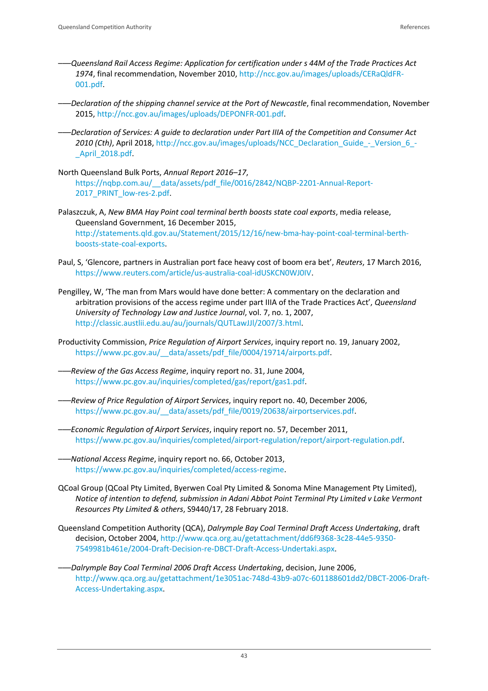- –––*Queensland Rail Access Regime: Application for certification under s 44M of the Trade Practices Act 1974*, final recommendation, November 2010, [http://ncc.gov.au/images/uploads/CERaQldFR-](http://ncc.gov.au/images/uploads/CERaQldFR-001.pdf)[001.pdf.](http://ncc.gov.au/images/uploads/CERaQldFR-001.pdf)
- –––*Declaration of the shipping channel service at the Port of Newcastle*, final recommendation, November 2015[, http://ncc.gov.au/images/uploads/DEPONFR-001.pdf.](http://ncc.gov.au/images/uploads/DEPONFR-001.pdf)
- –––*Declaration of Services: A guide to declaration under Part IIIA of the Competition and Consumer Act*  2010 (Cth), April 2018[, http://ncc.gov.au/images/uploads/NCC\\_Declaration\\_Guide\\_-\\_Version\\_6\\_-](http://ncc.gov.au/images/uploads/NCC_Declaration_Guide_-_Version_6_-_April_2018.pdf) April 2018.pdf
- North Queensland Bulk Ports, *Annual Report 2016–17*, [https://nqbp.com.au/\\_\\_data/assets/pdf\\_file/0016/2842/NQBP-2201-Annual-Report-](https://nqbp.com.au/__data/assets/pdf_file/0016/2842/NQBP-2201-Annual-Report-2017_PRINT_low-res-2.pdf)[2017\\_PRINT\\_low-res-2.pdf.](https://nqbp.com.au/__data/assets/pdf_file/0016/2842/NQBP-2201-Annual-Report-2017_PRINT_low-res-2.pdf)
- Palaszczuk, A, *New BMA Hay Point coal terminal berth boosts state coal exports*, media release, Queensland Government, 16 December 2015, [http://statements.qld.gov.au/Statement/2015/12/16/new-bma-hay-point-coal-terminal-berth](http://statements.qld.gov.au/Statement/2015/12/16/new-bma-hay-point-coal-terminal-berth-boosts-state-coal-exports)[boosts-state-coal-exports.](http://statements.qld.gov.au/Statement/2015/12/16/new-bma-hay-point-coal-terminal-berth-boosts-state-coal-exports)
- Paul, S, 'Glencore, partners in Australian port face heavy cost of boom era bet', *Reuters*, 17 March 2016, [https://www.reuters.com/article/us-australia-coal-idUSKCN0WJ0IV.](https://www.reuters.com/article/us-australia-coal-idUSKCN0WJ0IV)
- Pengilley, W, 'The man from Mars would have done better: A commentary on the declaration and arbitration provisions of the access regime under part IIIA of the Trade Practices Act', *Queensland University of Technology Law and Justice Journal*, vol. 7, no. 1, 2007, [http://classic.austlii.edu.au/au/journals/QUTLawJJl/2007/3.html.](http://classic.austlii.edu.au/au/journals/QUTLawJJl/2007/3.html)
- Productivity Commission, *Price Regulation of Airport Services*, inquiry report no. 19, January 2002, https://www.pc.gov.au/ data/assets/pdf file/0004/19714/airports.pdf.
- –––*Review of the Gas Access Regime*, inquiry report no. 31, June 2004, [https://www.pc.gov.au/inquiries/completed/gas/report/gas1.pdf.](https://www.pc.gov.au/inquiries/completed/gas/report/gas1.pdf)
- –––*Review of Price Regulation of Airport Services*, inquiry report no. 40, December 2006, https://www.pc.gov.au/ data/assets/pdf file/0019/20638/airportservices.pdf.
- –––*Economic Regulation of Airport Services*, inquiry report no. 57, December 2011, [https://www.pc.gov.au/inquiries/completed/airport-regulation/report/airport-regulation.pdf.](https://www.pc.gov.au/inquiries/completed/airport-regulation/report/airport-regulation.pdf)
- –––*National Access Regime*, inquiry report no. 66, October 2013, [https://www.pc.gov.au/inquiries/completed/access-regime.](https://www.pc.gov.au/inquiries/completed/access-regime)
- QCoal Group (QCoal Pty Limited, Byerwen Coal Pty Limited & Sonoma Mine Management Pty Limited), *Notice of intention to defend, submission in Adani Abbot Point Terminal Pty Limited v Lake Vermont Resources Pty Limited & others*, S9440/17, 28 February 2018.
- Queensland Competition Authority (QCA), *Dalrymple Bay Coal Terminal Draft Access Undertaking*, draft decision, October 2004, [http://www.qca.org.au/getattachment/dd6f9368-3c28-44e5-9350-](http://www.qca.org.au/getattachment/dd6f9368-3c28-44e5-9350-7549981b461e/2004-Draft-Decision-re-DBCT-Draft-Access-Undertaki.aspx) [7549981b461e/2004-Draft-Decision-re-DBCT-Draft-Access-Undertaki.aspx.](http://www.qca.org.au/getattachment/dd6f9368-3c28-44e5-9350-7549981b461e/2004-Draft-Decision-re-DBCT-Draft-Access-Undertaki.aspx)
- –––*Dalrymple Bay Coal Terminal 2006 Draft Access Undertaking*, decision, June 2006, [http://www.qca.org.au/getattachment/1e3051ac-748d-43b9-a07c-601188601dd2/DBCT-2006-Draft-](http://www.qca.org.au/getattachment/1e3051ac-748d-43b9-a07c-601188601dd2/DBCT-2006-Draft-Access-Undertaking.aspx)[Access-Undertaking.aspx.](http://www.qca.org.au/getattachment/1e3051ac-748d-43b9-a07c-601188601dd2/DBCT-2006-Draft-Access-Undertaking.aspx)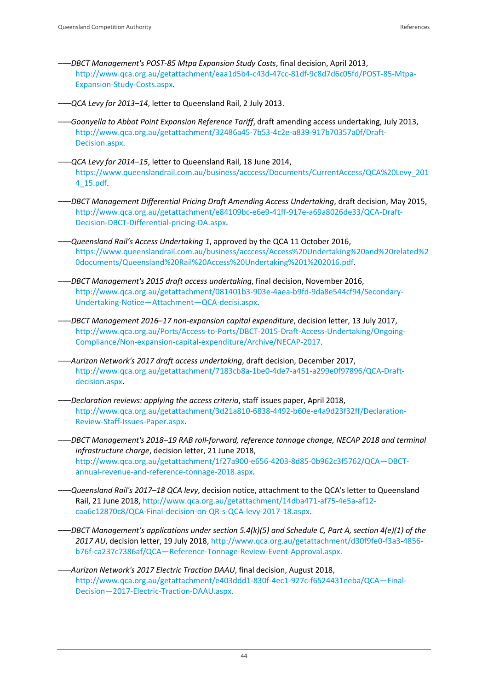- –––*DBCT Management's POST-85 Mtpa Expansion Study Costs*, final decision, April 2013, [http://www.qca.org.au/getattachment/eaa1d5b4-c43d-47cc-81df-9c8d7d6c05fd/POST-85-Mtpa-](http://www.qca.org.au/getattachment/eaa1d5b4-c43d-47cc-81df-9c8d7d6c05fd/POST-85-Mtpa-Expansion-Study-Costs.aspx)[Expansion-Study-Costs.aspx.](http://www.qca.org.au/getattachment/eaa1d5b4-c43d-47cc-81df-9c8d7d6c05fd/POST-85-Mtpa-Expansion-Study-Costs.aspx)
- –––*QCA Levy for 2013–14*, letter to Queensland Rail, 2 July 2013.
- –––*Goonyella to Abbot Point Expansion Reference Tariff*, draft amending access undertaking, July 2013, [http://www.qca.org.au/getattachment/32486a45-7b53-4c2e-a839-917b70357a0f/Draft-](http://www.qca.org.au/getattachment/32486a45-7b53-4c2e-a839-917b70357a0f/Draft-Decision.aspx)[Decision.aspx.](http://www.qca.org.au/getattachment/32486a45-7b53-4c2e-a839-917b70357a0f/Draft-Decision.aspx)
- –––*QCA Levy for 2014–15*, letter to Queensland Rail, 18 June 2014, [https://www.queenslandrail.com.au/business/acccess/Documents/CurrentAccess/QCA%20Levy\\_201](https://www.queenslandrail.com.au/business/acccess/Documents/CurrentAccess/QCA%20Levy_2014_15.pdf) [4\\_15.pdf.](https://www.queenslandrail.com.au/business/acccess/Documents/CurrentAccess/QCA%20Levy_2014_15.pdf)
- –––*DBCT Management Differential Pricing Draft Amending Access Undertaking*, draft decision, May 2015, [http://www.qca.org.au/getattachment/e84109bc-e6e9-41ff-917e-a69a8026de33/QCA-Draft-](http://www.qca.org.au/getattachment/e84109bc-e6e9-41ff-917e-a69a8026de33/QCA-Draft-Decision-DBCT-Differential-pricing-DA.aspx)[Decision-DBCT-Differential-pricing-DA.aspx.](http://www.qca.org.au/getattachment/e84109bc-e6e9-41ff-917e-a69a8026de33/QCA-Draft-Decision-DBCT-Differential-pricing-DA.aspx)
- –––*Queensland Rail's Access Undertaking 1*, approved by the QCA 11 October 2016, [https://www.queenslandrail.com.au/business/acccess/Access%20Undertaking%20and%20related%2](https://www.queenslandrail.com.au/business/acccess/Access%20Undertaking%20and%20related%20documents/Queensland%20Rail%20Access%20Undertaking%201%202016.pdf) [0documents/Queensland%20Rail%20Access%20Undertaking%201%202016.pdf.](https://www.queenslandrail.com.au/business/acccess/Access%20Undertaking%20and%20related%20documents/Queensland%20Rail%20Access%20Undertaking%201%202016.pdf)
- –––*DBCT Management's 2015 draft access undertaking*, final decision, November 2016, [http://www.qca.org.au/getattachment/081401b3-903e-4aea-b9fd-9da8e544cf94/Secondary-](http://www.qca.org.au/getattachment/081401b3-903e-4aea-b9fd-9da8e544cf94/Secondary-Undertaking-Notice—Attachment—QCA-decisi.aspx)[Undertaking-Notice](http://www.qca.org.au/getattachment/081401b3-903e-4aea-b9fd-9da8e544cf94/Secondary-Undertaking-Notice—Attachment—QCA-decisi.aspx)—Attachment—QCA-decisi.aspx.
- –––*DBCT Management 2016–17 non-expansion capital expenditure*, decision letter, 13 July 2017, [http://www.qca.org.au/Ports/Access-to-Ports/DBCT-2015-Draft-Access-Undertaking/Ongoing-](http://www.qca.org.au/Ports/Access-to-Ports/DBCT-2015-Draft-Access-Undertaking/Ongoing-Compliance/Non-expansion-capital-expenditure/Archive/NECAP-2017)[Compliance/Non-expansion-capital-expenditure/Archive/NECAP-2017.](http://www.qca.org.au/Ports/Access-to-Ports/DBCT-2015-Draft-Access-Undertaking/Ongoing-Compliance/Non-expansion-capital-expenditure/Archive/NECAP-2017)
- –––*Aurizon Network's 2017 draft access undertaking*, draft decision, December 2017, [http://www.qca.org.au/getattachment/7183cb8a-1be0-4de7-a451-a299e0f97896/QCA-Draft](http://www.qca.org.au/getattachment/7183cb8a-1be0-4de7-a451-a299e0f97896/QCA-Draft-decision.aspx)[decision.aspx.](http://www.qca.org.au/getattachment/7183cb8a-1be0-4de7-a451-a299e0f97896/QCA-Draft-decision.aspx)
- –––*Declaration reviews: applying the access criteria*, staff issues paper, April 2018, [http://www.qca.org.au/getattachment/3d21a810-6838-4492-b60e-e4a9d23f32ff/Declaration-](http://www.qca.org.au/getattachment/3d21a810-6838-4492-b60e-e4a9d23f32ff/Declaration-Review-Staff-Issues-Paper.aspx)[Review-Staff-Issues-Paper.aspx.](http://www.qca.org.au/getattachment/3d21a810-6838-4492-b60e-e4a9d23f32ff/Declaration-Review-Staff-Issues-Paper.aspx)
- –––*DBCT Management's 2018–19 RAB roll-forward, reference tonnage change, NECAP 2018 and terminal infrastructure charge*, decision letter, 21 June 2018, [http://www.qca.org.au/getattachment/1f27a900-e656-4203-8d85-0b962c3f5762/QCA](http://www.qca.org.au/getattachment/1f27a900-e656-4203-8d85-0b962c3f5762/QCA—DBCT-annual-revenue-and-reference-tonnage-2018.aspx)—DBCT[annual-revenue-and-reference-tonnage-2018.aspx.](http://www.qca.org.au/getattachment/1f27a900-e656-4203-8d85-0b962c3f5762/QCA—DBCT-annual-revenue-and-reference-tonnage-2018.aspx)
- –––*Queensland Rail's 2017–18 QCA levy*, decision notice, attachment to the QCA's letter to Queensland Rail, 21 June 2018, [http://www.qca.org.au/getattachment/14dba471-af75-4e5a-af12](http://www.qca.org.au/getattachment/14dba471-af75-4e5a-af12-caa6c12870c8/QCA-Final-decision-on-QR-s-QCA-levy-2017-18.aspx) [caa6c12870c8/QCA-Final-decision-on-QR-s-QCA-levy-2017-18.aspx.](http://www.qca.org.au/getattachment/14dba471-af75-4e5a-af12-caa6c12870c8/QCA-Final-decision-on-QR-s-QCA-levy-2017-18.aspx)
- –––*DBCT Management's applications under section 5.4(k)(5) and Schedule C, Part A, section 4(e)(1) of the 2017 AU*, decision letter, 19 July 2018, http://www.qca.org.au/getattachment/d30f9fe0-f3a3-4856 b76f-ca237c7386af/QCA—Reference-Tonnage-Review-Event-Approval.aspx.
- –––*Aurizon Network's 2017 Electric Traction DAAU*, final decision, August 2018, [http://www.qca.org.au/getattachment/e403ddd1-830f-4ec1-927c-f6524431eeba/QCA](http://www.qca.org.au/getattachment/e403ddd1-830f-4ec1-927c-f6524431eeba/QCA—Final-Decision—2017-Electric-Traction-DAAU.aspx)—Final-Decision—[2017-Electric-Traction-DAAU.aspx.](http://www.qca.org.au/getattachment/e403ddd1-830f-4ec1-927c-f6524431eeba/QCA—Final-Decision—2017-Electric-Traction-DAAU.aspx)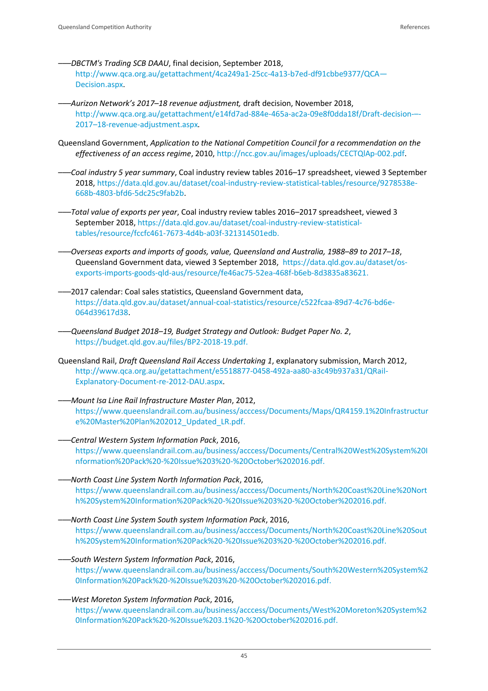- *–––DBCTM's Trading SCB DAAU*, final decision, September 2018, [http://www.qca.org.au/getattachment/4ca249a1-25cc-4a13-b7ed-df91cbbe9377/QCA](http://www.qca.org.au/getattachment/4ca249a1-25cc-4a13-b7ed-df91cbbe9377/QCA—Decision.aspx)— [Decision.aspx.](http://www.qca.org.au/getattachment/4ca249a1-25cc-4a13-b7ed-df91cbbe9377/QCA—Decision.aspx)
- *–––Aurizon Network's 2017–18 revenue adjustment,* draft decision, November 2018, [http://www.qca.org.au/getattachment/e14fd7ad-884e-465a-ac2a-09e8f0dda18f/Draft-decision-](http://www.qca.org.au/getattachment/e14fd7ad-884e-465a-ac2a-09e8f0dda18f/Draft-decision-–-2017–18-revenue-adjustment.aspx)–- 2017–[18-revenue-adjustment.aspx](http://www.qca.org.au/getattachment/e14fd7ad-884e-465a-ac2a-09e8f0dda18f/Draft-decision-–-2017–18-revenue-adjustment.aspx)*.*
- Queensland Government, *Application to the National Competition Council for a recommendation on the effectiveness of an access regime*, 2010[, http://ncc.gov.au/images/uploads/CECTQlAp-002.pdf.](http://ncc.gov.au/images/uploads/CECTQlAp-002.pdf)
- –––*Coal industry 5 year summary*, Coal industry review tables 2016–17 spreadsheet, viewed 3 September 2018[, https://data.qld.gov.au/dataset/coal-industry-review-statistical-tables/resource/9278538e-](https://data.qld.gov.au/dataset/coal-industry-review-statistical-tables/resource/9278538e-668b-4803-bfd6-5dc25c9fab2b)[668b-4803-bfd6-5dc25c9fab2b.](https://data.qld.gov.au/dataset/coal-industry-review-statistical-tables/resource/9278538e-668b-4803-bfd6-5dc25c9fab2b)
- *–––Total value of exports per year*, Coal industry review tables 2016–2017 spreadsheet, viewed 3 September 2018, [https://data.qld.gov.au/dataset/coal-industry-review-statistical](https://data.qld.gov.au/dataset/coal-industry-review-statistical-tables/resource/fccfc461-7673-4d4b-a03f-321314501edb)[tables/resource/fccfc461-7673-4d4b-a03f-321314501edb.](https://data.qld.gov.au/dataset/coal-industry-review-statistical-tables/resource/fccfc461-7673-4d4b-a03f-321314501edb)
- *–––Overseas exports and imports of goods, value, Queensland and Australia, 1988–89 to 2017–18*, Queensland Government data, viewed 3 September 2018, [https://data.qld.gov.au/dataset/os](https://data.qld.gov.au/dataset/os-exports-imports-goods-qld-aus/resource/fe46ac75-52ea-468f-b6eb-8d3835a83621)[exports-imports-goods-qld-aus/resource/fe46ac75-52ea-468f-b6eb-8d3835a83621.](https://data.qld.gov.au/dataset/os-exports-imports-goods-qld-aus/resource/fe46ac75-52ea-468f-b6eb-8d3835a83621)
- –––2017 calendar: Coal sales statistics, Queensland Government data, [https://data.qld.gov.au/dataset/annual-coal-statistics/resource/c522fcaa-89d7-4c76-bd6e-](https://data.qld.gov.au/dataset/annual-coal-statistics/resource/c522fcaa-89d7-4c76-bd6e-064d39617d38)[064d39617d38.](https://data.qld.gov.au/dataset/annual-coal-statistics/resource/c522fcaa-89d7-4c76-bd6e-064d39617d38)
- –––*Queensland Budget 2018–19, Budget Strategy and Outlook: Budget Paper No. 2*, [https://budget.qld.gov.au/files/BP2-2018-19.pdf.](https://budget.qld.gov.au/files/BP2-2018-19.pdf)
- Queensland Rail, *Draft Queensland Rail Access Undertaking 1*, explanatory submission, March 2012, [http://www.qca.org.au/getattachment/e5518877-0458-492a-aa80-a3c49b937a31/QRail-](http://www.qca.org.au/getattachment/e5518877-0458-492a-aa80-a3c49b937a31/QRail-Explanatory-Document-re-2012-DAU.aspx)[Explanatory-Document-re-2012-DAU.aspx.](http://www.qca.org.au/getattachment/e5518877-0458-492a-aa80-a3c49b937a31/QRail-Explanatory-Document-re-2012-DAU.aspx)
- –––*Mount Isa Line Rail Infrastructure Master Plan*, 2012, [https://www.queenslandrail.com.au/business/acccess/Documents/Maps/QR4159.1%20Infrastructur](https://www.queenslandrail.com.au/business/acccess/Documents/Maps/QR4159.1%20Infrastructure%20Master%20Plan%202012_Updated_LR.pdf) [e%20Master%20Plan%202012\\_Updated\\_LR.pdf.](https://www.queenslandrail.com.au/business/acccess/Documents/Maps/QR4159.1%20Infrastructure%20Master%20Plan%202012_Updated_LR.pdf)
- –––*Central Western System Information Pack*, 2016, [https://www.queenslandrail.com.au/business/acccess/Documents/Central%20West%20System%20I](https://www.queenslandrail.com.au/business/acccess/Documents/Central%20West%20System%20Information%20Pack%20-%20Issue%203%20-%20October%202016.pdf) [nformation%20Pack%20-%20Issue%203%20-%20October%202016.pdf.](https://www.queenslandrail.com.au/business/acccess/Documents/Central%20West%20System%20Information%20Pack%20-%20Issue%203%20-%20October%202016.pdf)
- *–––North Coast Line System North Information Pack*, 2016, [https://www.queenslandrail.com.au/business/acccess/Documents/North%20Coast%20Line%20Nort](https://www.queenslandrail.com.au/business/acccess/Documents/North%20Coast%20Line%20North%20System%20Information%20Pack%20-%20Issue%203%20-%20October%202016.pdf) [h%20System%20Information%20Pack%20-%20Issue%203%20-%20October%202016.pdf.](https://www.queenslandrail.com.au/business/acccess/Documents/North%20Coast%20Line%20North%20System%20Information%20Pack%20-%20Issue%203%20-%20October%202016.pdf)
- –––*North Coast Line System South system Information Pack*, 2016, [https://www.queenslandrail.com.au/business/acccess/Documents/North%20Coast%20Line%20Sout](https://www.queenslandrail.com.au/business/acccess/Documents/North%20Coast%20Line%20South%20System%20Information%20Pack%20-%20Issue%203%20-%20October%202016.pdf) [h%20System%20Information%20Pack%20-%20Issue%203%20-%20October%202016.pdf.](https://www.queenslandrail.com.au/business/acccess/Documents/North%20Coast%20Line%20South%20System%20Information%20Pack%20-%20Issue%203%20-%20October%202016.pdf)
- –––*South Western System Information Pack*, 2016, [https://www.queenslandrail.com.au/business/acccess/Documents/South%20Western%20System%2](https://www.queenslandrail.com.au/business/acccess/Documents/South%20Western%20System%20Information%20Pack%20-%20Issue%203%20-%20October%202016.pdf) [0Information%20Pack%20-%20Issue%203%20-%20October%202016.pdf.](https://www.queenslandrail.com.au/business/acccess/Documents/South%20Western%20System%20Information%20Pack%20-%20Issue%203%20-%20October%202016.pdf)
- –––*West Moreton System Information Pack*, 2016, [https://www.queenslandrail.com.au/business/acccess/Documents/West%20Moreton%20System%2](https://www.queenslandrail.com.au/business/acccess/Documents/West%20Moreton%20System%20Information%20Pack%20-%20Issue%203.1%20-%20October%202016.pdf) [0Information%20Pack%20-%20Issue%203.1%20-%20October%202016.pdf.](https://www.queenslandrail.com.au/business/acccess/Documents/West%20Moreton%20System%20Information%20Pack%20-%20Issue%203.1%20-%20October%202016.pdf)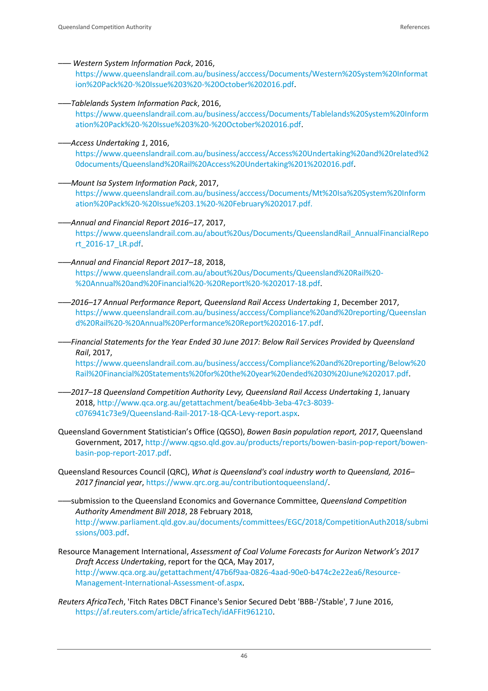––– *Western System Information Pack*, 2016,

[https://www.queenslandrail.com.au/business/acccess/Documents/Western%20System%20Informat](https://www.queenslandrail.com.au/business/acccess/Documents/Western%20System%20Information%20Pack%20-%20Issue%203%20-%20October%202016.pdf) [ion%20Pack%20-%20Issue%203%20-%20October%202016.pdf.](https://www.queenslandrail.com.au/business/acccess/Documents/Western%20System%20Information%20Pack%20-%20Issue%203%20-%20October%202016.pdf)

–––*Tablelands System Information Pack*, 2016,

[https://www.queenslandrail.com.au/business/acccess/Documents/Tablelands%20System%20Inform](https://www.queenslandrail.com.au/business/acccess/Documents/Tablelands%20System%20Information%20Pack%20-%20Issue%203%20-%20October%202016.pdf) [ation%20Pack%20-%20Issue%203%20-%20October%202016.pdf.](https://www.queenslandrail.com.au/business/acccess/Documents/Tablelands%20System%20Information%20Pack%20-%20Issue%203%20-%20October%202016.pdf)

–––*Access Undertaking 1*, 2016,

[https://www.queenslandrail.com.au/business/acccess/Access%20Undertaking%20and%20related%2](https://www.queenslandrail.com.au/business/acccess/Access%20Undertaking%20and%20related%20documents/Queensland%20Rail%20Access%20Undertaking%201%202016.pdf) [0documents/Queensland%20Rail%20Access%20Undertaking%201%202016.pdf.](https://www.queenslandrail.com.au/business/acccess/Access%20Undertaking%20and%20related%20documents/Queensland%20Rail%20Access%20Undertaking%201%202016.pdf)

*–––Mount Isa System Information Pack*, 2017,

[https://www.queenslandrail.com.au/business/acccess/Documents/Mt%20Isa%20System%20Inform](https://www.queenslandrail.com.au/business/acccess/Documents/Mt%20Isa%20System%20Information%20Pack%20-%20Issue%203.1%20-%20February%202017.pdf) [ation%20Pack%20-%20Issue%203.1%20-%20February%202017.pdf.](https://www.queenslandrail.com.au/business/acccess/Documents/Mt%20Isa%20System%20Information%20Pack%20-%20Issue%203.1%20-%20February%202017.pdf)

–––*Annual and Financial Report 2016–17*, 2017,

[https://www.queenslandrail.com.au/about%20us/Documents/QueenslandRail\\_AnnualFinancialRepo](https://www.queenslandrail.com.au/about%20us/Documents/QueenslandRail_AnnualFinancialReport_2016-17_LR.pdf) [rt\\_2016-17\\_LR.pdf.](https://www.queenslandrail.com.au/about%20us/Documents/QueenslandRail_AnnualFinancialReport_2016-17_LR.pdf)

- –––*Annual and Financial Report 2017–18*, 2018, [https://www.queenslandrail.com.au/about%20us/Documents/Queensland%20Rail%20-](https://www.queenslandrail.com.au/about%20us/Documents/Queensland%20Rail%20-%20Annual%20and%20Financial%20-%20Report%20-%202017-18.pdf) [%20Annual%20and%20Financial%20-%20Report%20-%202017-18.pdf.](https://www.queenslandrail.com.au/about%20us/Documents/Queensland%20Rail%20-%20Annual%20and%20Financial%20-%20Report%20-%202017-18.pdf)
- –––*2016–17 Annual Performance Report, Queensland Rail Access Undertaking 1*, December 2017, [https://www.queenslandrail.com.au/business/acccess/Compliance%20and%20reporting/Queenslan](https://www.queenslandrail.com.au/business/acccess/Compliance%20and%20reporting/Queensland%20Rail%20-%20Annual%20Performance%20Report%202016-17.pdf) [d%20Rail%20-%20Annual%20Performance%20Report%202016-17.pdf.](https://www.queenslandrail.com.au/business/acccess/Compliance%20and%20reporting/Queensland%20Rail%20-%20Annual%20Performance%20Report%202016-17.pdf)
- –––*Financial Statements for the Year Ended 30 June 2017: Below Rail Services Provided by Queensland Rail*, 2017, [https://www.queenslandrail.com.au/business/acccess/Compliance%20and%20reporting/Below%20](https://www.queenslandrail.com.au/business/acccess/Compliance%20and%20reporting/Below%20Rail%20Financial%20Statements%20for%20the%20year%20ended%2030%20June%202017.pdf) [Rail%20Financial%20Statements%20for%20the%20year%20ended%2030%20June%202017.pdf.](https://www.queenslandrail.com.au/business/acccess/Compliance%20and%20reporting/Below%20Rail%20Financial%20Statements%20for%20the%20year%20ended%2030%20June%202017.pdf)
- –––*2017–18 Queensland Competition Authority Levy, Queensland Rail Access Undertaking 1*, January 2018[, http://www.qca.org.au/getattachment/bea6e4bb-3eba-47c3-8039](http://www.qca.org.au/getattachment/bea6e4bb-3eba-47c3-8039-c076941c73e9/Queensland-Rail-2017-18-QCA-Levy-report.aspx) [c076941c73e9/Queensland-Rail-2017-18-QCA-Levy-report.aspx.](http://www.qca.org.au/getattachment/bea6e4bb-3eba-47c3-8039-c076941c73e9/Queensland-Rail-2017-18-QCA-Levy-report.aspx)
- Queensland Government Statistician's Office (QGSO), *Bowen Basin population report, 2017*, Queensland Government, 2017[, http://www.qgso.qld.gov.au/products/reports/bowen-basin-pop-report/bowen](http://www.qgso.qld.gov.au/products/reports/bowen-basin-pop-report/bowen-basin-pop-report-2017.pdf)[basin-pop-report-2017.pdf.](http://www.qgso.qld.gov.au/products/reports/bowen-basin-pop-report/bowen-basin-pop-report-2017.pdf)
- Queensland Resources Council (QRC), *What is Queensland's coal industry worth to Queensland, 2016– 2017 financial year*[, https://www.qrc.org.au/contributiontoqueensland/.](https://www.qrc.org.au/contributiontoqueensland/)
- –––submission to the Queensland Economics and Governance Committee, *Queensland Competition Authority Amendment Bill 2018*, 28 February 2018, [http://www.parliament.qld.gov.au/documents/committees/EGC/2018/CompetitionAuth2018/submi](http://www.parliament.qld.gov.au/documents/committees/EGC/2018/CompetitionAuth2018/submissions/003.pdf) [ssions/003.pdf.](http://www.parliament.qld.gov.au/documents/committees/EGC/2018/CompetitionAuth2018/submissions/003.pdf)
- Resource Management International, *Assessment of Coal Volume Forecasts for Aurizon Network's 2017 Draft Access Undertaking*, report for the QCA, May 2017, [http://www.qca.org.au/getattachment/47b6f9aa-0826-4aad-90e0-b474c2e22ea6/Resource-](http://www.qca.org.au/getattachment/47b6f9aa-0826-4aad-90e0-b474c2e22ea6/Resource-Management-International-Assessment-of.aspx)[Management-International-Assessment-of.aspx.](http://www.qca.org.au/getattachment/47b6f9aa-0826-4aad-90e0-b474c2e22ea6/Resource-Management-International-Assessment-of.aspx)
- *Reuters AfricaTech*, 'Fitch Rates DBCT Finance's Senior Secured Debt 'BBB-'/Stable', 7 June 2016, [https://af.reuters.com/article/africaTech/idAFFit961210.](https://af.reuters.com/article/africaTech/idAFFit961210)